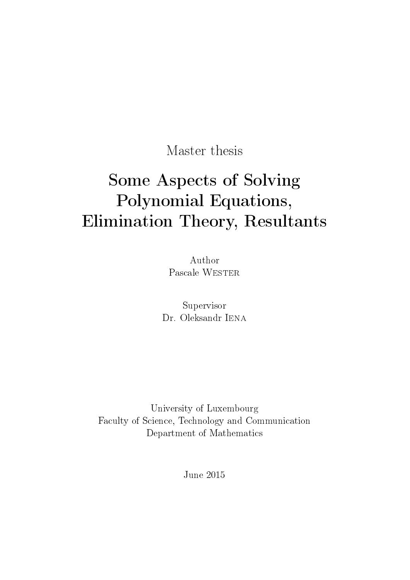Master thesis

# Some Aspects of Solving Polynomial Equations, Elimination Theory, Resultants

Author Pascale WESTER

Supervisor Dr. Oleksandr IENA

University of Luxembourg Faculty of Science, Technology and Communication Department of Mathematics

June 2015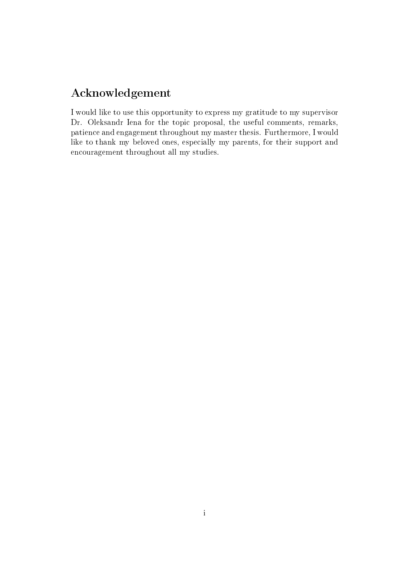# Acknowledgement

I would like to use this opportunity to express my gratitude to my supervisor Dr. Oleksandr Iena for the topic proposal, the useful comments, remarks, patience and engagement throughout my master thesis. Furthermore, I would like to thank my beloved ones, especially my parents, for their support and encouragement throughout all my studies.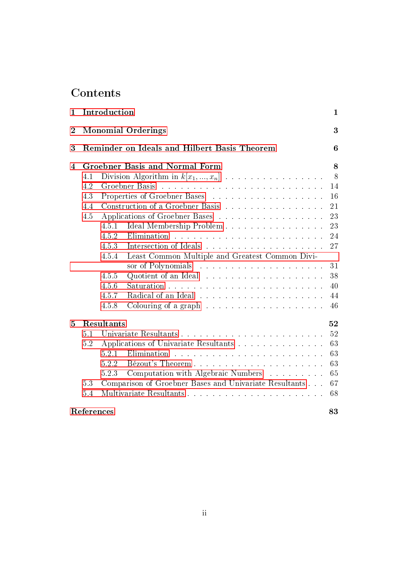# Contents

| $\mathbf{1}$   | Introduction                                 |                         |                                                                                                                                            | $\mathbf{1}$ |  |
|----------------|----------------------------------------------|-------------------------|--------------------------------------------------------------------------------------------------------------------------------------------|--------------|--|
| $\overline{2}$ | <b>Monomial Orderings</b>                    |                         |                                                                                                                                            | 3            |  |
| 3              | Reminder on Ideals and Hilbert Basis Theorem |                         |                                                                                                                                            | 6            |  |
| 4              | <b>Groebner Basis and Normal Form</b>        |                         |                                                                                                                                            | 8            |  |
|                | 4.1                                          |                         | Division Algorithm in $k[x_1,,x_n]$                                                                                                        | 8            |  |
|                | 4.2                                          |                         |                                                                                                                                            | 14           |  |
|                | 4.3                                          |                         |                                                                                                                                            | 16           |  |
|                | 4.4                                          |                         | Construction of a Groebner Basis                                                                                                           | 21           |  |
|                | 4.5                                          |                         | Applications of Groebner Bases                                                                                                             | 23           |  |
|                |                                              | 4.5.1                   | Ideal Membership Problem                                                                                                                   | 23           |  |
|                |                                              | 4.5.2                   |                                                                                                                                            | 24           |  |
|                |                                              | 4.5.3                   |                                                                                                                                            | 27           |  |
|                |                                              | 4.5.4                   | Least Common Multiple and Greatest Common Divi-                                                                                            |              |  |
|                |                                              |                         | sor of Polynomials<br>.<br>The contract of the contract of the contract of the contract of the contract of the contract of the contract of | 31           |  |
|                |                                              | 4.5.5                   |                                                                                                                                            | 38           |  |
|                |                                              | 4.5.6                   |                                                                                                                                            | 40           |  |
|                |                                              | 4.5.7                   |                                                                                                                                            | 44           |  |
|                |                                              | 4.5.8                   |                                                                                                                                            | 46           |  |
| 5              | Resultants                                   |                         | 52                                                                                                                                         |              |  |
|                | 5.1                                          |                         |                                                                                                                                            | 52           |  |
|                | 5.2                                          |                         | Applications of Univariate Resultants                                                                                                      | 63           |  |
|                |                                              | 5.2.1                   |                                                                                                                                            | 63           |  |
|                |                                              | 5.2.2                   |                                                                                                                                            | 63           |  |
|                |                                              | 5.2.3                   | Computation with Algebraic Numbers                                                                                                         | 65           |  |
|                | 5.3                                          |                         | Comparison of Groebner Bases and Univariate Resultants                                                                                     | 67           |  |
|                | 5.4                                          | Multivariate Resultants |                                                                                                                                            | 68           |  |
|                | References<br>83                             |                         |                                                                                                                                            |              |  |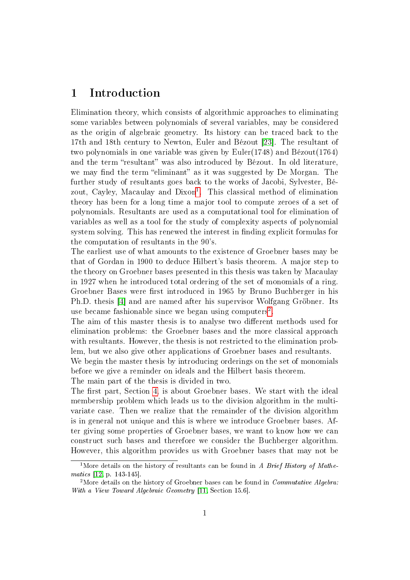# <span id="page-4-0"></span>1 Introduction

Elimination theory, which consists of algorithmic approaches to eliminating some variables between polynomials of several variables, may be considered as the origin of algebraic geometry. Its history can be traced back to the 17th and 18th century to Newton, Euler and Bézout [\[23\]](#page-87-0). The resultant of two polynomials in one variable was given by Euler(1748) and Bézout(1764) and the term "resultant" was also introduced by Bézout. In old literature, we may find the term "eliminant" as it was suggested by De Morgan. The further study of resultants goes back to the works of Jacobi, Sylvester, Bé-zout, Cayley, Macaulay and Dixon<sup>[1](#page-4-1)</sup>. This classical method of elimination theory has been for a long time a major tool to compute zeroes of a set of polynomials. Resultants are used as a computational tool for elimination of variables as well as a tool for the study of complexity aspects of polynomial system solving. This has renewed the interest in finding explicit formulas for the computation of resultants in the 90's.

The earliest use of what amounts to the existence of Groebner bases may be that of Gordan in 1900 to deduce Hilbert's basis theorem. A major step to the theory on Groebner bases presented in this thesis was taken by Macaulay in 1927 when he introduced total ordering of the set of monomials of a ring. Groebner Bases were first introduced in 1965 by Bruno Buchberger in his Ph.D. thesis [\[4\]](#page-86-0) and are named after his supervisor Wolfgang Gröbner. Its use became fashionable since we began using computers<sup>[2](#page-4-2)</sup>.

The aim of this master thesis is to analyse two different methods used for elimination problems: the Groebner bases and the more classical approach with resultants. However, the thesis is not restricted to the elimination problem, but we also give other applications of Groebner bases and resultants.

We begin the master thesis by introducing orderings on the set of monomials before we give a reminder on ideals and the Hilbert basis theorem.

The main part of the thesis is divided in two.

The first part, Section [4,](#page-11-0) is about Groebner bases. We start with the ideal membership problem which leads us to the division algorithm in the multivariate case. Then we realize that the remainder of the division algorithm is in general not unique and this is where we introduce Groebner bases. After giving some properties of Groebner bases, we want to know how we can construct such bases and therefore we consider the Buchberger algorithm. However, this algorithm provides us with Groebner bases that may not be

<span id="page-4-1"></span><sup>&</sup>lt;sup>1</sup>More details on the history of resultants can be found in A Brief History of Mathematics [\[12,](#page-86-1) p. 143-145].

<span id="page-4-2"></span><sup>&</sup>lt;sup>2</sup>More details on the history of Groebner bases can be found in *Commutative Algebra:* With a View Toward Algebraic Geometry [\[11,](#page-86-2) Section 15.6].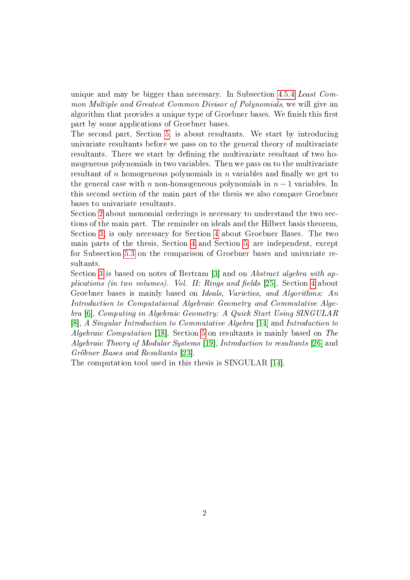unique and may be bigger than necessary. In Subsection [4.5.4](#page-34-0) Least Common Multiple and Greatest Common Divisor of Polynomials, we will give an algorithm that provides a unique type of Groebner bases. We finish this first part by some applications of Groebner bases.

The second part, Section [5,](#page-55-0) is about resultants. We start by introducing univariate resultants before we pass on to the general theory of multivariate resultants. There we start by defining the multivariate resultant of two homogeneous polynomials in two variables. Then we pass on to the multivariate resultant of n homogeneous polynomials in  $n$  variables and finally we get to the general case with n non-homogeneous polynomials in  $n-1$  variables. In this second section of the main part of the thesis we also compare Groebner bases to univariate resultants.

Section [2](#page-6-0) about monomial orderings is necessary to understand the two sections of the main part. The reminder on ideals and the Hilbert basis theorem, Section [3,](#page-9-0) is only necessary for Section [4](#page-11-0) about Groebner Bases. The two main parts of the thesis, Section [4](#page-11-0) and Section [5,](#page-55-0) are independent, except for Subsection [5.3](#page-70-0) on the comparison of Groebner bases and univariate resultants.

Section [3](#page-9-0) is based on notes of Bertram [\[3\]](#page-86-3) and on Abstract algebra with applications (in two volumes). Vol. II: Rings and fields  $[25]$ . Section [4](#page-11-0) about Groebner bases is mainly based on Ideals, Varieties, and Algorithms: An Introduction to Computational Algebraic Geometry and Commutative Algebra [\[6\]](#page-86-4), Computing in Algebraic Geometry: A Quick Start Using SINGULAR [\[8\]](#page-86-5), A Singular Introduction to Commutative Algebra [\[14\]](#page-87-2) and Introduction to Algebraic Computation [\[18\]](#page-87-3). Section [5](#page-55-0) on resultants is mainly based on The Algebraic Theory of Modular Systems [\[19\]](#page-87-4), Introduction to resultants [\[26\]](#page-88-0) and Gröbner Bases and Resultants [\[23\]](#page-87-0).

The computation tool used in this thesis is SINGULAR [\[14\]](#page-87-2).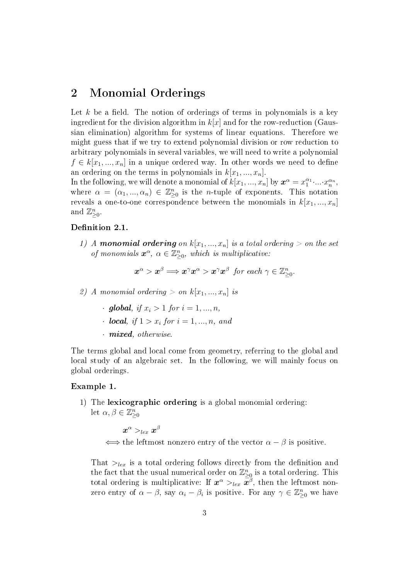# <span id="page-6-0"></span>2 Monomial Orderings

Let k be a field. The notion of orderings of terms in polynomials is a key ingredient for the division algorithm in  $k[x]$  and for the row-reduction (Gaussian elimination) algorithm for systems of linear equations. Therefore we might guess that if we try to extend polynomial division or row reduction to arbitrary polynomials in several variables, we will need to write a polynomial  $f \in k[x_1, ..., x_n]$  in a unique ordered way. In other words we need to define an ordering on the terms in polynomials in  $k[x_1, ..., x_n]$ .

In the following, we will denote a monomial of  $k[x_1, ..., x_n]$  by  $\boldsymbol{x}^{\alpha} = x_1^{\alpha_1} \cdot ... \cdot x_n^{\alpha_n}$ , where  $\alpha = (\alpha_1, ..., \alpha_n) \in \mathbb{Z}_{\geq 0}^n$  is the *n*-tuple of exponents. This notation reveals a one-to-one correspondence between the monomials in  $k[x_1, ..., x_n]$ and  $\mathbb{Z}_{\geq 0}^n$ .

#### Definition 2.1.

1) A monomial ordering on  $k[x_1,...,x_n]$  is a total ordering  $>$  on the set of monomials  $\mathbf{x}^{\alpha}$ ,  $\alpha \in \mathbb{Z}_{\geq 0}^n$ , which is multiplicative:

$$
\boldsymbol{x}^{\alpha} > \boldsymbol{x}^{\beta} \Longrightarrow \boldsymbol{x}^{\gamma} \boldsymbol{x}^{\alpha} > \boldsymbol{x}^{\gamma} \boldsymbol{x}^{\beta} \ \ \textit{for each} \ \gamma \in \mathbb{Z}_{\geq 0}^n.
$$

2) A monomial ordering  $> on k[x_1, ..., x_n]$  is

- · global, if  $x_i > 1$  for  $i = 1, ..., n$ ,
- $\cdot$  local, if  $1 > x_i$  for  $i = 1, ..., n$ , and
- · mixed, otherwise.

The terms global and local come from geometry, referring to the global and local study of an algebraic set. In the following, we will mainly focus on global orderings.

#### Example 1.

1) The lexicographic ordering is a global monomial ordering: let  $\alpha, \beta \in \mathbb{Z}_{\geq 0}^n$ 

$$
\boldsymbol{x}^\alpha >_{lex} \boldsymbol{x}^\beta
$$

 $\iff$  the leftmost nonzero entry of the vector  $\alpha - \beta$  is positive.

That  $>_{lex}$  is a total ordering follows directly from the definition and the fact that the usual numerical order on  $\mathbb{Z}_{\geq 0}^n$  is a total ordering. This total ordering is multiplicative: If  $x^{\alpha} >_{lex} \bar{x}^{\beta}$ , then the leftmost nonzero entry of  $\alpha - \beta$ , say  $\alpha_i - \beta_i$  is positive. For any  $\gamma \in \mathbb{Z}_{\geq 0}^n$  we have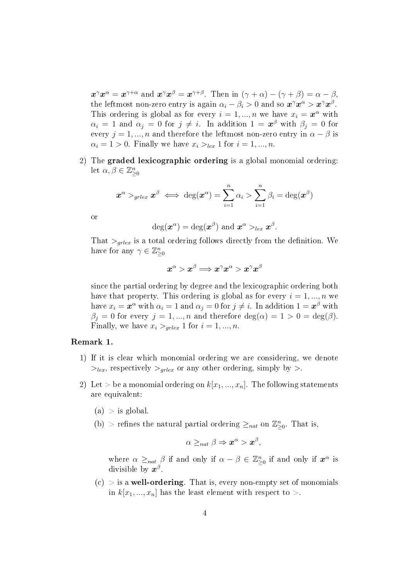$\boldsymbol{x}^{\gamma}\boldsymbol{x}^{\alpha} = \boldsymbol{x}^{\gamma+\alpha}$  and  $\boldsymbol{x}^{\gamma}\boldsymbol{x}^{\beta} = \boldsymbol{x}^{\gamma+\beta}$ . Then in  $(\gamma+\alpha)-(\gamma+\beta)=\alpha-\beta$ , the leftmost non-zero entry is again  $\alpha_i - \beta_i > 0$  and so  $\boldsymbol{x}^\gamma \boldsymbol{x}^\alpha > \boldsymbol{x}^\gamma \boldsymbol{x}^\beta$ . This ordering is global as for every  $i = 1, ..., n$  we have  $x_i = \mathbf{x}^\alpha$  with  $\alpha_i = 1$  and  $\alpha_j = 0$  for  $j \neq i$ . In addition  $1 = \boldsymbol{x}^{\beta}$  with  $\beta_j = 0$  for every  $j = 1, ..., n$  and therefore the leftmost non-zero entry in  $\alpha - \beta$  is  $\alpha_i = 1 > 0$ . Finally we have  $x_i >_{lex} 1$  for  $i = 1, ..., n$ .

2) The graded lexicographic ordering is a global monomial ordering: let  $\alpha, \beta \in \mathbb{Z}_{\geq 0}^n$ 

$$
\boldsymbol{x}^{\alpha} >_{grlex} \boldsymbol{x}^{\beta} \iff \deg(\boldsymbol{x}^{\alpha}) = \sum_{i=1}^{n} \alpha_{i} > \sum_{i=1}^{n} \beta_{i} = \deg(\boldsymbol{x}^{\beta})
$$

or

$$
\deg(\boldsymbol{x}^{\alpha})=\deg(\boldsymbol{x}^{\beta})\,\,\text{and}\,\, \boldsymbol{x}^{\alpha}>_{lex}\boldsymbol{x}^{\beta}.
$$

That  $>_{grlex}$  is a total ordering follows directly from the definition. We have for any  $\gamma \in \mathbb{Z}_{\geq 0}^n$ 

$$
\boldsymbol{x}^\alpha>\boldsymbol{x}^\beta \Longrightarrow \boldsymbol{x}^\gamma \boldsymbol{x}^\alpha > \boldsymbol{x}^\gamma \boldsymbol{x}^\beta
$$

since the partial ordering by degree and the lexicographic ordering both have that property. This ordering is global as for every  $i = 1, ..., n$  we have  $x_i = \boldsymbol{x}^{\alpha}$  with  $\alpha_i = 1$  and  $\alpha_j = 0$  for  $j \neq i$ . In addition  $1 = \boldsymbol{x}^{\beta}$  with  $\beta_j = 0$  for every  $j = 1, ..., n$  and therefore  $\deg(\alpha) = 1 > 0 = \deg(\beta)$ . Finally, we have  $x_i >_{grlex} 1$  for  $i = 1, ..., n$ .

#### Remark 1.

- 1) If it is clear which monomial ordering we are considering, we denote  $>_{lex}$ , respectively  $>_{arlex}$  or any other ordering, simply by  $>$ .
- 2) Let > be a monomial ordering on  $k[x_1, ..., x_n]$ . The following statements are equivalent:
	- $(a) >$  is global.
	- (b) > refines the natural partial ordering  $\geq_{nat}$  on  $\mathbb{Z}_{\geq 0}^n$ . That is,

$$
\alpha \geq_{nat} \beta \Rightarrow \boldsymbol{x}^{\alpha} > \boldsymbol{x}^{\beta},
$$

where  $\alpha \geq_{nat} \beta$  if and only if  $\alpha - \beta \in \mathbb{Z}_{\geq 0}^n$  if and only if  $\mathbf{x}^\alpha$  is divisible by  $\boldsymbol{x}^{\beta}$ .

 $(c) >$  is a well-ordering. That is, every non-empty set of monomials in  $k[x_1, ..., x_n]$  has the least element with respect to  $\geq$ .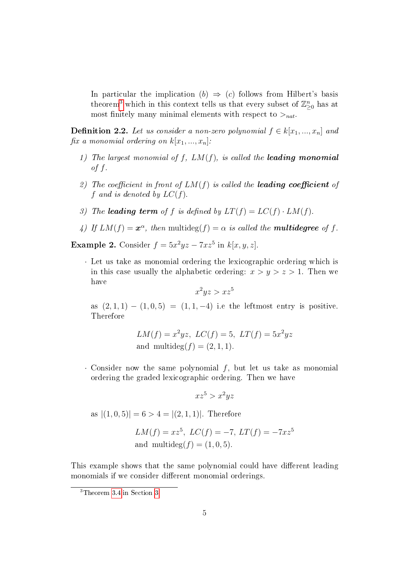In particular the implication  $(b) \Rightarrow (c)$  follows from Hilbert's basis theorem<sup>[3](#page-8-0)</sup> which in this context tells us that every subset of  $\mathbb{Z}_{\geq 0}^n$  has at most finitely many minimal elements with respect to  $>_{nat}$ .

**Definition 2.2.** Let us consider a non-zero polynomial  $f \in k[x_1, ..., x_n]$  and fix a monomial ordering on  $k[x_1, ..., x_n]$ :

- 1) The largest monomial of  $f$ ,  $LM(f)$ , is called the **leading monomial** of  $f$ .
- 2) The coefficient in front of  $LM(f)$  is called the **leading coefficient** of f and is denoted by  $LC(f)$ .
- 3) The leading term of f is defined by  $LT(f) = LC(f) \cdot LM(f)$ .
- 4) If  $LM(f) = x^{\alpha}$ , then multideg(f) =  $\alpha$  is called the **multidegree** of f.

**Example 2.** Consider  $f = 5x^2yz - 7xz^5$  in  $k[x, y, z]$ .

· Let us take as monomial ordering the lexicographic ordering which is in this case usually the alphabetic ordering:  $x > y > z > 1$ . Then we have

$$
x^2yz > xz^5
$$

as  $(2, 1, 1) - (1, 0, 5) = (1, 1, -4)$  i.e the leftmost entry is positive. Therefore

$$
LM(f) = x^2yz
$$
,  $LC(f) = 5$ ,  $LT(f) = 5x^2yz$   
and  $multideg(f) = (2, 1, 1)$ .

 $\cdot$  Consider now the same polynomial  $f$ , but let us take as monomial ordering the graded lexicographic ordering. Then we have

$$
xz^5 > x^2yz
$$

as  $|(1,0,5)|=6>4=|(2,1,1)|$ . Therefore

$$
LM(f) = xz^5
$$
,  $LC(f) = -7$ ,  $LT(f) = -7xz^5$   
and multideg $(f) = (1, 0, 5)$ .

This example shows that the same polynomial could have different leading monomials if we consider different monomial orderings.

<span id="page-8-0"></span><sup>3</sup>Theorem [3.4](#page-10-0) in Section [3.](#page-9-0)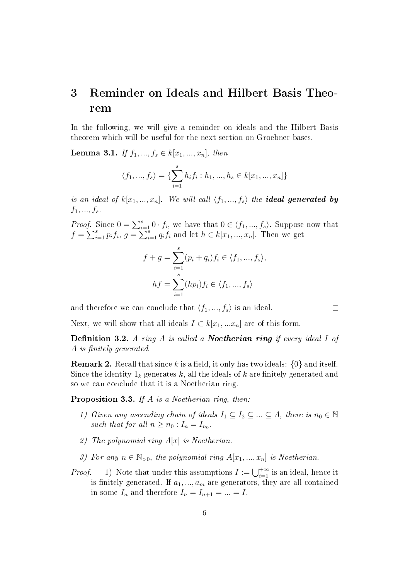# <span id="page-9-0"></span>3 Reminder on Ideals and Hilbert Basis Theorem

In the following, we will give a reminder on ideals and the Hilbert Basis theorem which will be useful for the next section on Groebner bases.

<span id="page-9-2"></span>**Lemma 3.1.** If  $f_1, ..., f_s \in k[x_1, ..., x_n]$ , then

$$
\langle f_1, ..., f_s \rangle = \{ \sum_{i=1}^s h_i f_i : h_1, ..., h_s \in k[x_1, ..., x_n] \}
$$

is an ideal of  $k[x_1, ..., x_n]$ . We will call  $\langle f_1, ..., f_s \rangle$  the **ideal generated by**  $f_1, ..., f_s$ .

*Proof.* Since  $0 = \sum_{i=1}^{s} 0 \cdot f_i$ , we have that  $0 \in \langle f_1, ..., f_s \rangle$ . Suppose now that  $f = \sum_{i=1}^{s} p_i f_i, g = \sum_{i=1}^{s} q_i f_i$  and let  $h \in k[x_1, ..., x_n]$ . Then we get

$$
f + g = \sum_{i=1}^{s} (p_i + q_i) f_i \in \langle f_1, ..., f_s \rangle,
$$
  

$$
hf = \sum_{i=1}^{s} (hp_i) f_i \in \langle f_1, ..., f_s \rangle
$$

and therefore we can conclude that  $\langle f_1, ..., f_s \rangle$  is an ideal.

Next, we will show that all ideals  $I \subset k[x_1,...x_n]$  are of this form.

**Definition 3.2.** A ring A is called a **Noetherian ring** if every ideal I of A is finitely generated.

**Remark 2.** Recall that since k is a field, it only has two ideals:  $\{0\}$  and itself. Since the identity  $1_k$  generates k, all the ideals of k are finitely generated and so we can conclude that it is a Noetherian ring.

<span id="page-9-1"></span>**Proposition 3.3.** If  $A$  is a Noetherian ring, then:

- 1) Given any ascending chain of ideals  $I_1 \subseteq I_2 \subseteq ... \subseteq A$ , there is  $n_0 \in \mathbb{N}$ such that for all  $n \geq n_0$ :  $I_n = I_{n_0}$ .
- 2) The polynomial ring  $A[x]$  is Noetherian.
- 3) For any  $n \in \mathbb{N}_{>0}$ , the polynomial ring  $A[x_1, ..., x_n]$  is Noetherian.
- *Proof.* 1) Note that under this assumptions  $I := \bigcup_{i=1}^{+\infty}$  is an ideal, hence it is finitely generated. If  $a_1, ..., a_m$  are generators, they are all contained in some  $I_n$  and therefore  $I_n = I_{n+1} = ... = I$ .

 $\Box$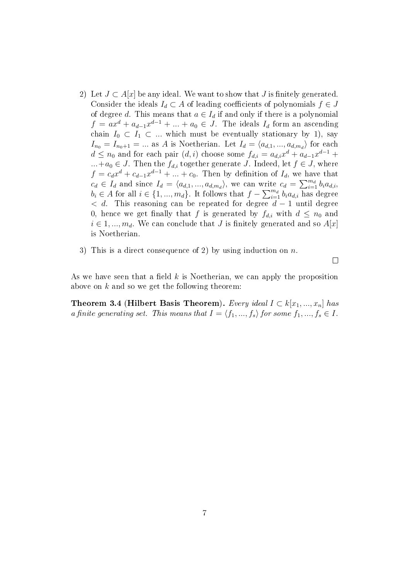- 2) Let  $J \subset A[x]$  be any ideal. We want to show that J is finitely generated. Consider the ideals  $I_d \subset A$  of leading coefficients of polynomials  $f \in J$ of degree d. This means that  $a \in I_d$  if and only if there is a polynomial  $f = ax^d + a_{d-1}x^{d-1} + ... + a_0 \in J$ . The ideals  $I_d$  form an ascending chain  $I_0 \subset I_1 \subset \dots$  which must be eventually stationary by 1), say  $I_{n_0} = I_{n_0+1} = ...$  as A is Noetherian. Let  $I_d = \langle a_{d,1}, ..., a_{d,m_d} \rangle$  for each  $d \leq n_0$  and for each pair  $(d, i)$  choose some  $f_{d,i} = a_{d,i}x^d + a_{d-1}x^{d-1} +$  $...+a_0 \in J$ . Then the  $f_{d,i}$  together generate J. Indeed, let  $f \in J$ , where  $f = c_d x^d + c_{d-1} x^{d-1} + \ldots + c_0$ . Then by definition of  $I_d$ , we have that  $c_d \in I_d$  and since  $I_d = \langle a_{d,1}, ..., a_{d,m_d} \rangle$ , we can write  $c_d = \sum_{i=1}^{m_d} b_i a_{d,i}$ ,  $b_i \in A$  for all  $i \in \{1, ..., m_d\}$ . It follows that  $f - \sum_{i=1}^{m_d} b_i a_{d,i}$  has degree  $d$ . This reasoning can be repeated for degree  $d-1$  until degree 0, hence we get finally that f is generated by  $f_{d,i}$  with  $d \leq n_0$  and  $i \in 1, ..., m_d$ . We can conclude that J is finitely generated and so  $A[x]$ is Noetherian.
- 3) This is a direct consequence of 2) by using induction on n.

 $\Box$ 

As we have seen that a field  $k$  is Noetherian, we can apply the proposition above on  $k$  and so we get the following theorem:

<span id="page-10-0"></span>Theorem 3.4 (Hilbert Basis Theorem). Every ideal  $I \subset k[x_1, ..., x_n]$  has a finite generating set. This means that  $I = \langle f_1, ..., f_s \rangle$  for some  $f_1, ..., f_s \in I$ .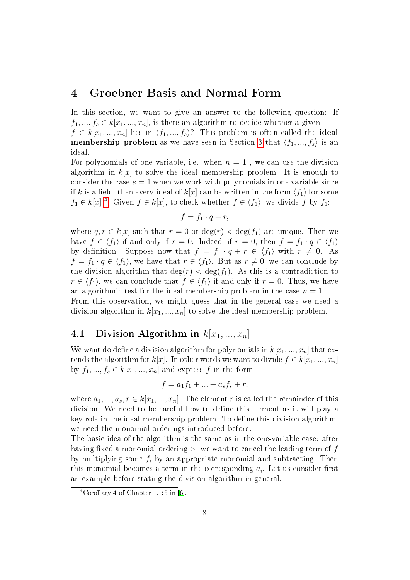# <span id="page-11-0"></span>4 Groebner Basis and Normal Form

In this section, we want to give an answer to the following question: If  $f_1, ..., f_s \in k[x_1, ..., x_n]$ , is there an algorithm to decide whether a given  $f \in k[x_1, ..., x_n]$  lies in  $\langle f_1, ..., f_s \rangle$ ? This problem is often called the ideal **membership problem** as we have seen in Section [3](#page-9-0) that  $\langle f_1, ..., f_s \rangle$  is an ideal.

For polynomials of one variable, i.e. when  $n = 1$ , we can use the division algorithm in  $k[x]$  to solve the ideal membership problem. It is enough to consider the case  $s = 1$  when we work with polynomials in one variable since if k is a field, then every ideal of  $k[x]$  can be written in the form  $\langle f_1 \rangle$  for some  $f_1 \in k[x]$ <sup>[4](#page-11-2)</sup>. Given  $f \in k[x]$ , to check whether  $f \in \langle f_1 \rangle$ , we divide f by  $f_1$ :

$$
f = f_1 \cdot q + r,
$$

where  $q, r \in k[x]$  such that  $r = 0$  or  $deg(r) < deg(f_1)$  are unique. Then we have  $f \in \langle f_1 \rangle$  if and only if  $r = 0$ . Indeed, if  $r = 0$ , then  $f = f_1 \cdot q \in \langle f_1 \rangle$ by definition. Suppose now that  $f = f_1 \cdot q + r \in \langle f_1 \rangle$  with  $r \neq 0$ . As  $f = f_1 \cdot q \in \langle f_1 \rangle$ , we have that  $r \in \langle f_1 \rangle$ . But as  $r \neq 0$ , we can conclude by the division algorithm that  $\deg(r) < \deg(f_1)$ . As this is a contradiction to  $r \in \langle f_1 \rangle$ , we can conclude that  $f \in \langle f_1 \rangle$  if and only if  $r = 0$ . Thus, we have an algorithmic test for the ideal membership problem in the case  $n = 1$ . From this observation, we might guess that in the general case we need a division algorithm in  $k[x_1, ..., x_n]$  to solve the ideal membership problem.

# <span id="page-11-1"></span>4.1 Division Algorithm in  $k[x_1, ..., x_n]$

We want do define a division algorithm for polynomials in  $k[x_1, ..., x_n]$  that extends the algorithm for  $k[x]$ . In other words we want to divide  $f \in k[x_1, ..., x_n]$ by  $f_1, ..., f_s \in k[x_1, ..., x_n]$  and express  $f$  in the form

$$
f = a_1 f_1 + \dots + a_s f_s + r,
$$

where  $a_1, ..., a_s, r \in k[x_1, ..., x_n]$ . The element r is called the remainder of this division. We need to be careful how to define this element as it will play a key role in the ideal membership problem. To define this division algorithm. we need the monomial orderings introduced before.

The basic idea of the algorithm is the same as in the one-variable case: after having fixed a monomial ordering  $>$ , we want to cancel the leading term of f by multiplying some  $f_i$  by an appropriate monomial and subtracting. Then this monomial becomes a term in the corresponding  $a_i$ . Let us consider first an example before stating the division algorithm in general.

<span id="page-11-2"></span> $4$ Corollary 4 of Chapter 1, §5 in [\[6\]](#page-86-4).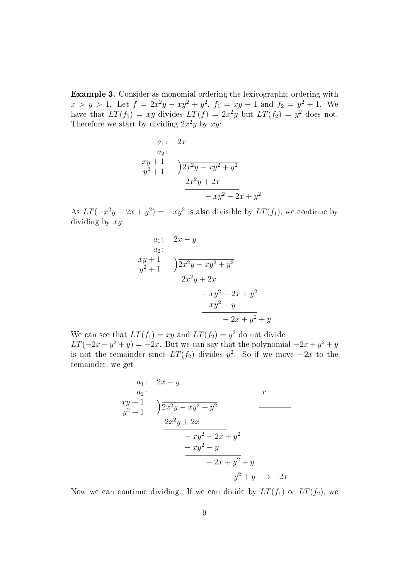Example 3. Consider as monomial ordering the lexicographic ordering with  $x > y > 1$ . Let  $f = 2x^2y - xy^2 + y^2$ ,  $f_1 = xy + 1$  and  $f_2 = y^2 + 1$ . We have that  $LT(f_1) = xy$  divides  $LT(f) = 2x^2y$  but  $LT(f_2) = y^2$  does not. Therefore we start by dividing  $2x^2y$  by xy:

$$
a_1: \quad 2x
$$
  
\n
$$
a_2: \\
xy + 1 \\
y^2 + 1\n\end{cases}\n\quad\n\begin{cases}\n2x^2y - xy^2 + y^2 \\
2x^2y + 2x \\
-xy^2 - 2x + y^2\n\end{cases}
$$

As  $LT(-x^2y - 2x + y^2) = -xy^2$  is also divisible by  $LT(f_1)$ , we continue by dividing by  $xy$ :

$$
a_1: \quad 2x - y
$$
  
\n
$$
a_2:
$$
  
\n
$$
xy + 1
$$
  
\n
$$
yx^2 + 1
$$
  
\n
$$
2x^2y - xy^2 + y^2
$$
  
\n
$$
2x^2y + 2x
$$
  
\n
$$
-xy^2 - 2x + y^2
$$
  
\n
$$
-xy^2 - y
$$
  
\n
$$
-2x + y^2 + y
$$

We can see that  $LT(f_1) = xy$  and  $LT(f_2) = y^2$  do not divide  $LT(-2x+y^2+y) = -2x$ . But we can say that the polynomial  $-2x+y^2+y$ is not the remainder since  $LT(f_2)$  divides  $y^2$ . So if we move  $-2x$  to the remainder, we get

$$
a_1: \quad 2x - y
$$
\n
$$
a_2: \quad r
$$
\n
$$
xy + 1
$$
\n
$$
2x^2y - xy^2 + y^2
$$
\n
$$
2x^2y + 2x
$$
\n
$$
-xy^2 - 2x + y^2
$$
\n
$$
-xy^2 - y
$$
\n
$$
-2x + y^2 + y
$$
\n
$$
y^2 + y \rightarrow -2x
$$

Now we can continue dividing. If we can divide by  $LT(f_1)$  or  $LT(f_2)$ , we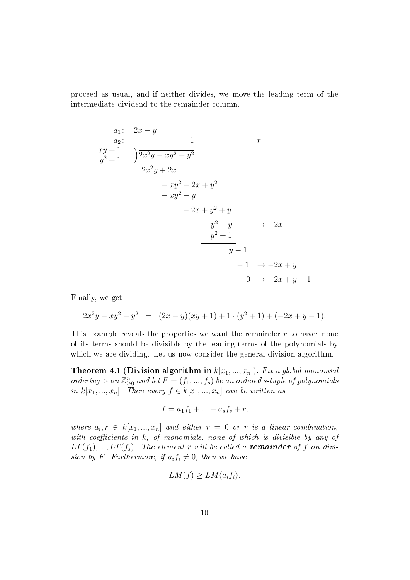proceed as usual, and if neither divides, we move the leading term of the intermediate dividend to the remainder column.

$$
a_1: 2x - y\n a_2: 1\n xy + 1\n y2 + 1) 2x2y - xy2 + y2\n 2x2y + 2x\n - xy2 - 2x + y2\n - xy2 - y\n 2x + y2 + y\n y2 + y\n y2 + 1\n y - 1\n y - 1\n 0  $\rightarrow$  -2x + y - 1
$$

Finally, we get

$$
2x^2y - xy^2 + y^2 = (2x - y)(xy + 1) + 1 \cdot (y^2 + 1) + (-2x + y - 1).
$$

This example reveals the properties we want the remainder  $r$  to have: none of its terms should be divisible by the leading terms of the polynomials by which we are dividing. Let us now consider the general division algorithm.

Theorem 4.1 (Division algorithm in  $k[x_1, ..., x_n]$ ). Fix a global monomial ordering  $>$  on  $\mathbb{Z}_{\geq 0}^n$  and let  $F=(f_1,...,f_s)$  be an ordered s-tuple of polynomials in  $k[x_1, ..., x_n]$ . Then every  $f \in k[x_1, ..., x_n]$  can be written as

$$
f = a_1 f_1 + \dots + a_s f_s + r,
$$

where  $a_i, r \in k[x_1, ..., x_n]$  and either  $r = 0$  or r is a linear combination, with coefficients in  $k$ , of monomials, none of which is divisible by any of  $LT(f_1),...,LT(f_s)$ . The element r will be called a **remainder** of f on division by F. Furthermore, if  $a_i f_i \neq 0$ , then we have

$$
LM(f) \ge LM(a_if_i).
$$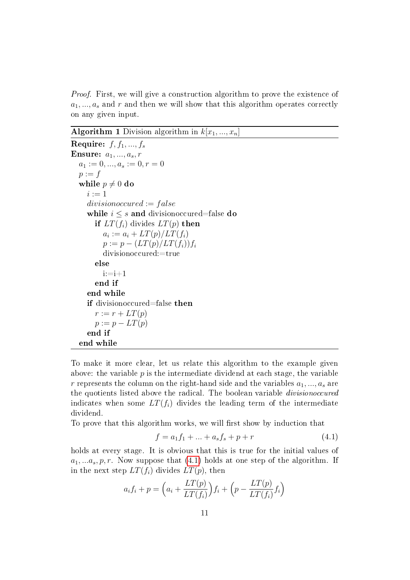*Proof.* First, we will give a construction algorithm to prove the existence of  $a_1, \ldots, a_s$  and r and then we will show that this algorithm operates correctly on any given input.

**Algorithm 1** Division algorithm in  $k[x_1, ..., x_n]$ 

```
Require: f, f_1, ..., f_sEnsure: a_1, ..., a_s, ra_1 := 0, ..., a_s := 0, r = 0p := fwhile p \neq 0 do
    i := 1divisionoccured := falsewhile i \leq s and divisionoccured=false do
       if LT(f_i) divides LT(p) then
         a_i := a_i + LT(p)/LT(f_i)p := p - (LT(p)/LT(f_i))f_idivisionoccured:=true
       else
         i:=i+1end if
    end while
    if divisionoccured=false then
       r := r + LT(p)p := p - LT(p)end if
  end while
```
To make it more clear, let us relate this algorithm to the example given above: the variable  $p$  is the intermediate dividend at each stage, the variable r represents the column on the right-hand side and the variables  $a_1, ..., a_s$  are the quotients listed above the radical. The boolean variable divisionoccured indicates when some  $LT(f_i)$  divides the leading term of the intermediate dividend.

To prove that this algorithm works, we will first show by induction that

<span id="page-14-0"></span>
$$
f = a_1 f_1 + \dots + a_s f_s + p + r \tag{4.1}
$$

holds at every stage. It is obvious that this is true for the initial values of  $a_1, \ldots a_s, p, r$ . Now suppose that [\(4.1\)](#page-14-0) holds at one step of the algorithm. If in the next step  $LT(f_i)$  divides  $LT(p)$ , then

$$
a_i f_i + p = \left( a_i + \frac{LT(p)}{LT(f_i)} \right) f_i + \left( p - \frac{LT(p)}{LT(f_i)} f_i \right)
$$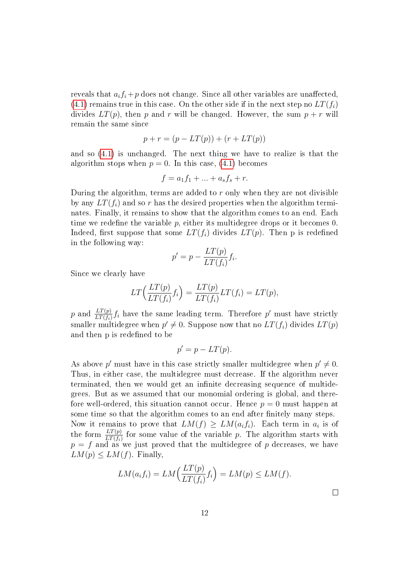reveals that  $a_i f_i + p$  does not change. Since all other variables are unaffected, [\(4.1\)](#page-14-0) remains true in this case. On the other side if in the next step no  $LT(f_i)$ divides  $LT(p)$ , then p and r will be changed. However, the sum  $p + r$  will remain the same since

$$
p + r = (p - LT(p)) + (r + LT(p))
$$

and so [\(4.1\)](#page-14-0) is unchanged. The next thing we have to realize is that the algorithm stops when  $p = 0$ . In this case, [\(4.1\)](#page-14-0) becomes

$$
f = a_1 f_1 + \dots + a_s f_s + r.
$$

During the algorithm, terms are added to  $r$  only when they are not divisible by any  $LT(f_i)$  and so r has the desired properties when the algorithm terminates. Finally, it remains to show that the algorithm comes to an end. Each time we redefine the variable  $p$ , either its multidegree drops or it becomes 0. Indeed, first suppose that some  $LT(f_i)$  divides  $LT(p)$ . Then p is redefined in the following way:

$$
p' = p - \frac{LT(p)}{LT(f_i)} f_i.
$$

Since we clearly have

$$
LT\Big(\frac{LT(p)}{LT(f_i)}f_i\Big) = \frac{LT(p)}{LT(f_i)}LT(f_i) = LT(p),
$$

p and  $\frac{LT(p)}{LT(f_i)}f_i$  have the same leading term. Therefore p' must have strictly smaller multidegree when  $p' \neq 0$ . Suppose now that no  $LT(f_i)$  divides  $LT(p)$ and then p is redefined to be

$$
p' = p - LT(p).
$$

As above p' must have in this case strictly smaller multidegree when  $p' \neq 0$ . Thus, in either case, the multidegree must decrease. If the algorithm never terminated, then we would get an infinite decreasing sequence of multidegrees. But as we assumed that our monomial ordering is global, and therefore well-ordered, this situation cannot occur. Hence  $p = 0$  must happen at some time so that the algorithm comes to an end after finitely many steps. Now it remains to prove that  $LM(f) \geq LM(a_if_i)$ . Each term in  $a_i$  is of the form  $\frac{LT(p)}{LT(f_i)}$  for some value of the variable p. The algorithm starts with  $p = f$  and as we just proved that the multidegree of p decreases, we have  $LM(p) \le LM(f)$ . Finally,

$$
LM(a_i f_i) = LM\left(\frac{LT(p)}{LT(f_i)} f_i\right) = LM(p) \le LM(f).
$$

 $\Box$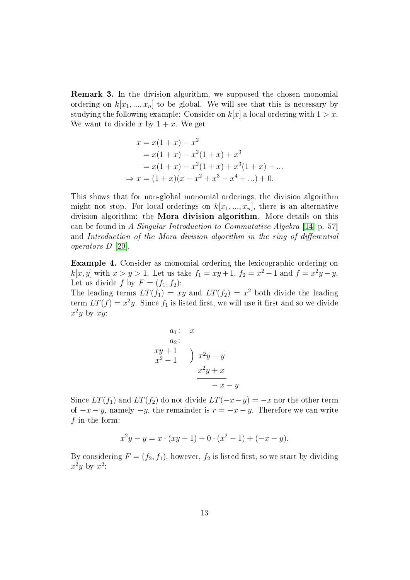Remark 3. In the division algorithm, we supposed the chosen monomial ordering on  $k[x_1, ..., x_n]$  to be global. We will see that this is necessary by studying the following example: Consider on  $k[x]$  a local ordering with  $1 > x$ . We want to divide x by  $1 + x$ . We get

$$
x = x(1+x) - x2
$$
  
= x(1+x) - x<sup>2</sup>(1+x) + x<sup>3</sup>  
= x(1+x) - x<sup>2</sup>(1+x) + x<sup>3</sup>(1+x) - ...  

$$
\Rightarrow x = (1+x)(x - x2 + x3 - x4 + ...) + 0.
$$

This shows that for non-global monomial orderings, the division algorithm might not stop. For local orderings on  $k[x_1, ..., x_n]$ , there is an alternative division algorithm: the Mora division algorithm. More details on this can be found in A Singular Introduction to Commutative Algebra [\[14,](#page-87-2) p. 57] and Introduction of the Mora division algorithm in the ring of differential operators D [\[20\]](#page-87-5).

Example 4. Consider as monomial ordering the lexicographic ordering on  $k[x, y]$  with  $x > y > 1$ . Let us take  $f_1 = xy + 1$ ,  $f_2 = x^2 - 1$  and  $f = x^2y - y$ . Let us divide f by  $F = (f_1, f_2)$ :

The leading terms  $LT(f_1) = xy$  and  $LT(f_2) = x^2$  both divide the leading term  $LT(f) = x^2y$ . Since  $f_1$  is listed first, we will use it first and so we divide  $x^2y$  by  $xy$ :

$$
a_1: x
$$
  
\n
$$
a_2: x
$$
  
\n
$$
x^2 + 1
$$
  
\n
$$
x^2 - 1
$$
  
\n
$$
x^2y + x
$$
  
\n
$$
-x - 1
$$

Since  $LT(f_1)$  and  $LT(f_2)$  do not divide  $LT(-x-y) = -x$  nor the other term of  $-x-y$ , namely  $-y$ , the remainder is  $r = -x - y$ . Therefore we can write f in the form:

 $\mathcal{Y}$ 

$$
x^{2}y - y = x \cdot (xy + 1) + 0 \cdot (x^{2} - 1) + (-x - y).
$$

By considering  $F = (f_2, f_1)$ , however,  $f_2$  is listed first, so we start by dividing  $x^2y$  by  $x^2$ :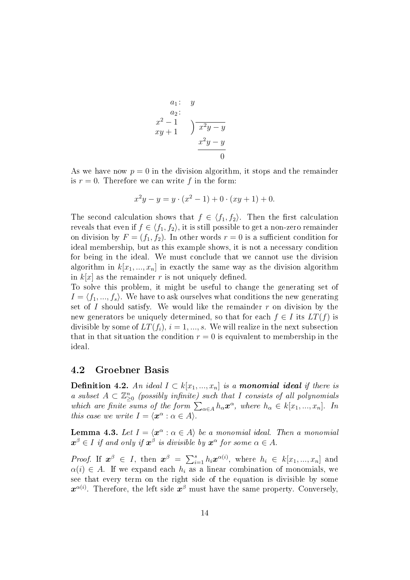$$
\begin{array}{c}\na_1: y \\
a_2: \\
x^2-1 \\
xy+1\n\end{array}\n\quad\n\begin{array}{c}\n\text{a 2 } y \\
\hline\n\frac{x^2y-y}{0} \\
0\n\end{array}
$$

As we have now  $p = 0$  in the division algorithm, it stops and the remainder is  $r = 0$ . Therefore we can write f in the form:

$$
x^{2}y - y = y \cdot (x^{2} - 1) + 0 \cdot (xy + 1) + 0.
$$

The second calculation shows that  $f \in \langle f_1, f_2 \rangle$ . Then the first calculation reveals that even if  $f \in \langle f_1, f_2 \rangle$ , it is still possible to get a non-zero remainder on division by  $F = (f_1, f_2)$ . In other words  $r = 0$  is a sufficient condition for ideal membership, but as this example shows, it is not a necessary condition for being in the ideal. We must conclude that we cannot use the division algorithm in  $k[x_1, ..., x_n]$  in exactly the same way as the division algorithm in  $k[x]$  as the remainder r is not uniquely defined.

To solve this problem, it might be useful to change the generating set of  $I = \langle f_1, ..., f_s \rangle$ . We have to ask ourselves what conditions the new generating set of I should satisfy. We would like the remainder  $r$  on division by the new generators be uniquely determined, so that for each  $f \in I$  its  $LT(f)$  is divisible by some of  $LT(f_i)$ ,  $i = 1, ..., s$ . We will realize in the next subsection that in that situation the condition  $r = 0$  is equivalent to membership in the ideal.

### <span id="page-17-0"></span>4.2 Groebner Basis

**Definition 4.2.** An ideal  $I \subset k[x_1, ..., x_n]$  is a monomial ideal if there is a subset  $A \subset \mathbb{Z}_{\geq 0}^n$  (possibly infinite) such that I consists of all polynomials which are finite sums of the form  $\sum_{\alpha \in A} h_{\alpha} x^{\alpha}$ , where  $h_{\alpha} \in k[x_1, ..., x_n]$ . In this case we write  $I = \langle \boldsymbol{x}^{\alpha} : \alpha \in A \rangle$ .

<span id="page-17-1"></span>**Lemma 4.3.** Let  $I = \langle x^{\alpha} : \alpha \in A \rangle$  be a monomial ideal. Then a monomial  $\boldsymbol{x}^{\beta} \in I$  if and only if  $\boldsymbol{x}^{\beta}$  is divisible by  $\boldsymbol{x}^{\alpha}$  for some  $\alpha \in A.$ 

*Proof.* If  $x^{\beta} \in I$ , then  $x^{\beta} = \sum_{i=1}^{s} h_i x^{\alpha(i)}$ , where  $h_i \in k[x_1, ..., x_n]$  and  $\alpha(i) \in A$ . If we expand each  $h_i$  as a linear combination of monomials, we see that every term on the right side of the equation is divisible by some  $\bm{x}^{\alpha(i)}$ . Therefore, the left side  $\bm{x}^{\beta}$  must have the same property. Conversely,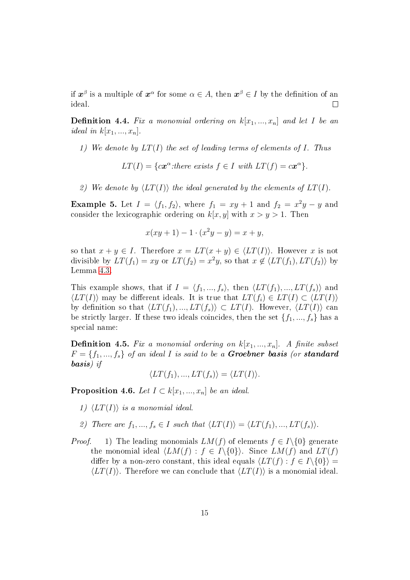if  $\bm{x}^{\beta}$  is a multiple of  $\bm{x}^{\alpha}$  for some  $\alpha \in A,$  then  $\bm{x}^{\beta} \in I$  by the definition of an ideal.  $\Box$ 

**Definition 4.4.** Fix a monomial ordering on  $k[x_1, ..., x_n]$  and let I be an ideal in  $k[x_1, ..., x_n]$ .

1) We denote by  $LT(I)$  the set of leading terms of elements of I. Thus

 $LT(I) = \{cx^{\alpha} : there \ exists \ f \in I \ with \ LT(f) = cx^{\alpha} \}.$ 

2) We denote by  $\langle LT(I)\rangle$  the ideal generated by the elements of  $LT(I)$ .

<span id="page-18-1"></span>**Example 5.** Let  $I = \langle f_1, f_2 \rangle$ , where  $f_1 = xy + 1$  and  $f_2 = x^2y - y$  and consider the lexicographic ordering on  $k[x, y]$  with  $x > y > 1$ . Then

$$
x(xy + 1) - 1 \cdot (x^2y - y) = x + y,
$$

so that  $x + y \in I$ . Therefore  $x = LT(x + y) \in \langle LT(I) \rangle$ . However x is not divisible by  $LT(f_1) = xy$  or  $LT(f_2) = x^2y$ , so that  $x \notin \langle LT(f_1), LT(f_2) \rangle$  by Lemma [4.3.](#page-17-1)

This example shows, that if  $I = \langle f_1, ..., f_s \rangle$ , then  $\langle LT(f_1), ..., LT(f_s) \rangle$  and  $\langle LT(I)\rangle$  may be different ideals. It is true that  $LT(f_i) \in LT(I) \subset \langle LT(I)\rangle$ by definition so that  $\langle LT(f_1), ..., LT(f_s)\rangle \subset LT(I)$ . However,  $\langle LT(I)\rangle$  can be strictly larger. If these two ideals coincides, then the set  $\{f_1, ..., f_s\}$  has a special name:

**Definition 4.5.** Fix a monomial ordering on  $k[x_1, ..., x_n]$ . A finite subset  $F = \{f_1, ..., f_s\}$  of an ideal I is said to be a **Groebner basis** (or **standard** basis) if

 $\langle LT(f_1), ..., LT(f_s)\rangle = \langle LT(I)\rangle.$ 

<span id="page-18-0"></span>**Proposition 4.6.** Let  $I \subset k[x_1, ..., x_n]$  be an ideal.

- 1)  $\langle LT(I)\rangle$  is a monomial ideal.
- 2) There are  $f_1, ..., f_s \in I$  such that  $\langle LT(I) \rangle = \langle LT(f_1), ..., LT(f_s) \rangle$ .
- *Proof.* 1) The leading monomials  $LM(f)$  of elements  $f \in I \setminus \{0\}$  generate the monomial ideal  $\langle LM(f) : f \in I \setminus \{0\}\rangle$ . Since  $LM(f)$  and  $LT(f)$ differ by a non-zero constant, this ideal equals  $\langle LT(f) : f \in I \setminus \{0\}\rangle =$  $\langle LT(I)\rangle$ . Therefore we can conclude that  $\langle LT(I)\rangle$  is a monomial ideal.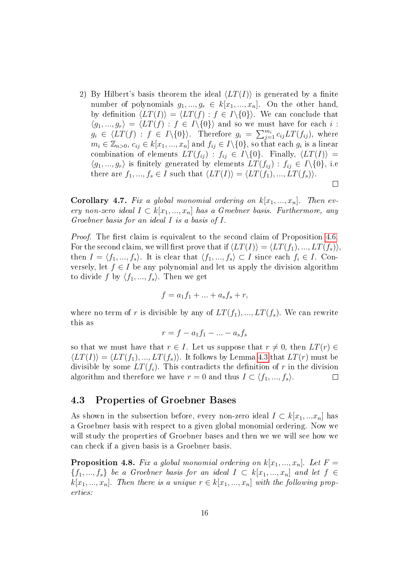2) By Hilbert's basis theorem the ideal  $\langle LT(I)\rangle$  is generated by a finite number of polynomials  $g_1, ..., g_r \in k[x_1, ..., x_n]$ . On the other hand, by definition  $\langle LT(I)\rangle = \langle LT(f): f \in I\setminus\{0\}\rangle$ . We can conclude that  $\langle g_1, ..., g_r \rangle = \langle LT(f) : f \in I \setminus \{0\} \rangle$  and so we must have for each i:  $g_i \in \langle LT(f) : f \in I \setminus \{0\} \rangle$ . Therefore  $g_i = \sum_{j=1}^{m_i} c_{ij} LT(f_{ij}),$  where  $m_i \in \mathbb{Z}_{n>0}, c_{ij} \in k[x_1,...,x_n]$  and  $f_{ij} \in I \setminus \{0\}$ , so that each  $g_i$  is a linear combination of elements  $LT(f_{ij})$ :  $f_{ij} \in I\setminus\{0\}$ . Finally,  $\langle LT(I)\rangle$  =  $\langle g_1, ..., g_r \rangle$  is finitely generated by elements  $LT(f_{ij}) : f_{ij} \in I \setminus \{0\},\$ i.e there are  $f_1, ..., f_s \in I$  such that  $\langle LT(I)\rangle = \langle LT(f_1), ..., LT(f_s)\rangle$ .  $\Box$ 

**Corollary 4.7.** Fix a global monomial ordering on  $k[x_1, ..., x_n]$ . Then every non-zero ideal  $I \subset k[x_1,...,x_n]$  has a Groebner basis. Furthermore, any Groebner basis for an ideal I is a basis of I.

*Proof.* The first claim is equivalent to the second claim of Proposition [4.6.](#page-18-0) For the second claim, we will first prove that if  $\langle LT(I)\rangle = \langle LT(f_1), ..., LT(f_s)\rangle$ then  $I = \langle f_1, ..., f_s \rangle$ . It is clear that  $\langle f_1, ..., f_s \rangle \subset I$  since each  $f_i \in I$ . Conversely, let  $f \in I$  be any polynomial and let us apply the division algorithm to divide f by  $\langle f_1, ..., f_s \rangle$ . Then we get

$$
f = a_1 f_1 + \dots + a_s f_s + r,
$$

where no term of r is divisible by any of  $LT(f_1), ..., LT(f_s)$ . We can rewrite this as

$$
r = f - a_1 f_1 - \dots - a_s f_s
$$

so that we must have that  $r \in I$ . Let us suppose that  $r \neq 0$ , then  $LT(r) \in$  $\langle LT(I)\rangle = \langle LT(f_1), ..., LT(f_s)\rangle$ . It follows by Lemma [4.3](#page-17-1) that  $LT(r)$  must be divisible by some  $LT(f_i)$ . This contradicts the definition of r in the division algorithm and therefore we have  $r = 0$  and thus  $I \subset \langle f_1, ..., f_s \rangle$ .  $\Box$ 

### <span id="page-19-0"></span>4.3 Properties of Groebner Bases

As shown in the subsection before, every non-zero ideal  $I \subset k[x_1,...x_n]$  has a Groebner basis with respect to a given global monomial ordering. Now we will study the properties of Groebner bases and then we we will see how we can check if a given basis is a Groebner basis.

<span id="page-19-1"></span>**Proposition 4.8.** Fix a global monomial ordering on  $k[x_1, ..., x_n]$ . Let  $F =$  ${f_1, ..., f_s}$  be a Groebner basis for an ideal  $I \subset k[x_1, ..., x_n]$  and let  $f \in$  $k[x_1, ..., x_n]$ . Then there is a unique  $r \in k[x_1, ..., x_n]$  with the following properties: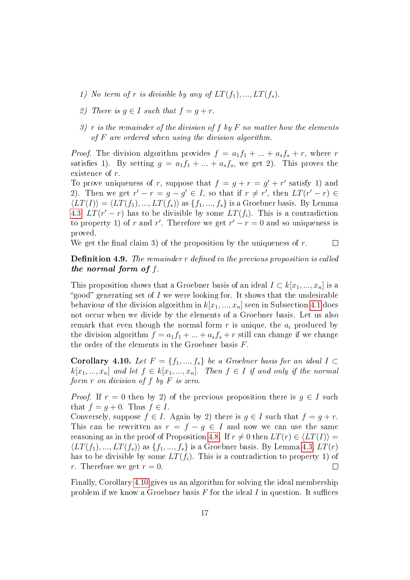- 1) No term of r is divisible by any of  $LT(f_1), ..., LT(f_s)$ .
- 2) There is  $q \in I$  such that  $f = q + r$ .
- 3) r is the remainder of the division of f by F no matter how the elements of F are ordered when using the division algorithm.

*Proof.* The division algorithm provides  $f = a_1f_1 + ... + a_sf_s + r$ , where r satisfies 1). By setting  $g = a_1 f_1 + ... + a_s f_s$ , we get 2). This proves the existence of r.

To prove uniqueness of r, suppose that  $f = g + r = g' + r'$  satisfy 1) and 2). Then we get  $r' - r = g - g' \in I$ , so that if  $r \neq r'$ , then  $LT(r' - r) \in$  $\langle LT(I)\rangle = \langle LT(f_1), ..., LT(f_s)\rangle$  as  $\{f_1, ..., f_s\}$  is a Groebner basis. By Lemma [4.3,](#page-17-1)  $LT(r'-r)$  has to be divisible by some  $LT(f_i)$ . This is a contradiction to property 1) of r and r'. Therefore we get  $r' - r = 0$  and so uniqueness is proved.

We get the final claim 3) of the proposition by the uniqueness of  $r$ .

 $\Box$ 

### **Definition 4.9.** The remainder  $r$  defined in the previous proposition is called the normal form of f.

This proposition shows that a Groebner basis of an ideal  $I \subset k[x_1, ..., x_n]$  is a "good" generating set of  $I$  we were looking for. It shows that the undesirable behaviour of the division algorithm in  $k[x_1, ..., x_n]$  seen in Subsection [4.1](#page-11-1) does not occur when we divide by the elements of a Groebner basis. Let us also remark that even though the normal form  $r$  is unique, the  $a_i$  produced by the division algorithm  $f = a_1 f_1 + ... + a_s f_s + r$  still can change if we change the order of the elements in the Groebner basis  $F$ .

<span id="page-20-0"></span>**Corollary 4.10.** Let  $F = \{f_1, ..., f_s\}$  be a Groebner basis for an ideal  $I \subset$  $k[x_1, ..., x_n]$  and let  $f \in k[x_1, ..., x_n]$ . Then  $f \in I$  if and only if the normal form  $r$  on division of  $f$  by  $F$  is zero.

*Proof.* If  $r = 0$  then by 2) of the previous proposition there is  $g \in I$  such that  $f = q + 0$ . Thus  $f \in I$ .

Conversely, suppose  $f \in I$ . Again by 2) there is  $q \in I$  such that  $f = q + r$ . This can be rewritten as  $r = f - q \in I$  and now we can use the same reasoning as in the proof of Proposition [4.8.](#page-19-1) If  $r \neq 0$  then  $LT(r) \in \langle LT(I) \rangle =$  $\langle LT(f_1), ..., LT(f_s)\rangle$  as  $\{f_1, ..., f_s\}$  is a Groebner basis. By Lemma [4.3,](#page-17-1)  $LT(r)$ has to be divisible by some  $LT(f_i)$ . This is a contradiction to property 1) of r. Therefore we get  $r = 0$ .  $\Box$ 

Finally, Corollary [4.10](#page-20-0) gives us an algorithm for solving the ideal membership problem if we know a Groebner basis  $F$  for the ideal  $I$  in question. It suffices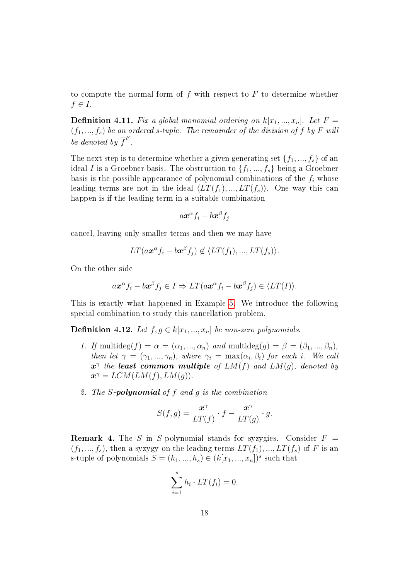to compute the normal form of f with respect to  $F$  to determine whether  $f \in I$ .

**Definition 4.11.** Fix a global monomial ordering on  $k[x_1, ..., x_n]$ . Let  $F =$  $(f_1, ..., f_s)$  be an ordered s-tuple. The remainder of the division of f by F will be denoted by  $\overline{f}^F$ .

The next step is to determine whether a given generating set  $\{f_1, ..., f_s\}$  of an ideal I is a Groebner basis. The obstruction to  $\{f_1, ..., f_s\}$  being a Groebner basis is the possible appearance of polynomial combinations of the  $f_i$  whose leading terms are not in the ideal  $\langle LT(f_1), ..., LT(f_s)\rangle$ . One way this can happen is if the leading term in a suitable combination

$$
a\boldsymbol{x}^{\alpha}f_i-b\boldsymbol{x}^{\beta}f_j
$$

cancel, leaving only smaller terms and then we may have

$$
LT(ax^{\alpha}f_i - bx^{\beta}f_j) \not\in \langle LT(f_1), ..., LT(f_s) \rangle.
$$

On the other side

$$
a\boldsymbol{x}^{\alpha}f_i - b\boldsymbol{x}^{\beta}f_j \in I \Rightarrow LT(a\boldsymbol{x}^{\alpha}f_i - b\boldsymbol{x}^{\beta}f_j) \in \langle LT(I) \rangle.
$$

This is exactly what happened in Example [5.](#page-18-1) We introduce the following special combination to study this cancellation problem.

**Definition 4.12.** Let  $f, g \in k[x_1, ..., x_n]$  be non-zero polynomials.

- 1. If multideg $(f) = \alpha = (\alpha_1, ..., \alpha_n)$  and multideg $(g) = \beta = (\beta_1, ..., \beta_n)$ , then let  $\gamma = (\gamma_1, ..., \gamma_n)$ , where  $\gamma_i = \max(\alpha_i, \beta_i)$  for each i. We call  $x^{\gamma}$  the least common multiple of  $LM(f)$  and  $LM(g)$ , denoted by  $\mathbf{x}^{\gamma} = LCM(LM(f), LM(g)).$
- 2. The  $S$ -polynomial of  $f$  and  $g$  is the combination

$$
S(f,g) = \frac{\mathbf{x}^{\gamma}}{LT(f)} \cdot f - \frac{\mathbf{x}^{\gamma}}{LT(g)} \cdot g.
$$

**Remark 4.** The S in S-polynomial stands for syzygies. Consider  $F =$  $(f_1, ..., f_s)$ , then a syzygy on the leading terms  $LT(f_1), ..., LT(f_s)$  of F is an s-tuple of polynomials  $S = (h_1, ..., h_s) \in (k[x_1, ..., x_n])^s$  such that

$$
\sum_{i=1}^{s} h_i \cdot LT(f_i) = 0.
$$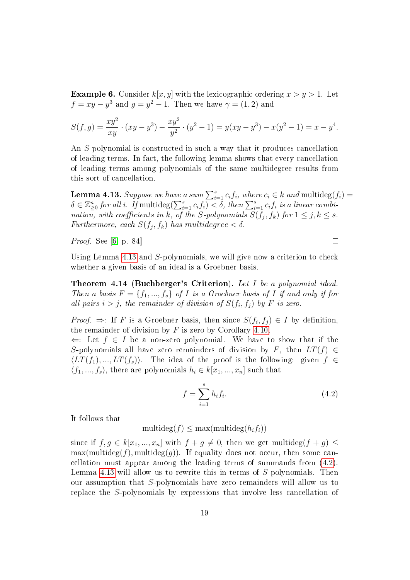<span id="page-22-2"></span>**Example 6.** Consider  $k[x, y]$  with the lexicographic ordering  $x > y > 1$ . Let  $f = xy - y^3$  and  $g = y^2 - 1$ . Then we have  $\gamma = (1, 2)$  and

$$
S(f,g) = \frac{xy^2}{xy} \cdot (xy - y^3) - \frac{xy^2}{y^2} \cdot (y^2 - 1) = y(xy - y^3) - x(y^2 - 1) = x - y^4.
$$

An S-polynomial is constructed in such a way that it produces cancellation of leading terms. In fact, the following lemma shows that every cancellation of leading terms among polynomials of the same multidegree results from this sort of cancellation.

<span id="page-22-0"></span>**Lemma 4.13.** Suppose we have a sum  $\sum_{i=1}^{s} c_i f_i$ , where  $c_i \in k$  and multideg $(f_i)$  $\delta \in \mathbb{Z}_{\geq 0}^n$  for all i. If multideg $(\sum_{i=1}^s c_i f_i) < \delta$ , then  $\sum_{i=1}^s c_i f_i$  is a linear combination, with coefficients in k, of the S-polynomials  $S(f_j, f_k)$  for  $1 \leq j, k \leq s$ . Furthermore, each  $S(f_j, f_k)$  has multidegree  $< \delta$ .

Proof. See [\[6,](#page-86-4) p. 84]

Using Lemma [4.13](#page-22-0) and S-polynomials, we will give now a criterion to check whether a given basis of an ideal is a Groebner basis.

<span id="page-22-3"></span>Theorem 4.14 (Buchberger's Criterion). Let I be a polynomial ideal. Then a basis  $F = \{f_1, ..., f_s\}$  of I is a Groebner basis of I if and only if for all pairs  $i > j$ , the remainder of division of  $S(f_i, f_j)$  by F is zero.

*Proof.*  $\Rightarrow$ : If F is a Groebner basis, then since  $S(f_i, f_j) \in I$  by definition, the remainder of division by  $F$  is zero by Corollary [4.10.](#page-20-0)

 $\Leftarrow$ : Let  $f \in I$  be a non-zero polynomial. We have to show that if the S-polynomials all have zero remainders of division by F, then  $LT(f) \in$  $\langle LT(f_1), ..., LT(f_s)\rangle$ . The idea of the proof is the following: given  $f \in$  $\langle f_1, ..., f_s \rangle$ , there are polynomials  $h_i \in k[x_1, ..., x_n]$  such that

<span id="page-22-1"></span>
$$
f = \sum_{i=1}^{s} h_i f_i.
$$
 (4.2)

It follows that

multideg $(f) \leq \max(\text{multideg}(h_i f_i))$ 

since if  $f, g \in k[x_1, ..., x_n]$  with  $f + g \neq 0$ , then we get multideg $(f + g) \leq$  $\max(\text{multideg}(f), \text{multideg}(g))$ . If equality does not occur, then some cancellation must appear among the leading terms of summands from [\(4.2\)](#page-22-1). Lemma [4.13](#page-22-0) will allow us to rewrite this in terms of S-polynomials. Then our assumption that S-polynomials have zero remainders will allow us to replace the S-polynomials by expressions that involve less cancellation of

 $\Box$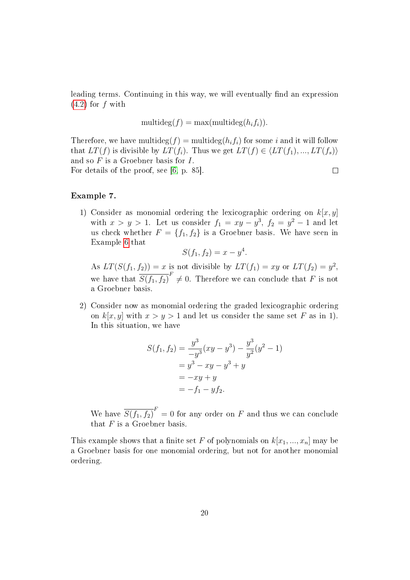leading terms. Continuing in this way, we will eventually find an expression  $(4.2)$  for f with

$$
\mathop{\mathrm{multideg}}\nolimits(f) = \max(\mathop{\mathrm{multideg}}\nolimits(h_if_i)).
$$

Therefore, we have multideg $(f)$  = multideg $(h_i f_i)$  for some i and it will follow that  $LT(f)$  is divisible by  $LT(f_i)$ . Thus we get  $LT(f) \in \langle LT(f_1), ..., LT(f_s)\rangle$ and so  $F$  is a Groebner basis for  $I$ . For details of the proof, see [\[6,](#page-86-4) p. 85].  $\Box$ 

#### <span id="page-23-0"></span>Example 7.

1) Consider as monomial ordering the lexicographic ordering on  $k[x, y]$ with  $x > y > 1$ . Let us consider  $f_1 = xy - y^3$ ,  $f_2 = y^2 - 1$  and let us check whether  $F = \{f_1, f_2\}$  is a Groebner basis. We have seen in Example [6](#page-22-2) that

$$
S(f_1, f_2) = x - y^4.
$$

As  $LT(S(f_1, f_2)) = x$  is not divisible by  $LT(f_1) = xy$  or  $LT(f_2) = y^2$ , we have that  $\overline{S(f_1, f_2)}^F \neq 0$ . Therefore we can conclude that F is not a Groebner basis.

2) Consider now as monomial ordering the graded lexicographic ordering on  $k[x, y]$  with  $x > y > 1$  and let us consider the same set F as in 1). In this situation, we have

$$
S(f_1, f_2) = \frac{y^3}{-y^3}(xy - y^3) - \frac{y^3}{y^2}(y^2 - 1)
$$
  
=  $y^3 - xy - y^3 + y$   
=  $-xy + y$   
=  $-f_1 - yf_2$ .

We have  $\overline{S(f_1, f_2)}^F = 0$  for any order on F and thus we can conclude that  $F$  is a Groebner basis.

This example shows that a finite set F of polynomials on  $k[x_1, ..., x_n]$  may be a Groebner basis for one monomial ordering, but not for another monomial ordering.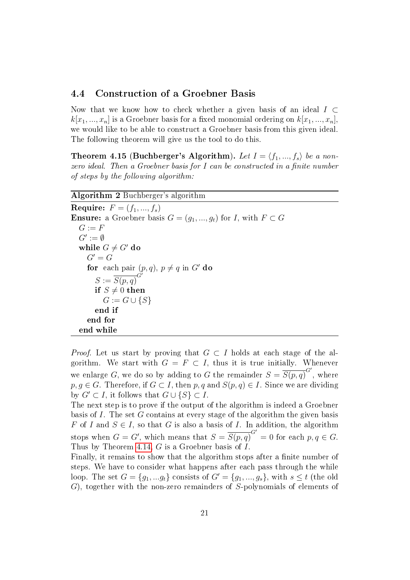### <span id="page-24-0"></span>4.4 Construction of a Groebner Basis

Now that we know how to check whether a given basis of an ideal  $I \subset$  $k[x_1, ..., x_n]$  is a Groebner basis for a fixed monomial ordering on  $k[x_1, ..., x_n]$ , we would like to be able to construct a Groebner basis from this given ideal. The following theorem will give us the tool to do this.

**Theorem 4.15 (Buchberger's Algorithm).** Let  $I = \langle f_1, ..., f_s \rangle$  be a nonzero ideal. Then a Groebner basis for  $I$  can be constructed in a finite number of steps by the following algorithm:

#### Algorithm 2 Buchberger's algorithm

**Require:**  $F = (f_1, ..., f_s)$ **Ensure:** a Groebner basis  $G = (q_1, ..., q_t)$  for I, with  $F \subset G$  $G := F$  $G' := \emptyset$ while  $G \neq G'$  do  $G' = G$ for each pair  $(p, q)$ ,  $p \neq q$  in G' do  $S := \overline{S(p,q)}^{G'}$ if  $S \neq 0$  then  $G := G \cup \{S\}$ end if end for end while

*Proof.* Let us start by proving that  $G \subset I$  holds at each stage of the algorithm. We start with  $G = F \subset I$ , thus it is true initially. Whenever we enlarge G, we do so by adding to G the remainder  $S = \overline{S(p,q)}^{G'}$ , where  $p, q \in G$ . Therefore, if  $G \subset I$ , then  $p, q$  and  $S(p, q) \in I$ . Since we are dividing by  $G' \subset I$ , it follows that  $G \cup \{S\} \subset I$ .

The next step is to prove if the output of the algorithm is indeed a Groebner basis of I. The set G contains at every stage of the algorithm the given basis F of I and  $S \in I$ , so that G is also a basis of I. In addition, the algorithm stops when  $G = G'$ , which means that  $S = \overline{S(p,q)}^{G'} = 0$  for each  $p, q \in G$ . Thus by Theorem [4.14,](#page-22-3) G is a Groebner basis of I.

Finally, it remains to show that the algorithm stops after a finite number of steps. We have to consider what happens after each pass through the while loop. The set  $G = \{g_1, \ldots g_t\}$  consists of  $G' = \{g_1, \ldots, g_s\}$ , with  $s \leq t$  (the old G), together with the non-zero remainders of S-polynomials of elements of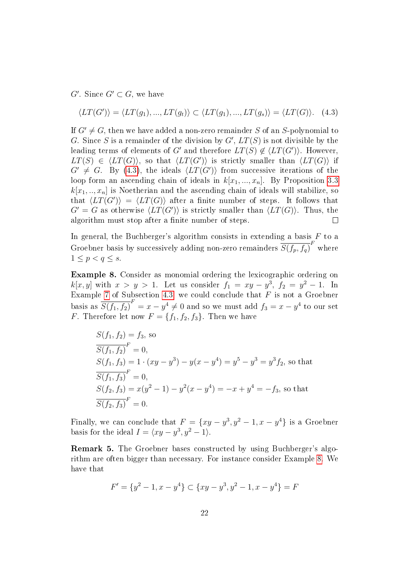$G'$ . Since  $G' \subset G$ , we have

<span id="page-25-0"></span>
$$
\langle LT(G')\rangle = \langle LT(g_1), ..., LT(g_t)\rangle \subset \langle LT(g_1), ..., LT(g_s)\rangle = \langle LT(G)\rangle.
$$
 (4.3)

If  $G' \neq G$ , then we have added a non-zero remainder S of an S-polynomial to G. Since S is a remainder of the division by  $G'$ ,  $LT(S)$  is not divisible by the leading terms of elements of  $G'$  and therefore  $LT(S) \notin \langle LT(G') \rangle$ . However,  $LT(S) \in \langle LT(G) \rangle$ , so that  $\langle LT(G') \rangle$  is strictly smaller than  $\langle LT(G) \rangle$  if  $G' \neq G$ . By [\(4.3\)](#page-25-0), the ideals  $\langle LT(G')\rangle$  from successive iterations of the loop form an ascending chain of ideals in  $k[x_1, ..., x_n]$ . By Proposition [3.3](#page-9-1)  $k[x_1, \ldots, x_n]$  is Noetherian and the ascending chain of ideals will stabilize, so that  $\langle LT(G')\rangle = \langle LT(G)\rangle$  after a finite number of steps. It follows that  $G' = G$  as otherwise  $\langle LT(G')\rangle$  is strictly smaller than  $\langle LT(G)\rangle$ . Thus, the algorithm must stop after a finite number of steps.  $\Box$ 

In general, the Buchberger's algorithm consists in extending a basis  $F$  to a Groebner basis by successively adding non-zero remainders  $\overline{S(f_p, f_q)}^F$  where  $1 \leq p < q \leq s$ .

<span id="page-25-1"></span>Example 8. Consider as monomial ordering the lexicographic ordering on  $k[x, y]$  with  $x > y > 1$ . Let us consider  $f_1 = xy - y^3$ ,  $f_2 = y^2 - 1$ . In Example [7](#page-23-0) of Subsection [4.3,](#page-19-0) we could conclude that  $F$  is not a Groebner basis as  $\overline{S(f_1, f_2)}^F = x - y^4 \neq 0$  and so we must add  $f_3 = x - y^4$  to our set F. Therefore let now  $F = \{f_1, f_2, f_3\}$ . Then we have

$$
S(f_1, f_2) = f_3
$$
, so  
\n
$$
\overline{S(f_1, f_2)}^F = 0
$$
,  
\n
$$
S(f_1, f_3) = 1 \cdot (xy - y^3) - y(x - y^4) = y^5 - y^3 = y^3 f_2
$$
, so that  
\n
$$
\overline{S(f_1, f_3)}^F = 0
$$
,  
\n
$$
S(f_2, f_3) = x(y^2 - 1) - y^2(x - y^4) = -x + y^4 = -f_3
$$
, so that  
\n
$$
\overline{S(f_2, f_3)}^F = 0
$$
.

Finally, we can conclude that  $F = \{xy - y^3, y^2 - 1, x - y^4\}$  is a Groebner basis for the ideal  $I = \langle xy - y^3, y^2 - 1 \rangle$ .

<span id="page-25-2"></span>Remark 5. The Groebner bases constructed by using Buchberger's algorithm are often bigger than necessary. For instance consider Example [8.](#page-25-1) We have that

$$
F' = \{y^2 - 1, x - y^4\} \subset \{xy - y^3, y^2 - 1, x - y^4\} = F
$$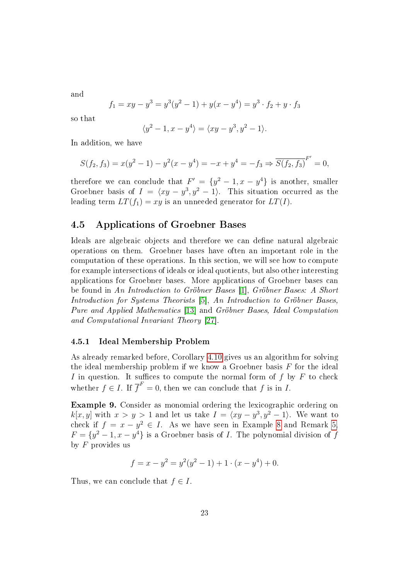and

$$
f_1 = xy - y^3 = y^3(y^2 - 1) + y(x - y^4) = y^3 \cdot f_2 + y \cdot f_3
$$

so that

$$
\langle y^2 - 1, x - y^4 \rangle = \langle xy - y^3, y^2 - 1 \rangle.
$$

In addition, we have

$$
S(f_2, f_3) = x(y^2 - 1) - y^2(x - y^4) = -x + y^4 = -f_3 \Rightarrow \overline{S(f_2, f_3)}^{F'} = 0,
$$

therefore we can conclude that  $F' = \{y^2 - 1, x - y^4\}$  is another, smaller Groebner basis of  $I = \langle xy - y^3, y^2 - 1 \rangle$ . This situation occurred as the leading term  $LT(f_1) = xy$  is an unneeded generator for  $LT(I)$ .

## <span id="page-26-0"></span>4.5 Applications of Groebner Bases

Ideals are algebraic objects and therefore we can define natural algebraic operations on them. Groebner bases have often an important role in the computation of these operations. In this section, we will see how to compute for example intersections of ideals or ideal quotients, but also other interesting applications for Groebner bases. More applications of Groebner bases can be found in An Introduction to Gröbner Bases [\[1\]](#page-86-6), Gröbner Bases: A Short Introduction for Systems Theorists [\[5\]](#page-86-7), An Introduction to Gröbner Bases, Pure and Applied Mathematics [\[13\]](#page-87-6) and Gröbner Bases, Ideal Computation and Computational Invariant Theory [\[27\]](#page-88-1).

#### <span id="page-26-1"></span>4.5.1 Ideal Membership Problem

As already remarked before, Corollary [4.10](#page-20-0) gives us an algorithm for solving the ideal membership problem if we know a Groebner basis  $F$  for the ideal I in question. It suffices to compute the normal form of  $f$  by  $F$  to check whether  $f \in I$ . If  $\overline{f}^F = 0$ , then we can conclude that f is in I.

Example 9. Consider as monomial ordering the lexicographic ordering on  $k[x, y]$  with  $x > y > 1$  and let us take  $I = \langle xy - y^3, y^2 - 1 \rangle$ . We want to check if  $f = x - y^2 \in I$ . As we have seen in Example [8](#page-25-1) and Remark [5,](#page-25-2)  $F = \{y^2 - 1, x - y^4\}$  is a Groebner basis of *I*. The polynomial division of f by  $F$  provides us

$$
f = x - y^2 = y^2(y^2 - 1) + 1 \cdot (x - y^4) + 0.
$$

Thus, we can conclude that  $f \in I$ .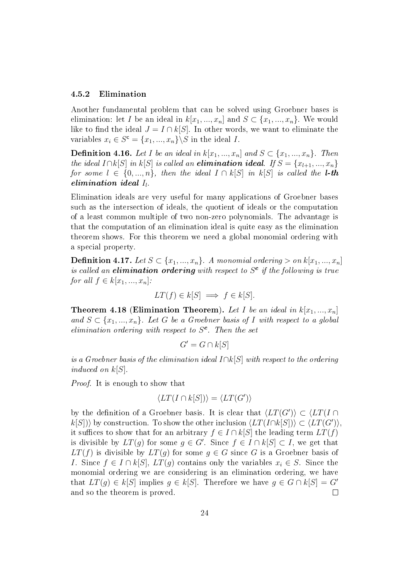#### <span id="page-27-0"></span>4.5.2 Elimination

Another fundamental problem that can be solved using Groebner bases is elimination: let I be an ideal in  $k[x_1, ..., x_n]$  and  $S \subset \{x_1, ..., x_n\}$ . We would like to find the ideal  $J = I \cap k[S]$ . In other words, we want to eliminate the variables  $x_i \in S^{\mathsf{c}} = \{x_1, ..., x_n\} \backslash S$  in the ideal *I*.

**Definition 4.16.** Let I be an ideal in  $k[x_1, ..., x_n]$  and  $S \subset \{x_1, ..., x_n\}$ . Then the ideal  $I \cap k[S]$  in  $k[S]$  is called an **elimination ideal**. If  $S = \{x_{l+1},...,x_n\}$ for some  $l \in \{0, ..., n\}$ , then the ideal  $I \cap k[S]$  in  $k[S]$  is called the **l**-th elimination ideal  $I_l$ .

Elimination ideals are very useful for many applications of Groebner bases such as the intersection of ideals, the quotient of ideals or the computation of a least common multiple of two non-zero polynomials. The advantage is that the computation of an elimination ideal is quite easy as the elimination theorem shows. For this theorem we need a global monomial ordering with a special property.

**Definition 4.17.** Let  $S \subset \{x_1, ..., x_n\}$ . A monomial ordering  $> on k[x_1, ..., x_n]$ is called an elimination ordering with respect to  $S<sup>c</sup>$  if the following is true for all  $f \in k[x_1, ..., x_n]$ :

$$
LT(f) \in k[S] \implies f \in k[S].
$$

**Theorem 4.18 (Elimination Theorem).** Let I be an ideal in  $k[x_1, ..., x_n]$ and  $S \subset \{x_1, ..., x_n\}$ . Let G be a Groebner basis of I with respect to a global elimination ordering with respect to  $S<sup>c</sup>$ . Then the set

$$
G' = G \cap k[S]
$$

is a Groebner basis of the elimination ideal  $I\cap k[S]$  with respect to the ordering induced on  $k[S]$ .

Proof. It is enough to show that

$$
\langle LT(I \cap k[S]) \rangle = \langle LT(G') \rangle
$$

by the definition of a Groebner basis. It is clear that  $\langle LT(G')\rangle \subset \langle LT(I \cap$  $k[S])\rangle$  by construction. To show the other inclusion  $\langle LT(I \cap k[S]) \rangle \subset \langle LT(G') \rangle$ , it suffices to show that for an arbitrary  $f \in I \cap k[S]$  the leading term  $LT(f)$ is divisible by  $LT(g)$  for some  $g \in G'$ . Since  $f \in I \cap k[S] \subset I$ , we get that  $LT(f)$  is divisible by  $LT(g)$  for some  $g \in G$  since G is a Groebner basis of I. Since  $f \in I \cap k[S], LT(g)$  contains only the variables  $x_i \in S$ . Since the monomial ordering we are considering is an elimination ordering, we have that  $LT(g) \in k[S]$  implies  $g \in k[S]$ . Therefore we have  $g \in G \cap k[S] = G'$  $\Box$ and so the theorem is proved.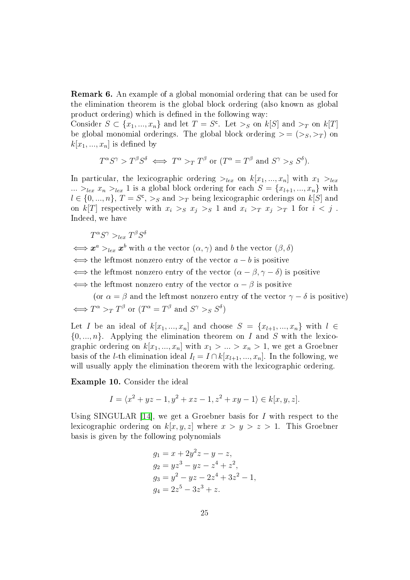Remark 6. An example of a global monomial ordering that can be used for the elimination theorem is the global block ordering (also known as global product ordering) which is defined in the following way:

Consider  $S \subset \{x_1, ..., x_n\}$  and let  $T = S^c$ . Let  $>_{S}$  on  $k[S]$  and  $>_{T}$  on  $k[T]$ be global monomial orderings. The global block ordering  $>=(\gt;_S,\gt;_T)$  on  $k[x_1, ..., x_n]$  is defined by

$$
T^{\alpha}S^{\gamma} > T^{\beta}S^{\delta} \iff T^{\alpha} >_T T^{\beta}
$$
 or  $(T^{\alpha} = T^{\beta} \text{ and } S^{\gamma} >_S S^{\delta}).$ 

In particular, the lexicographic ordering  $>_{lex}$  on  $k[x_1, ..., x_n]$  with  $x_1 >_{lex}$ ...  $>_{lex} x_n >_{lex} 1$  is a global block ordering for each  $S = \{x_{l+1}, ..., x_n\}$  with  $l \in \{0, ..., n\}, T = S^c, >_S \text{ and } >_T \text{ being lexicographic orderings on } k[S]$  and on k[T] respectively with  $x_i >_S x_j >_S 1$  and  $x_i >_T x_j >_T 1$  for  $i < j$ . Indeed, we have

$$
T^{\alpha}S^{\gamma} >_{lex} T^{\beta}S^{\delta}
$$

 $\Leftrightarrow x^a>_{lex}x^b$  with a the vector  $(\alpha, \gamma)$  and b the vector  $(\beta, \delta)$  $\iff$  the leftmost nonzero entry of the vector  $a - b$  is positive  $\iff$  the leftmost nonzero entry of the vector  $(\alpha - \beta, \gamma - \delta)$  is positive  $\iff$  the leftmost nonzero entry of the vector  $\alpha - \beta$  is positive

(or  $\alpha = \beta$  and the leftmost nonzero entry of the vector  $\gamma - \delta$  is positive)  $\Longleftrightarrow T^{\alpha} >_T T^{\beta}$  or  $(T^{\alpha} = T^{\beta}$  and  $S^{\gamma} >_S S^{\delta})$ 

Let I be an ideal of  $k[x_1, ..., x_n]$  and choose  $S = \{x_{l+1}, ..., x_n\}$  with  $l \in$  $\{0, ..., n\}$ . Applying the elimination theorem on I and S with the lexicographic ordering on  $k[x_1, ..., x_n]$  with  $x_1 > ... > x_n > 1$ , we get a Groebner basis of the *l*-th elimination ideal  $I_l = I \cap k[x_{l+1},...,x_n]$ . In the following, we will usually apply the elimination theorem with the lexicographic ordering.

Example 10. Consider the ideal

$$
I = \langle x^2 + yz - 1, y^2 + xz - 1, z^2 + xy - 1 \rangle \in k[x, y, z].
$$

Using SINGULAR  $[14]$ , we get a Groebner basis for I with respect to the lexicographic ordering on  $k[x, y, z]$  where  $x > y > z > 1$ . This Groebner basis is given by the following polynomials

$$
g_1 = x + 2y^2z - y - z,
$$
  
\n
$$
g_2 = yz^3 - yz - z^4 + z^2,
$$
  
\n
$$
g_3 = y^2 - yz - 2z^4 + 3z^2 - 1,
$$
  
\n
$$
g_4 = 2z^5 - 3z^3 + z.
$$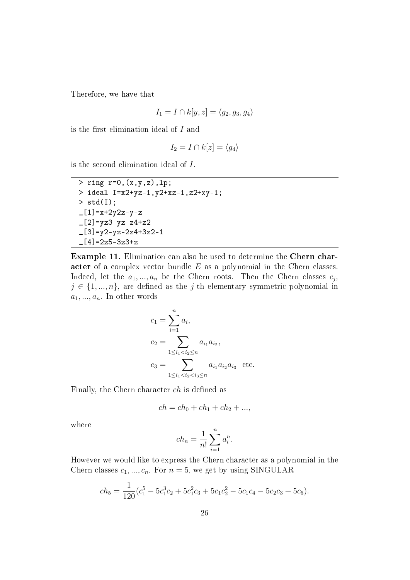Therefore, we have that

$$
I_1 = I \cap k[y, z] = \langle g_2, g_3, g_4 \rangle
$$

is the first elimination ideal of  $I$  and

$$
I_2 = I \cap k[z] = \langle g_4 \rangle
$$

is the second elimination ideal of I.

```
> ring r=0,(x,y,z),lp;
> ideal I=x2+yz-1,y2+xz-1,z2+xy-1;
> std(I);
-[1]=x+2y2z-y-z[2]=yz3-yz-z4+z2
-[3]=y2-yz-2z4+3z2-1
[4]=2z5-3z3+z
```
Example 11. Elimination can also be used to determine the Chern character of a complex vector bundle E as a polynomial in the Chern classes. Indeed, let the  $a_1, ..., a_n$  be the Chern roots. Then the Chern classes  $c_j$ ,  $j \in \{1, ..., n\}$ , are defined as the j-th elementary symmetric polynomial in  $a_1, ..., a_n$ . In other words

$$
c_1 = \sum_{i=1}^n a_i,
$$
  
\n
$$
c_2 = \sum_{1 \le i_1 < i_2 \le n} a_{i_1} a_{i_2},
$$
  
\n
$$
c_3 = \sum_{1 \le i_1 < i_2 < i_3 \le n} a_{i_1} a_{i_2} a_{i_3} \text{ etc.}
$$

Finally, the Chern character  $ch$  is defined as

$$
ch = ch_0 + ch_1 + ch_2 + ...,
$$

where

$$
ch_n = \frac{1}{n!} \sum_{i=1}^n a_i^n.
$$

However we would like to express the Chern character as a polynomial in the Chern classes  $c_1, ..., c_n$ . For  $n = 5$ , we get by using SINGULAR

$$
ch_5 = \frac{1}{120}(c_1^5 - 5c_1^3c_2 + 5c_1^2c_3 + 5c_1c_2^2 - 5c_1c_4 - 5c_2c_3 + 5c_5).
$$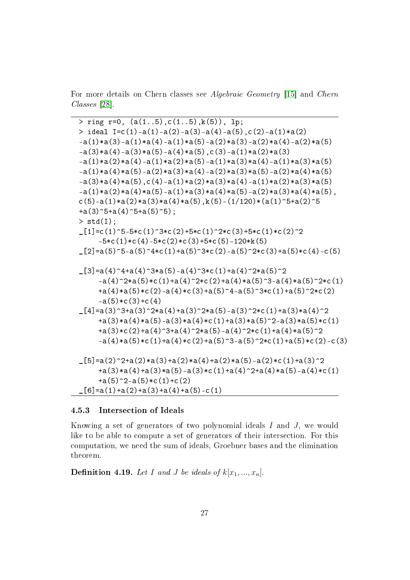For more details on Chern classes see Algebraic Geometry [\[15\]](#page-87-7) and Chern Classes [\[28\]](#page-88-2).

 $>$  ring r=0, (a(1..5),c(1..5),k(5)), lp;  $>$  ideal I=c(1)-a(1)-a(2)-a(3)-a(4)-a(5),c(2)-a(1)\*a(2)  $-a(1)*a(3)-a(1)*a(4)-a(1)*a(5)-a(2)*a(3)-a(2)*a(4)-a(2)*a(5)$  $-a(3)*a(4)-a(3)*a(5)-a(4)*a(5)$ ,c(3)-a(1)\*a(2)\*a(3)  $-a(1)*a(2)*a(4)-a(1)*a(2)*a(5)-a(1)*a(3)*a(4)-a(1)*a(3)*a(5)$  $-a(1)*a(4)*a(5)-a(2)*a(3)*a(4)-a(2)*a(3)*a(5)-a(2)*a(4)*a(5)$  $-a(3)*a(4)*a(5)$ ,c(4)-a(1)\*a(2)\*a(3)\*a(4)-a(1)\*a(2)\*a(3)\*a(5)  $-a(1)*a(2)*a(4)*a(5)-a(1)*a(3)*a(4)*a(5)-a(2)*a(3)*a(4)*a(5)$ ,  $c(5)$ -a(1)\*a(2)\*a(3)\*a(4)\*a(5),k(5)-(1/120)\*(a(1)^5+a(2)^5  $+a(3)^{-5}+a(4)^{-5}+a(5)^{-5}$ ;  $>$  std(I);  $[1]=c(1)^{-5-5+c(1)^{-3}c(2)+5*c(1)^{-2}c(3)+5*c(1)*c(2)^{-2}$  $-5*c(1)*c(4)-5*c(2)*c(3)+5*c(5)-120*k(5)$  $_{2}$ [2]=a(5)^5-a(5)^4\*c(1)+a(5)^3\*c(2)-a(5)^2\*c(3)+a(5)\*c(4)-c(5)  $_{2}[3]=a(4)^{4}+a(4)^{3}*a(5)-a(4)^{3}*c(1)+a(4)^{2}*a(5)^{2}$  $-a(4)^2*a(5)*c(1)+a(4)^2*c(2)+a(4)*a(5)^3-a(4)*a(5)^2*c(1)$  $+a(4)*a(5)*c(2)-a(4)*c(3)+a(5)^4-a(5)^3*c(1)+a(5)^2*c(2)$  $-a(5)*c(3)+c(4)$  $[4] = a(3)^{3} + a(3)^{2}*a(4) + a(3)^{2}*a(5) - a(3)^{2}*c(1) + a(3)*a(4)^{2}$  $+a(3)*a(4)*a(5)-a(3)*a(4)*c(1)+a(3)*a(5)^2-a(3)*a(5)*c(1)$  $+a(3)*c(2)+a(4)^{-3}+a(4)^{-2}*a(5)-a(4)^{-2}*c(1)+a(4)*a(5)^{-2}$  $-a(4)*a(5)*c(1)+a(4)*c(2)+a(5)^{-}3-a(5)^{-}2*c(1)+a(5)*c(2)-c(3)$  $[5]=a(2)^2+a(2)*a(3)+a(2)*a(4)+a(2)*a(5)-a(2)*c(1)+a(3)^2$  $+a(3)*a(4)+a(3)*a(5)-a(3)*c(1)+a(4)^{2}+a(4)*a(5)-a(4)*c(1)$  $+a(5)^2-a(5)*c(1)+c(2)$ \_[6]=a(1)+a(2)+a(3)+a(4)+a(5)-c(1)

#### <span id="page-30-0"></span>4.5.3 Intersection of Ideals

Knowing a set of generators of two polynomial ideals I and J, we would like to be able to compute a set of generators of their intersection. For this computation, we need the sum of ideals, Groebner bases and the elimination theorem.

**Definition 4.19.** Let I and J be ideals of  $k[x_1, ..., x_n]$ .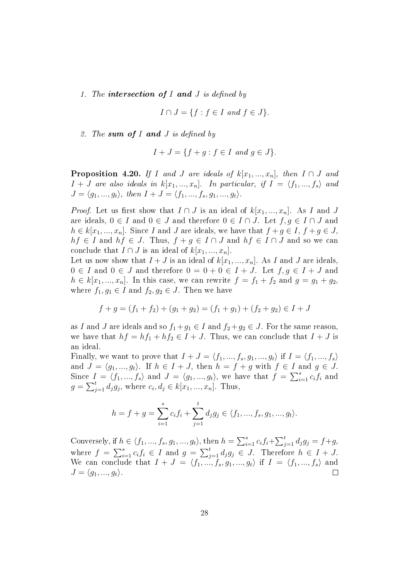1. The intersection of I and J is defined by

$$
I \cap J = \{ f : f \in I \text{ and } f \in J \}.
$$

2. The sum of I and J is defined by

$$
I + J = \{ f + g : f \in I \text{ and } g \in J \}.
$$

<span id="page-31-0"></span>**Proposition 4.20.** If I and J are ideals of  $k[x_1, ..., x_n]$ , then  $I \cap J$  and  $I + J$  are also ideals in  $k[x_1, ..., x_n]$ . In particular, if  $I = \langle f_1, ..., f_s \rangle$  and  $J = \langle g_1, ..., g_t \rangle$ , then  $I + J = \langle f_1, ..., f_s, g_1, ..., g_t \rangle$ .

*Proof.* Let us first show that  $I \cap J$  is an ideal of  $k[x_1, ..., x_n]$ . As I and J are ideals,  $0 \in I$  and  $0 \in J$  and therefore  $0 \in I \cap J$ . Let  $f, g \in I \cap J$  and  $h \in k[x_1, ..., x_n]$ . Since I and J are ideals, we have that  $f + g \in I$ ,  $f + g \in J$ ,  $hf \in I$  and  $hf \in J$ . Thus,  $f + g \in I \cap J$  and  $hf \in I \cap J$  and so we can conclude that  $I \cap J$  is an ideal of  $k[x_1, ..., x_n]$ .

Let us now show that  $I + J$  is an ideal of  $k[x_1, ..., x_n]$ . As I and J are ideals,  $0 \in I$  and  $0 \in J$  and therefore  $0 = 0 + 0 \in I + J$ . Let  $f, g \in I + J$  and  $h \in k[x_1, ..., x_n]$ . In this case, we can rewrite  $f = f_1 + f_2$  and  $g = g_1 + g_2$ , where  $f_1, g_1 \in I$  and  $f_2, g_2 \in J$ . Then we have

$$
f + g = (f_1 + f_2) + (g_1 + g_2) = (f_1 + g_1) + (f_2 + g_2) \in I + J
$$

as I and J are ideals and so  $f_1+g_1 \in I$  and  $f_2+g_2 \in J$ . For the same reason, we have that  $hf = hf_1 + hf_2 \in I + J$ . Thus, we can conclude that  $I + J$  is an ideal.

Finally, we want to prove that  $I + J = \langle f_1, ..., f_s, g_1, ..., g_t \rangle$  if  $I = \langle f_1, ..., f_s \rangle$ and  $J = \langle g_1, ..., g_t \rangle$ . If  $h \in I + J$ , then  $h = f + g$  with  $f \in I$  and  $g \in J$ . Since  $I = \langle f_1, ..., f_s \rangle$  and  $J = \langle g_1, ..., g_t \rangle$ , we have that  $f = \sum_{i=1}^s c_i f_i$  and  $g = \sum_{j=1}^{t} d_j g_j$ , where  $c_i, d_j \in k[x_1, ..., x_n]$ . Thus,

$$
h = f + g = \sum_{i=1}^{s} c_i f_i + \sum_{j=1}^{t} d_j g_j \in \langle f_1, ..., f_s, g_1, ..., g_t \rangle.
$$

Conversely, if  $h \in \langle f_1, ..., f_s, g_1, ..., g_t \rangle$ , then  $h = \sum_{i=1}^s c_i f_i + \sum_{j=1}^t d_j g_j = f + g$ , where  $f = \sum_{i=1}^{s} c_i f_i \in I$  and  $g = \sum_{j=1}^{t} d_j g_j \in J$ . Therefore  $h \in I + J$ . We can conclude that  $I + J = \langle f_1, ..., f_s, g_1, ..., g_t \rangle$  if  $I = \langle f_1, ..., f_s \rangle$  and  $J = \langle g_1, ..., g_t \rangle.$ П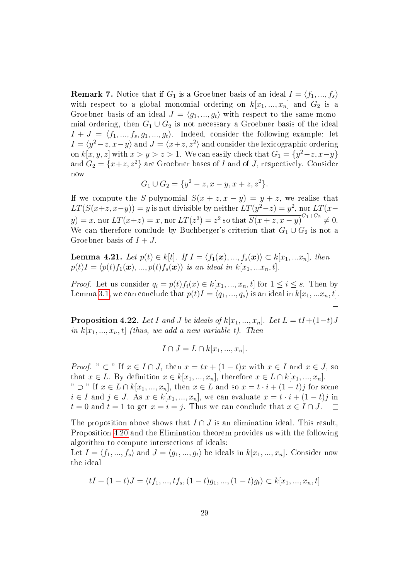**Remark 7.** Notice that if  $G_1$  is a Groebner basis of an ideal  $I = \langle f_1, ..., f_s \rangle$ with respect to a global monomial ordering on  $k[x_1, ..., x_n]$  and  $G_2$  is a Groebner basis of an ideal  $J = \langle g_1, ..., g_t \rangle$  with respect to the same monomial ordering, then  $G_1 \cup G_2$  is not necessary a Groebner basis of the ideal  $I + J = \langle f_1, ..., f_s, g_1, ..., g_t \rangle$ . Indeed, consider the following example: let  $I = \langle y^2 - z, x - y \rangle$  and  $J = \langle x + z, z^2 \rangle$  and consider the lexicographic ordering on  $k[x, y, z]$  with  $x > y > z > 1$ . We can easily check that  $G_1 = \{y^2 - z, x - y\}$ and  $G_2 = \{x+z, z^2\}$  are Groebner bases of I and of J, respectively. Consider now

$$
G_1 \cup G_2 = \{y^2 - z, x - y, x + z, z^2\}.
$$

If we compute the S-polynomial  $S(x + z, x - y) = y + z$ , we realise that  $LT(S(x+z,x-y)) = y$  is not divisible by neither  $LT(y^2-z) = y^2$ , nor  $LT(x-z)$ y) = x, nor  $LT(x+z) = x$ , nor  $LT(z^2) = z^2$  so that  $\overline{S(x+z, x-y)}^{G_1+G_2} \neq 0$ . We can therefore conclude by Buchberger's criterion that  $G_1 \cup G_2$  is not a Groebner basis of  $I + J$ .

**Lemma 4.21.** Let  $p(t) \in k[t]$ . If  $I = \langle f_1(\boldsymbol{x}), ..., f_s(\boldsymbol{x})\rangle \subset k[x_1, ... x_n]$ , then  $p(t)I = \langle p(t)f_1(\boldsymbol{x}), ..., p(t)f_s(\boldsymbol{x})\rangle$  is an ideal in  $k[x_1, ...x_n, t]$ .

*Proof.* Let us consider  $q_i = p(t) f_i(x) \in k[x_1, ..., x_n, t]$  for  $1 \leq i \leq s$ . Then by Lemma [3.1,](#page-9-2) we can conclude that  $p(t)I = \langle q_1, ..., q_s \rangle$  is an ideal in  $k[x_1, ...x_n, t]$ .

**Proposition 4.22.** Let I and J be ideals of  $k[x_1, ..., x_n]$ . Let  $L = tI + (1-t)J$ in  $k[x_1, ..., x_n, t]$  (thus, we add a new variable t). Then

$$
I \cap J = L \cap k[x_1, ..., x_n].
$$

*Proof.* " ⊂ " If  $x \in I \cap J$ , then  $x = tx + (1-t)x$  with  $x \in I$  and  $x \in J$ , so that  $x \in L$ . By definition  $x \in k[x_1, ..., x_n]$ , therefore  $x \in L \cap k[x_1, ..., x_n]$ . "  $\supset$ " If  $x \in L \cap k[x_1, ..., x_n]$ , then  $x \in L$  and so  $x = t \cdot i + (1-t)j$  for some  $i \in I$  and  $j \in J$ . As  $x \in k[x_1, ..., x_n]$ , we can evaluate  $x = t \cdot i + (1 - t)j$  in  $t = 0$  and  $t = 1$  to get  $x = i = j$ . Thus we can conclude that  $x \in I \cap J$ .  $\Box$ 

The proposition above shows that  $I \cap J$  is an elimination ideal. This result, Proposition [4.20](#page-31-0) and the Elimination theorem provides us with the following algorithm to compute intersections of ideals:

Let  $I = \langle f_1, ..., f_s \rangle$  and  $J = \langle g_1, ..., g_t \rangle$  be ideals in  $k[x_1, ..., x_n]$ . Consider now the ideal

$$
tI + (1-t)J = \langle tf_1, ..., tf_s, (1-t)g_1, ..., (1-t)g_t \rangle \subset k[x_1, ..., x_n, t]
$$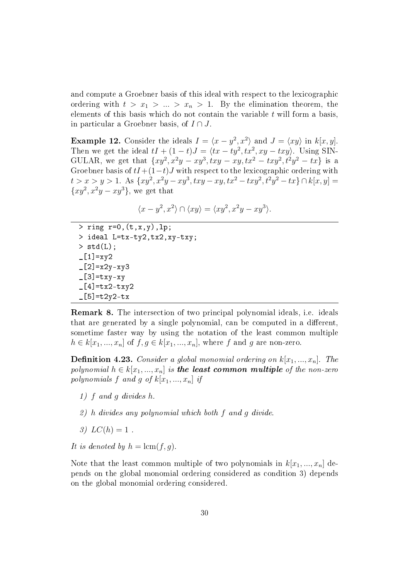and compute a Groebner basis of this ideal with respect to the lexicographic ordering with  $t > x_1 > ... > x_n > 1$ . By the elimination theorem, the elements of this basis which do not contain the variable  $t$  will form a basis, in particular a Groebner basis, of  $I \cap J$ .

**Example 12.** Consider the ideals  $I = \langle x - y^2, x^2 \rangle$  and  $J = \langle xy \rangle$  in  $k[x, y]$ . Then we get the ideal  $tI + (1-t)J = \langle tx - ty^2, tx^2, xy - txy \rangle$ . Using SIN-GULAR, we get that  $\{xy^2, x^2y - xy^3, txy - xy, tx^2 - txy^2, t^2y^2 - tx\}$  is a Groebner basis of  $tI+(1-t)J$  with respect to the lexicographic ordering with  $t > x > y > 1$ . As  $\{xy^2, x^2y - xy^3, txy - xy, tx^2 - txy^2, t^2y^2 - tx\} \cap k[x, y] =$  $\{xy^2, x^2y - xy^3\}$ , we get that

$$
\langle x-y^2, x^2 \rangle \cap \langle xy \rangle = \langle xy^2, x^2y - xy^3 \rangle.
$$

 $>$  ring r=0,  $(t, x, y)$ , lp; > ideal L=tx-ty2,tx2,xy-txy;  $>$  std(L);  $[L1]=xyz$  $-[2] = x2y - xy3$  $-[3]$ =txy-xy  $-[4]$ =tx2-txy2  $-[5]$ =t2y2-tx

Remark 8. The intersection of two principal polynomial ideals, i.e. ideals that are generated by a single polynomial, can be computed in a different. sometime faster way by using the notation of the least common multiple  $h \in k[x_1, ..., x_n]$  of  $f, g \in k[x_1, ..., x_n]$ , where f and g are non-zero.

**Definition 4.23.** Consider a global monomial ordering on  $k[x_1, ..., x_n]$ . The polynomial  $h \in k[x_1, ..., x_n]$  is the least common multiple of the non-zero polynomials f and g of  $k[x_1, ..., x_n]$  if

- 1) f and g divides h.
- 2) h divides any polynomial which both f and g divide.
- 3)  $LC(h) = 1$ .
- It is denoted by  $h = \text{lcm}(f, q)$ .

Note that the least common multiple of two polynomials in  $k[x_1, ..., x_n]$  depends on the global monomial ordering considered as condition 3) depends on the global monomial ordering considered.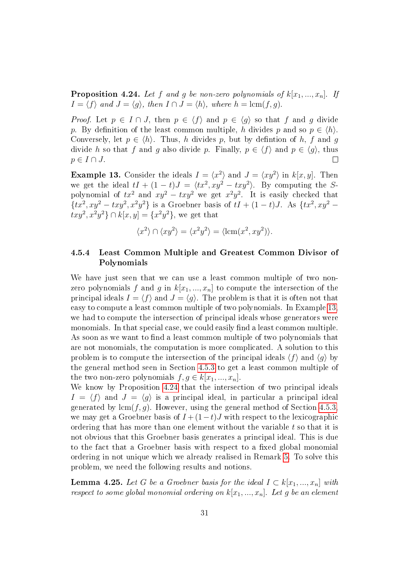<span id="page-34-2"></span>**Proposition 4.24.** Let f and g be non-zero polynomials of  $k[x_1, ..., x_n]$ . If  $I = \langle f \rangle$  and  $J = \langle g \rangle$ , then  $I \cap J = \langle h \rangle$ , where  $h = \text{lcm}(f, g)$ .

*Proof.* Let  $p \in I \cap J$ , then  $p \in \langle f \rangle$  and  $p \in \langle g \rangle$  so that f and g divide p. By definition of the least common multiple, h divides p and so  $p \in \langle h \rangle$ . Conversely, let  $p \in \langle h \rangle$ . Thus, h divides p, but by defintion of h, f and q divide h so that f and g also divide p. Finally,  $p \in \langle f \rangle$  and  $p \in \langle q \rangle$ , thus  $p \in I \cap J$ .  $\Box$ 

<span id="page-34-1"></span>**Example 13.** Consider the ideals  $I = \langle x^2 \rangle$  and  $J = \langle xy^2 \rangle$  in  $k[x, y]$ . Then we get the ideal  $tI + (1-t)J = \langle tx^2, xy^2 - txy^2 \rangle$ . By computing the Spolynomial of  $tx^2$  and  $xy^2 - txy^2$  we get  $x^2y^2$ . It is easily checked that  $\{tx^2, xy^2 - txy^2, x^2y^2\}$  is a Groebner basis of  $tI + (1-t)J$ . As  $\{tx^2, xy^2 - txy^2, xy^2\}$  $txy^2, x^2y^2$ }  $\cap k[x,y] = \{x^2y^2\}$ , we get that

$$
\langle x^2 \rangle \cap \langle xy^2 \rangle = \langle x^2 y^2 \rangle = \langle \operatorname{lcm}(x^2, xy^2) \rangle.
$$

### <span id="page-34-0"></span>4.5.4 Least Common Multiple and Greatest Common Divisor of Polynomials

We have just seen that we can use a least common multiple of two nonzero polynomials f and g in  $k[x_1, ..., x_n]$  to compute the intersection of the principal ideals  $I = \langle f \rangle$  and  $J = \langle g \rangle$ . The problem is that it is often not that easy to compute a least common multiple of two polynomials. In Example [13,](#page-34-1) we had to compute the intersection of principal ideals whose generators were monomials. In that special case, we could easily find a least common multiple. As soon as we want to find a least common multiple of two polynomials that are not monomials, the computation is more complicated. A solution to this problem is to compute the intersection of the principal ideals  $\langle f \rangle$  and  $\langle g \rangle$  by the general method seen in Section [4.5.3](#page-30-0) to get a least common multiple of the two non-zero polynomials  $f, g \in k[x_1, ..., x_n]$ .

We know by Proposition [4.24](#page-34-2) that the intersection of two principal ideals  $I = \langle f \rangle$  and  $J = \langle g \rangle$  is a principal ideal, in particular a principal ideal generated by  $lcm(f, g)$ . However, using the general method of Section [4.5.3,](#page-30-0) we may get a Groebner basis of  $I + (1-t)J$  with respect to the lexicographic ordering that has more than one element without the variable  $t$  so that it is not obvious that this Groebner basis generates a principal ideal. This is due to the fact that a Groebner basis with respect to a fixed global monomial ordering in not unique which we already realised in Remark [5.](#page-25-2) To solve this problem, we need the following results and notions.

**Lemma 4.25.** Let G be a Groebner basis for the ideal  $I \subset k[x_1, ..., x_n]$  with respect to some global monomial ordering on  $k[x_1, ..., x_n]$ . Let g be an element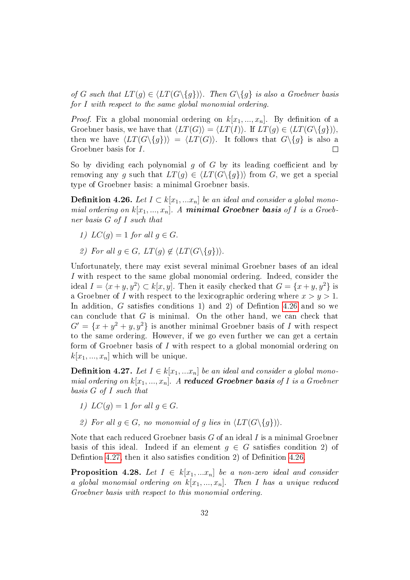of G such that  $LT(q) \in \langle LT(G\{q\})\rangle$ . Then  $G\{q\}$  is also a Groebner basis for I with respect to the same global monomial ordering.

*Proof.* Fix a global monomial ordering on  $k[x_1, ..., x_n]$ . By definition of a Groebner basis, we have that  $\langle LT(G)\rangle = \langle LT(I)\rangle$ . If  $LT(g) \in \langle LT(G\setminus{g})\rangle$ , then we have  $\langle LT(G\{g\})\rangle = \langle LT(G)\rangle$ . It follows that  $G\{g\}$  is also a Groebner basis for I. П

So by dividing each polynomial q of  $G$  by its leading coefficient and by removing any g such that  $LT(g) \in \langle LT(G\{g\})\rangle$  from G, we get a special type of Groebner basis: a minimal Groebner basis.

<span id="page-35-0"></span>**Definition 4.26.** Let  $I \subset k[x_1,...x_n]$  be an ideal and consider a global monomial ordering on  $k[x_1, ..., x_n]$ . A minimal Groebner basis of I is a Groebner basis G of I such that

- 1)  $LC(q) = 1$  for all  $q \in G$ .
- 2) For all  $q \in G$ ,  $LT(q) \notin \langle LT(G \setminus \{q\}) \rangle$ .

Unfortunately, there may exist several minimal Groebner bases of an ideal I with respect to the same global monomial ordering. Indeed, consider the ideal  $I = \langle x + y, y^2 \rangle \subset k[x, y]$ . Then it easily checked that  $G = \{x + y, y^2\}$  is a Groebner of I with respect to the lexicographic ordering where  $x > y > 1$ . In addition,  $G$  satisfies conditions 1) and 2) of Definition [4.26](#page-35-0) and so we can conclude that G is minimal. On the other hand, we can check that  $G' = \{x + y^2 + y, y^2\}$  is another minimal Groebner basis of I with respect to the same ordering. However, if we go even further we can get a certain form of Groebner basis of I with respect to a global monomial ordering on  $k[x_1, ..., x_n]$  which will be unique.

<span id="page-35-1"></span>**Definition 4.27.** Let  $I \in k[x_1,...x_n]$  be an ideal and consider a global monomial ordering on  $k[x_1, ..., x_n]$ . A reduced Groebner basis of I is a Groebner basis G of I such that

- 1)  $LC(a) = 1$  for all  $a \in G$ .
- 2) For all  $q \in G$ , no monomial of q lies in  $\langle LT(G\{q\})\rangle$ .

Note that each reduced Groebner basis  $G$  of an ideal  $I$  is a minimal Groebner basis of this ideal. Indeed if an element  $g \in G$  satisfies condition 2) of Definition [4.27,](#page-35-1) then it also satisfies condition 2) of Definition [4.26.](#page-35-0)

**Proposition 4.28.** Let  $I \in k[x_1,...x_n]$  be a non-zero ideal and consider a global monomial ordering on  $k[x_1, ..., x_n]$ . Then I has a unique reduced Groebner basis with respect to this monomial ordering.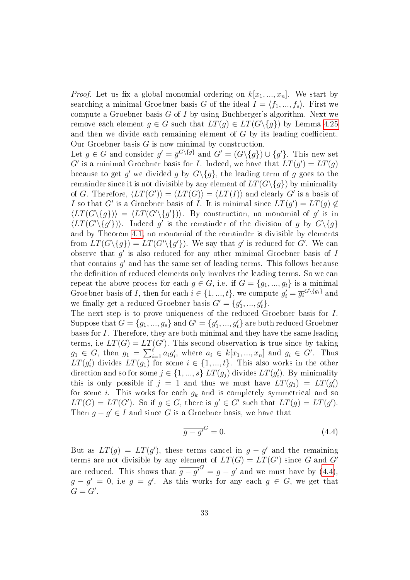*Proof.* Let us fix a global monomial ordering on  $k[x_1, ..., x_n]$ . We start by searching a minimal Groebner basis G of the ideal  $I = \langle f_1, ..., f_s \rangle$ . First we compute a Groebner basis  $G$  of  $I$  by using Buchberger's algorithm. Next we remove each element  $g \in G$  such that  $LT(g) \in LT(G \setminus \{g\})$  by Lemma [4.25](#page-34-0) and then we divide each remaining element of  $G$  by its leading coefficient. Our Groebner basis  $G$  is now minimal by construction.

Let  $g \in G$  and consider  $g' = \overline{g}^{G \setminus \{g\}}$  and  $G' = (G \setminus \{g\}) \cup \{g'\}.$  This new set G' is a minimal Groebner basis for I. Indeed, we have that  $LT(g') = LT(g)$ because to get  $g'$  we divided g by  $G\backslash\{g\}$ , the leading term of g goes to the remainder since it is not divisible by any element of  $LT(G\setminus\{g\})$  by minimality of G. Therefore,  $\langle LT(G')\rangle = \langle LT(G)\rangle = \langle LT(I)\rangle$  and clearly G' is a basis of I so that G' is a Groebner basis of I. It is minimal since  $LT(g') = LT(g) \notin$  $\langle LT(G\{g\})\rangle = \langle LT(G'\{g'\})\rangle$ . By construction, no monomial of g' is in  $\langle LT(G'\setminus \{g'\})\rangle$ . Indeed g' is the remainder of the division of g by  $G\setminus \{g\}$ and by Theorem [4.1,](#page-13-0) no monomial of the remainder is divisible by elements from  $LT(G\setminus \{g\}) = LT(G'\setminus \{g'\})$ . We say that g' is reduced for G'. We can observe that  $g'$  is also reduced for any other minimal Groebner basis of  $I$ that contains  $g'$  and has the same set of leading terms. This follows because the definition of reduced elements only involves the leading terms. So we can repeat the above process for each  $g \in G$ , i.e. if  $G = \{g_1, ..., g_t\}$  is a minimal Groebner basis of *I*, then for each  $i \in \{1, ..., t\}$ , we compute  $g_i' = \overline{g_i}^{G \setminus \{g_i\}}$  and we finally get a reduced Groebner basis  $G' = \{g'_1, ..., g'_t\}.$ 

The next step is to prove uniqueness of the reduced Groebner basis for I. Suppose that  $G = \{g_1,...,g_s\}$  and  $G' = \{g'_1,...,g'_t\}$  are both reduced Groebner bases for I. Therefore, they are both minimal and they have the same leading terms, i.e  $LT(G) = LT(G')$ . This second observation is true since by taking  $g_1 \in G$ , then  $g_1 = \sum_{i=1}^{t} a_i g'_i$ , where  $a_i \in k[x_1, ..., x_n]$  and  $g_i \in G'$ . Thus  $LT(g_i')$  divides  $LT(g_1)$  for some  $i \in \{1, ..., t\}$ . This also works in the other direction and so for some  $j \in \{1, ..., s\}$   $LT(g_j)$  divides  $LT(g'_i)$ . By minimality this is only possible if  $j = 1$  and thus we must have  $LT(g_1) = LT(g'_i)$ for some i. This works for each  $g_k$  and is completely symmetrical and so  $LT(G) = LT(G')$ . So if  $g \in G$ , there is  $g' \in G'$  such that  $LT(g) = LT(g')$ . Then  $g - g' \in I$  and since G is a Groebner basis, we have that

<span id="page-36-0"></span>
$$
\overline{g - g'}^G = 0. \tag{4.4}
$$

But as  $LT(g) = LT(g')$ , these terms cancel in  $g - g'$  and the remaining terms are not divisible by any element of  $LT(G) = LT(G')$  since G and G' are reduced. This shows that  $\overline{g - g'}^G = g - g'$  and we must have by [\(4.4\)](#page-36-0),  $g - g' = 0$ , i.e  $g = g'$ . As this works for any each  $g \in G$ , we get that  $G = G'.$  $\Box$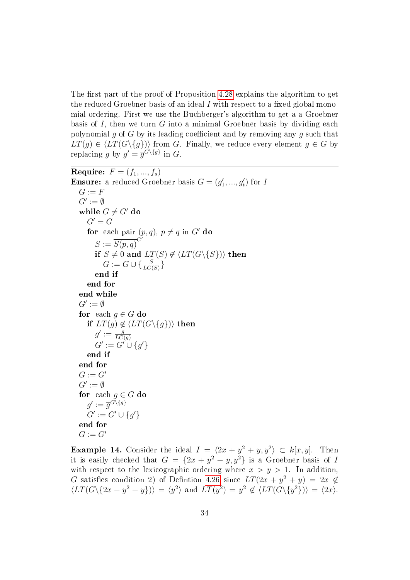The first part of the proof of Proposition [4.28](#page-35-0) explains the algorithm to get the reduced Groebner basis of an ideal  $I$  with respect to a fixed global monomial ordering. First we use the Buchberger's algorithm to get a a Groebner basis of I, then we turn  $G$  into a minimal Groebner basis by dividing each polynomial g of G by its leading coefficient and by removing any g such that  $LT(g) \in \langle LT(G\{g\})\rangle$  from G. Finally, we reduce every element  $g \in G$  by replacing g by  $g' = \overline{g}^{G \setminus \{g\}}$  in G.

Require:  $F = (f_1, ..., f_s)$ **Ensure:** a reduced Groebner basis  $G = (g'_1, ..., g'_t)$  for I  $G := F$  $G' := \emptyset$ while  $G \neq G'$  do  $G' = G$ for each pair  $(p, q)$ ,  $p \neq q$  in G' do  $S := \overline{S(p,q)}^{G^T}$ if  $S \neq 0$  and  $LT(S) \notin \langle LT(G \backslash \{S\}) \rangle$  then  $G := G \cup \{\frac{S}{LC(S)}\}$ end if end for end while  $G' := \emptyset$ for each  $q \in G$  do if  $LT(g) \notin \langle LT(G \setminus \{g\}) \rangle$  then  $g' := \frac{g}{LC}$  $G' := C(g)$ <br>  $G' := G' \cup \{g'\}$ end if end for  $G := G'$  $G' := \emptyset$ for each  $g \in G$  do  $g' := \overline{g}^{G \setminus \{g\}}$  $G' := G' \cup \{g'\}$ end for  $G := G'$ 

**Example 14.** Consider the ideal  $I = \langle 2x + y^2 + y, y^2 \rangle \subset k[x, y]$ . Then it is easily checked that  $G = \{2x + y^2 + y, y^2\}$  is a Groebner basis of I with respect to the lexicographic ordering where  $x > y > 1$ . In addition, G satisfies condition 2) of Definiton [4.26](#page-35-1) since  $LT(2x + y^2 + y) = 2x \notin$  $\langle LT(G \setminus \{2x + y^2 + y\}) \rangle = \langle y^2 \rangle$  and  $LT(y^2) = y^2 \notin \langle LT(G \setminus \{y^2\}) \rangle = \langle 2x \rangle$ .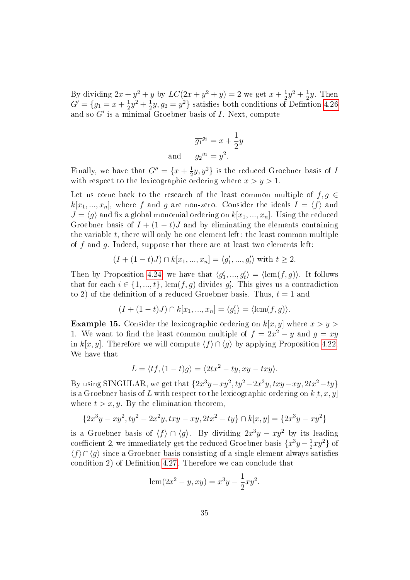By dividing  $2x + y^2 + y$  by  $LC(2x + y^2 + y) = 2$  we get  $x + \frac{1}{2}$  $\frac{1}{2}y^2 + \frac{1}{2}$  $\frac{1}{2}y$ . Then  $G' = \{g_1 = x + \frac{1}{2}\}$  $rac{1}{2}y^2 + \frac{1}{2}$  $\frac{1}{2}y, g_2 = y^2$  satisfies both conditions of Defintion [4.26](#page-35-1) and so  $G'$  is a minimal Groebner basis of  $I$ . Next, compute

$$
\overline{g_1}^{g_2} = x + \frac{1}{2}y
$$
  
and 
$$
\overline{g_2}^{g_1} = y^2.
$$

Finally, we have that  $G'' = \{x + \frac{1}{2}\}$  $\frac{1}{2}y, y^2$ } is the reduced Groebner basis of *I* with respect to the lexicographic ordering where  $x > y > 1$ .

Let us come back to the research of the least common multiple of  $f, g \in$  $k[x_1, ..., x_n],$  where f and g are non-zero. Consider the ideals  $I = \langle f \rangle$  and  $J = \langle q \rangle$  and fix a global monomial ordering on  $k[x_1, ..., x_n]$ . Using the reduced Groebner basis of  $I + (1 - t)J$  and by eliminating the elements containing the variable  $t$ , there will only be one element left: the least common multiple of f and q. Indeed, suppose that there are at least two elements left:

$$
(I + (1 - t)J) \cap k[x_1, ..., x_n] = \langle g'_1, ..., g'_t \rangle
$$
 with  $t \ge 2$ .

Then by Proposition [4.24,](#page-34-1) we have that  $\langle g'_1, ..., g'_t \rangle = \langle \text{lcm}(f, g) \rangle$ . It follows that for each  $i \in \{1, ..., t\}$ ,  $lcm(f, g)$  divides  $g'_i$ . This gives us a contradiction to 2) of the definition of a reduced Groebner basis. Thus,  $t = 1$  and

$$
(I + (1-t)J) \cap k[x_1, ..., x_n] = \langle g_1' \rangle = \langle \operatorname{lcm}(f, g) \rangle.
$$

<span id="page-38-0"></span>**Example 15.** Consider the lexicographic ordering on  $k[x, y]$  where  $x > y >$ 1. We want to find the least common multiple of  $f = 2x^2 - y$  and  $g = xy$ in k[x, y]. Therefore we will compute  $\langle f \rangle \cap \langle q \rangle$  by applying Proposition [4.22.](#page-32-0) We have that

$$
L = \langle tf, (1-t)g \rangle = \langle 2tx^2 - ty, xy - txy \rangle.
$$

By using SINGULAR, we get that  $\{2x^3y - xy^2, ty^2 - 2x^2y, txy - xy, 2tx^2 - ty\}$ is a Groebner basis of L with respect to the lexicographic ordering on  $k[t, x, y]$ where  $t > x, y$ . By the elimination theorem,

$$
\{2x^3y - xy^2, ty^2 - 2x^2y, txy - xy, 2tx^2 - ty\} \cap k[x, y] = \{2x^3y - xy^2\}
$$

is a Groebner basis of  $\langle f \rangle \cap \langle g \rangle$ . By dividing  $2x^3y - xy^2$  by its leading coefficient 2, we immediately get the reduced Groebner basis  $\{x^3y - \frac{1}{2}$  $\frac{1}{2}xy^2\}$  of  $\langle f \rangle \cap \langle g \rangle$  since a Groebner basis consisting of a single element always satisfies condition 2) of Definition [4.27.](#page-35-2) Therefore we can conclude that

$$
lcm(2x^2 - y, xy) = x^3y - \frac{1}{2}xy^2.
$$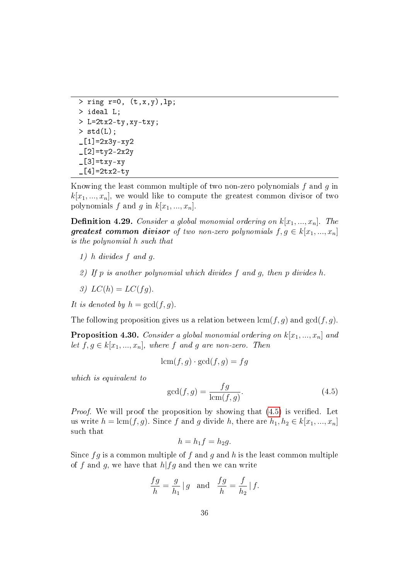```
> ring r=0, (t, x, y), lp;
> ideal L;
> L=2tx2-ty,xy-txy;
> std(L);
-[1] = 2x3y - xy2-[2]=ty2-2x2y
-[3]=txy-xy[4] = 2tx2 - ty
```
Knowing the least common multiple of two non-zero polynomials  $f$  and  $q$  in  $k[x_1, ..., x_n]$ , we would like to compute the greatest common divisor of two polynomials f and g in  $k[x_1, ..., x_n]$ .

<span id="page-39-1"></span>**Definition 4.29.** Consider a global monomial ordering on  $k[x_1, ..., x_n]$ . The greatest common divisor of two non-zero polynomials  $f, g \in k[x_1, ..., x_n]$ is the polynomial h such that

- 1) h divides f and g.
- 2) If p is another polynomial which divides  $f$  and  $g$ , then  $p$  divides  $h$ .
- 3)  $LC(h) = LC(fq)$ .
- It is denoted by  $h = \gcd(f, g)$ .

The following proposition gives us a relation between  $\text{lcm}(f, g)$  and  $\text{gcd}(f, g)$ .

<span id="page-39-2"></span>**Proposition 4.30.** Consider a global monomial ordering on  $k[x_1, ..., x_n]$  and let  $f, g \in k[x_1, ..., x_n]$ , where f and g are non-zero. Then

$$
\operatorname{lcm}(f,g) \cdot \gcd(f,g) = fg
$$

which is equivalent to

<span id="page-39-0"></span>
$$
\gcd(f,g) = \frac{fg}{\text{lcm}(f,g)}.\tag{4.5}
$$

*Proof.* We will proof the proposition by showing that  $(4.5)$  is verified. Let us write  $h = \text{lcm}(f, g)$ . Since f and g divide h, there are  $h_1, h_2 \in k[x_1, ..., x_n]$ such that

$$
h = h_1 f = h_2 g.
$$

Since  $fg$  is a common multiple of f and g and h is the least common multiple of f and g, we have that  $h|fg$  and then we can write

$$
\frac{fg}{h} = \frac{g}{h_1} |g \text{ and } \frac{fg}{h} = \frac{f}{h_2} |f.
$$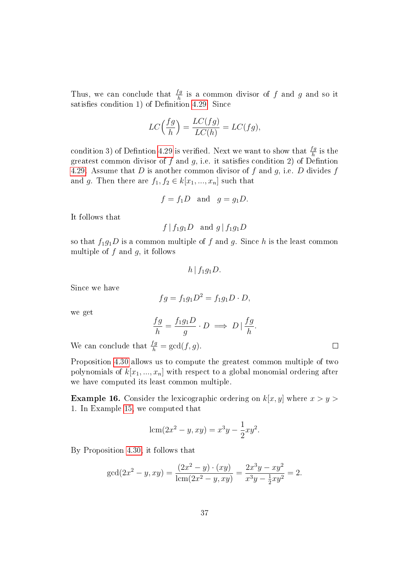Thus, we can conclude that  $\frac{fg}{h}$  is a common divisor of f and g and so it satisfies condition 1) of Definition [4.29.](#page-39-1) Since

$$
LC\left(\frac{fg}{h}\right) = \frac{LC(fg)}{LC(h)} = LC(fg),
$$

condition 3) of Defintion [4.29](#page-39-1) is verified. Next we want to show that  $\frac{fg}{h}$  is the greatest common divisor of f and g, i.e. it satisfies condition 2) of Defintion [4.29.](#page-39-1) Assume that D is another common divisor of f and q, i.e. D divides f and g. Then there are  $f_1, f_2 \in k[x_1, ..., x_n]$  such that

$$
f = f_1 D
$$
 and  $g = g_1 D$ .

It follows that

$$
f | f_1 g_1 D
$$
 and  $g | f_1 g_1 D$ 

so that  $f_1g_1D$  is a common multiple of f and g. Since h is the least common multiple of  $f$  and  $g$ , it follows

 $h | f_1 q_1 D$ .

Since we have

$$
fg = f_1g_1D^2 = f_1g_1D \cdot D,
$$

we get

$$
\frac{fg}{h} = \frac{f_1g_1D}{g} \cdot D \implies D \mid \frac{fg}{h}.
$$

 $\Box$ 

We can conclude that  $\frac{fg}{h} = \gcd(f, g)$ .

Proposition [4.30](#page-39-2) allows us to compute the greatest common multiple of two polynomials of  $k[x_1, ..., x_n]$  with respect to a global monomial ordering after we have computed its least common multiple.

**Example 16.** Consider the lexicographic ordering on  $k[x, y]$  where  $x > y >$ 1. In Example [15,](#page-38-0) we computed that

$$
lcm(2x^{2} - y, xy) = x^{3}y - \frac{1}{2}xy^{2}.
$$

By Proposition [4.30,](#page-39-2) it follows that

$$
\gcd(2x^2 - y, xy) = \frac{(2x^2 - y) \cdot (xy)}{\text{lcm}(2x^2 - y, xy)} = \frac{2x^3y - xy^2}{x^3y - \frac{1}{2}xy^2} = 2.
$$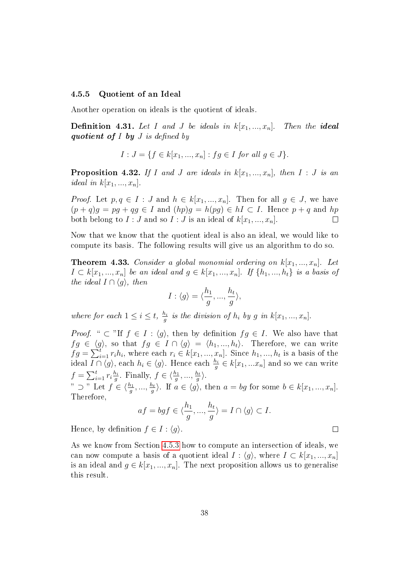### <span id="page-41-2"></span>4.5.5 Quotient of an Ideal

Another operation on ideals is the quotient of ideals.

**Definition 4.31.** Let I and J be ideals in  $k[x_1, ..., x_n]$ . Then the **ideal** quotient of  $I$  by  $J$  is defined by

$$
I: J = \{ f \in k[x_1, ..., x_n] : fg \in I \text{ for all } g \in J \}.
$$

<span id="page-41-1"></span>**Proposition 4.32.** If I and J are ideals in  $k[x_1, ..., x_n]$ , then I : J is an ideal in  $k[x_1, ..., x_n]$ .

*Proof.* Let  $p, q \in I : J$  and  $h \in k[x_1, ..., x_n]$ . Then for all  $q \in J$ , we have  $(p+q)g = pg + qg \in I$  and  $(hp)g = h(pg) \in hI \subset I$ . Hence  $p+q$  and  $hp$ both belong to  $I: J$  and so  $I: J$  is an ideal of  $k[x_1, ..., x_n]$ .  $\Box$ 

Now that we know that the quotient ideal is also an ideal, we would like to compute its basis. The following results will give us an algorithm to do so.

<span id="page-41-0"></span>**Theorem 4.33.** Consider a global monomial ordering on  $k[x_1, ..., x_n]$ . Let  $I \subset k[x_1, ..., x_n]$  be an ideal and  $g \in k[x_1, ..., x_n]$ . If  $\{h_1, ..., h_t\}$  is a basis of the ideal  $I \cap \langle g \rangle$ , then

$$
I: \langle g \rangle = \langle \frac{h_1}{g}, ..., \frac{h_t}{g} \rangle,
$$

where for each  $1 \leq i \leq t$ ,  $\frac{h_i}{a}$  $\frac{h_i}{g}$  is the division of  $h_i$  by g in  $k[x_1, ..., x_n]$ .

*Proof.* "  $\subset$  "If  $f \in I : \langle g \rangle$ , then by definition  $fg \in I$ . We also have that  $fg \in \langle g \rangle$ , so that  $fg \in I \cap \langle g \rangle = \langle h_1, ..., h_t \rangle$ . Therefore, we can write  $fg = \sum_{i=1}^{t} r_i h_i$ , where each  $r_i \in k[x_1, ..., x_n]$ . Since  $h_1, ..., h_t$  is a basis of the ideal  $I \cap \langle g \rangle$ , each  $h_i \in \langle g \rangle$ . Hence each  $\frac{h_i}{g} \in k[x_1,...x_n]$  and so we can write  $f = \sum_{i=1}^t r_i \frac{h_i}{q}$  $\frac{h_i}{g}$ . Finally,  $f \in \langle \frac{h_1}{g}, \ldots, \frac{h_t}{g} \rangle$  $\frac{h_t}{g}$ .

"  $\supset$  " Let  $f \in \langle \frac{h_1}{g}, ..., \frac{h_t}{g} \rangle$  $\langle \frac{b_t}{g} \rangle$ . If  $a \in \langle g \rangle$ , then  $a = bg$  for some  $b \in k[x_1, ..., x_n]$ . Therefore,

$$
af = bgf \in \langle \frac{h_1}{g}, \dots, \frac{h_t}{g} \rangle = I \cap \langle g \rangle \subset I.
$$

 $\Box$ 

Hence, by definition  $f \in I : \langle g \rangle$ .

As we know from Section [4.5.3](#page-30-0) how to compute an intersection of ideals, we can now compute a basis of a quotient ideal  $I : \langle q \rangle$ , where  $I \subset k[x_1, ..., x_n]$ is an ideal and  $g \in k[x_1, ..., x_n]$ . The next proposition allows us to generalise this result.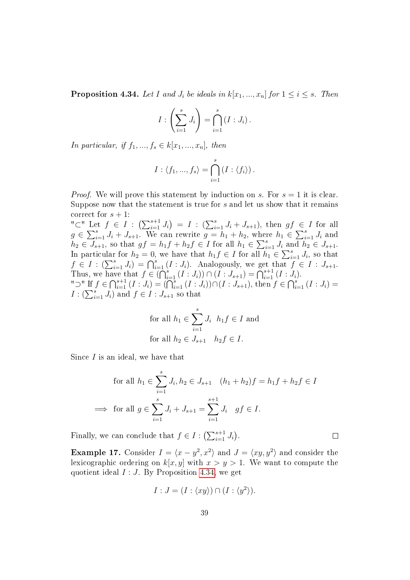<span id="page-42-0"></span>**Proposition 4.34.** Let I and  $J_i$  be ideals in  $k[x_1, ..., x_n]$  for  $1 \leq i \leq s$ . Then

$$
I:\left(\sum_{i=1}^s J_i\right)=\bigcap_{i=1}^s (I:J_i).
$$

In particular, if  $f_1, ..., f_s \in k[x_1, ..., x_n]$ , then

$$
I: \langle f_1, ..., f_s \rangle = \bigcap_{i=1}^s (I: \langle f_i \rangle).
$$

*Proof.* We will prove this statement by induction on s. For  $s = 1$  it is clear. Suppose now that the statement is true for s and let us show that it remains correct for  $s + 1$ :

"⊂" Let  $f \in I$  :  $\left( \sum_{i=1}^{s+1} J_i \right) = I$  :  $\left( \sum_{i=1}^{s} J_i + J_{s+1} \right)$ , then  $gf \in I$  for all  $g \in \sum_{i=1}^{s} J_i + J_{s+1}$ . We can rewrite  $g = h_1 + h_2$ , where  $h_1 \in \sum_{i=1}^{s} J_i$  and  $h_2 \in \overline{J_{s+1}}$ , so that  $gf = h_1f + h_2f \in I$  for all  $h_1 \in \sum_{i=1}^s J_i$  and  $\overline{h_2} \in J_{s+1}$ . In particular for  $h_2 = 0$ , we have that  $h_1 f \in I$  for all  $\overline{h_1} \in \sum_{i=1}^s J_i$ , so that  $f \in I : (\sum_{i=1}^s J_i) = \bigcap_{i=1}^s (I : J_i)$ . Analogously, we get that  $f \in I : J_{s+1}$ . Thus, we have that  $f \in \bigcap_{i=1}^s (I : J_i) \big) \cap (I : J_{s+1}) = \bigcap_{i=1}^{s+1} (I : J_i).$ "⊃" If  $f \in \bigcap_{i=1}^{s+1} (I : J_i) = (\bigcap_{i=1}^{s} (I : J_i)) \cap (I : J_{s+1}),$  then  $f \in \bigcap_{i=1}^{s} (I : J_i)$  $I: (\sum_{i=1}^s J_i)$  and  $f \in I: J_{s+1}$  so that

for all 
$$
h_1 \in \sum_{i=1}^s J_i
$$
  $h_1 f \in I$  and  
for all  $h_2 \in J_{s+1}$   $h_2 f \in I$ .

Since  $I$  is an ideal, we have that

$$
\text{for all } h_1 \in \sum_{i=1}^s J_i, h_2 \in J_{s+1} \quad (h_1 + h_2)f = h_1f + h_2f \in I
$$
\n
$$
\implies \text{ for all } g \in \sum_{i=1}^s J_i + J_{s+1} = \sum_{i=1}^{s+1} J_i \quad gf \in I.
$$

Finally, we can conclude that  $f \in I : (\sum_{i=1}^{s+1} J_i)$ .

**Example 17.** Consider  $I = \langle x - y^2, x^2 \rangle$  and  $J = \langle xy, y^2 \rangle$  and consider the lexicographic ordering on  $k[x, y]$  with  $x > y > 1$ . We want to compute the quotient ideal  $I : J$ . By Proposition [4.34,](#page-42-0) we get

$$
I: J = (I: \langle xy \rangle) \cap (I: \langle y^2 \rangle).
$$

 $\Box$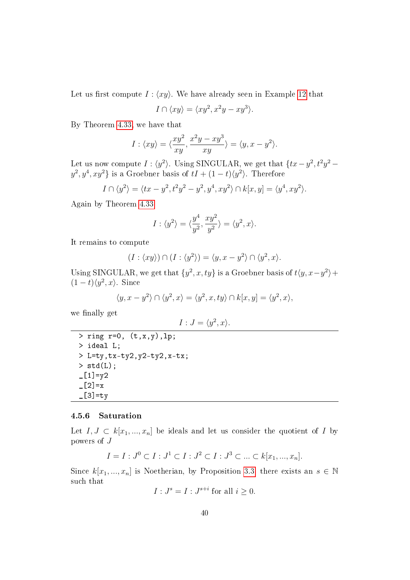Let us first compute  $I : \langle xy \rangle$ . We have already seen in Example [12](#page-33-0) that

$$
I \cap \langle xy \rangle = \langle xy^2, x^2y - xy^3 \rangle.
$$

By Theorem [4.33,](#page-41-0) we have that

$$
I: \langle xy \rangle = \langle \frac{xy^2}{xy}, \frac{x^2y - xy^3}{xy} \rangle = \langle y, x - y^2 \rangle.
$$

Let us now compute  $I: \langle y^2 \rangle$ . Using SINGULAR, we get that  $\{tx-y^2, t^2y^2-\}$  $y^2, y^4, xy^2\}$  is a Groebner basis of  $tI + (1-t)\langle y^2 \rangle$ . Therefore

$$
I \cap \langle y^2 \rangle = \langle tx - y^2, t^2y^2 - y^2, y^4, xy^2 \rangle \cap k[x, y] = \langle y^4, xy^2 \rangle.
$$

Again by Theorem [4.33](#page-41-0)

$$
I: \langle y^2 \rangle = \langle \frac{y^4}{y^2}, \frac{xy^2}{y^2} \rangle = \langle y^2, x \rangle.
$$

It remains to compute

$$
(I: \langle xy \rangle) \cap (I: \langle y^2 \rangle) = \langle y, x - y^2 \rangle \cap \langle y^2, x \rangle.
$$

Using SINGULAR, we get that  $\{y^2, x, ty\}$  is a Groebner basis of  $t\langle y, x-y^2 \rangle +$  $(1-t)\langle y^2, x \rangle$ . Since

$$
\langle y, x - y^2 \rangle \cap \langle y^2, x \rangle = \langle y^2, x, ty \rangle \cap k[x, y] = \langle y^2, x \rangle,
$$

we finally get

$$
I: J = \langle y^2, x \rangle.
$$

 $>$  ring r=0,  $(t, x, y)$ , lp; > ideal L; > L=ty,tx-ty2,y2-ty2,x-tx;  $>$  std(L);  $[L1]=y2$  $-[2]=x$  $\_$ [3]=ty

#### 4.5.6 Saturation

Let  $I, J \subset k[x_1, ..., x_n]$  be ideals and let us consider the quotient of I by powers of J

$$
I = I : J^0 \subset I : J^1 \subset I : J^2 \subset I : J^3 \subset \dots \subset k[x_1, ..., x_n].
$$

Since  $k[x_1, ..., x_n]$  is Noetherian, by Proposition [3.3,](#page-9-0) there exists an  $s \in \mathbb{N}$ such that

$$
I: J^s = I: J^{s+i} \text{ for all } i \ge 0.
$$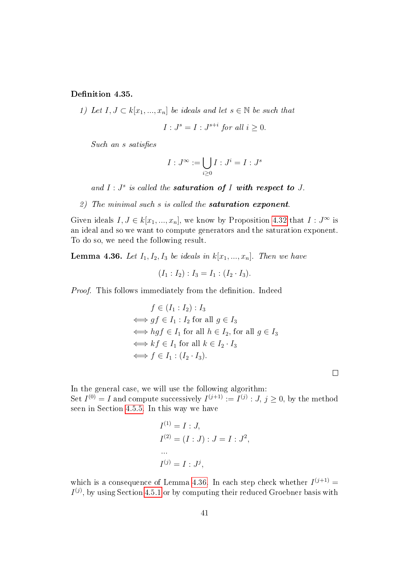Definition 4.35.

1) Let  $I, J \subset k[x_1, ..., x_n]$  be ideals and let  $s \in \mathbb{N}$  be such that

$$
I: J^s = I: J^{s+i} \text{ for all } i \ge 0.
$$

Such an s satisfies

$$
I:J^{\infty}:=\bigcup_{i\geq 0}I:J^{i}=I:J^{s}
$$

and  $I: J<sup>s</sup>$  is called the **saturation of** I with respect to J.

2) The minimal such s is called the **saturation exponent**.

Given ideals  $I, J \in k[x_1, ..., x_n]$ , we know by Proposition [4.32](#page-41-1) that  $I : J^{\infty}$  is an ideal and so we want to compute generators and the saturation exponent. To do so, we need the following result.

<span id="page-44-0"></span>**Lemma 4.36.** Let  $I_1, I_2, I_3$  be ideals in  $k[x_1, ..., x_n]$ . Then we have

$$
(I_1 : I_2) : I_3 = I_1 : (I_2 \cdot I_3).
$$

Proof. This follows immediately from the definition. Indeed

$$
f \in (I_1 : I_2) : I_3
$$
  
\n
$$
\iff gf \in I_1 : I_2 \text{ for all } g \in I_3
$$
  
\n
$$
\iff hgf \in I_1 \text{ for all } h \in I_2, \text{ for all } g \in I_3
$$
  
\n
$$
\iff kf \in I_1 \text{ for all } k \in I_2 \cdot I_3
$$
  
\n
$$
\iff f \in I_1 : (I_2 \cdot I_3).
$$

In the general case, we will use the following algorithm: Set  $I^{(0)} = I$  and compute successively  $I^{(j+1)} := I^{(j)} : J, j \geq 0$ , by the method seen in Section [4.5.5.](#page-41-2) In this way we have

 $\Box$ 

$$
I^{(1)} = I : J,
$$
  
\n
$$
I^{(2)} = (I : J) : J = I : J^2,
$$
  
\n...  
\n
$$
I^{(j)} = I : J^j,
$$

which is a consequence of Lemma [4.36.](#page-44-0) In each step check whether  $I^{(j+1)}$  =  $I^{(j)}$ , by using Section [4.5.1](#page-26-0) or by computing their reduced Groebner basis with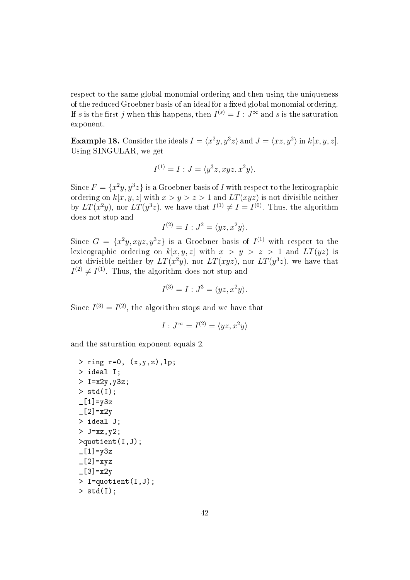respect to the same global monomial ordering and then using the uniqueness of the reduced Groebner basis of an ideal for a fixed global monomial ordering. If s is the first  $j$  when this happens, then  $I^{(s)} = I : J^\infty$  and s is the saturation exponent.

**Example 18.** Consider the ideals  $I = \langle x^2y, y^3z \rangle$  and  $J = \langle xz, y^2 \rangle$  in  $k[x, y, z]$ . Using SINGULAR, we get

$$
I^{(1)} = I : J = \langle y^3 z, xyz, x^2 y \rangle.
$$

Since  $F = \{x^2y, y^3z\}$  is a Groebner basis of  $I$  with respect to the lexicographic ordering on  $k[x, y, z]$  with  $x > y > z > 1$  and  $LT(xyz)$  is not divisible neither by  $LT(x^2y)$ , nor  $LT(y^3z)$ , we have that  $I^{(1)} \neq I = I^{(0)}$ . Thus, the algorithm does not stop and

$$
I^{(2)} = I : J^2 = \langle yz, x^2y \rangle.
$$

Since  $G = \{x^2y, xyz, y^3z\}$  is a Groebner basis of  $I^{(1)}$  with respect to the lexicographic ordering on  $k[x, y, z]$  with  $x > y > z > 1$  and  $LT(yz)$  is not divisible neither by  $LT(x^2y)$ , nor  $LT(xyz)$ , nor  $LT(y^3z)$ , we have that  $I^{(2)} \neq I^{(1)}$ . Thus, the algorithm does not stop and

$$
I^{(3)} = I : J^3 = \langle yz, x^2y \rangle.
$$

Since  $I^{(3)} = I^{(2)}$ , the algorithm stops and we have that

$$
I:J^{\infty} = I^{(2)} = \langle yz, x^2y \rangle
$$

and the saturation exponent equals 2.

```
> ring r=0, (x, y, z), lp;
> ideal I;
> I=x2y, y3z;> std(I);
[L1]=y3z-[2]=x2y
> ideal J;
> J=xz,y2;
>quotient(I,J);
-[1]=y3z
-[2]=xyz
-[3]=x2y> I=quotient(I,J);
> std(I);
```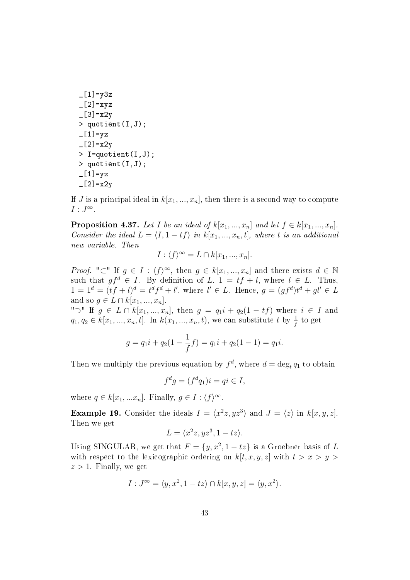```
[L1]=y3z\lfloor 2 \rfloor=xyz
[3] = x2y> quotient(I,J);
[L1]=yz-[2]=x2y
> I=quotient(I,J);
> quotient(I,J);
-[1]=yz
-[2]=x2y
```
If J is a principal ideal in  $k[x_1, ..., x_n]$ , then there is a second way to compute  $I: J^{\infty}.$ 

**Proposition 4.37.** Let I be an ideal of  $k[x_1, ..., x_n]$  and let  $f \in k[x_1, ..., x_n]$ . Consider the ideal  $L = \langle I, 1 - tf \rangle$  in  $k[x_1, ..., x_n, t]$ , where t is an additional new variable. Then

$$
I: \langle f \rangle^{\infty} = L \cap k[x_1, ..., x_n].
$$

*Proof.* "⊂" If  $g \in I : \langle f \rangle^{\infty}$ , then  $g \in k[x_1, ..., x_n]$  and there exists  $d \in \mathbb{N}$ such that  $gf^d \in I$ . By definition of  $L, 1 = tf + l$ , where  $l \in L$ . Thus,  $1 = 1^d = (tf + l)^d = t^d f^d + l'$ , where  $l' \in L$ . Hence,  $g = (gf^d)t^d + gl' \in L$ and so  $g \in L \cap k[x_1, ..., x_n]$ .

" $\supset$ " If  $g \in L \cap k[x_1, ..., x_n]$ , then  $g = q_1i + q_2(1 - tf)$  where  $i \in I$  and  $q_1, q_2 \in k[x_1, ..., x_n, t]$ . In  $k(x_1, ..., x_n, t)$ , we can substitute t by  $\frac{1}{f}$  to get

$$
g = q_1 i + q_2 (1 - \frac{1}{f}f) = q_1 i + q_2 (1 - 1) = q_1 i.
$$

Then we multiply the previous equation by  $f^d$ , where  $d = \deg_t q_1$  to obtain

$$
f^d g = (f^d q_1)i = qi \in I,
$$

where  $q \in k[x_1,...x_n]$ . Finally,  $g \in I : \langle f \rangle^{\infty}$ .

**Example 19.** Consider the ideals  $I = \langle x^2z, yz^3 \rangle$  and  $J = \langle z \rangle$  in  $k[x, y, z]$ . Then we get

$$
L = \langle x^2z, yz^3, 1-tz \rangle.
$$

Using SINGULAR, we get that  $F = \{y, x^2, 1 - tz\}$  is a Groebner basis of L with respect to the lexicographic ordering on  $k[t, x, y, z]$  with  $t > x > y >$  $z > 1$ . Finally, we get

$$
I: J^{\infty} = \langle y, x^2, 1 - tz \rangle \cap k[x, y, z] = \langle y, x^2 \rangle.
$$

 $\Box$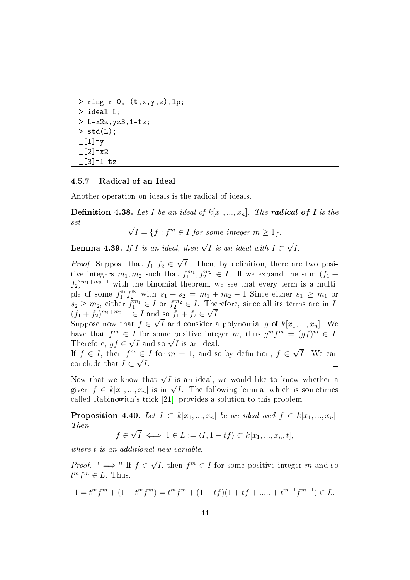```
> ring r=0, (t, x, y, z), lp;
> ideal L;
> L=x2z, yz3, 1-tz;> std(L);
_{-}[1]=v_{-}[2]=x2[3] = 1 - tz
```
### 4.5.7 Radical of an Ideal

Another operation on ideals is the radical of ideals.

**Definition 4.38.** Let I be an ideal of  $k[x_1, ..., x_n]$ . The **radical of I** is the set √

 $\overline{I} = \{f : f^m \in I \text{ for some integer } m \geq 1\}.$ 

**Lemma 4.39.** If I is an ideal, then  $\sqrt{I}$  is an ideal with  $I \subset$ √ I.

*Proof.* Suppose that  $f_1, f_2 \in$ √ I. Then, by definition, there are two positive integers  $m_1, m_2$  such that  $f_1^{m_1}, f_2^{m_2} \in I$ . If we expand the sum  $(f_1 +$  $f_2)^{m_1+m_2-1}$  with the binomial theorem, we see that every term is a multiple of some  $f_1^{s_1} f_2^{s_2}$  with  $s_1 + s_2 = m_1 + m_2 - 1$  Since either  $s_1 \geq m_1$  or  $s_2 \geq m_2$ , either  $f_1^{m_1} \in I$  or  $f_2^{m_2} \in I$ . Therefore, since all its terms are in I,  $(f_1 + f_2)^{m_1 + m_2 - 1} \in I$  and so  $f_1 + f_2 \in$ µn  $\operatorname{Ind}_{\overline{G}}$  so  $f_1 + f_2 \in \sqrt{I}$ .

Suppose now that  $f \in \sqrt{I}$  and consider a polynomial g of  $k[x_1, ..., x_n]$ . We have that  $f^m \in I$  for some positive integer m, thus  $g^m f^m = (gf)^m \in I$ . nave tnat  $f^{\cdot \cdot \cdot} \in I$  for some positive integral that  $\sqrt{I}$  is an ideal. √

If  $f \in I$ , then  $f^m \in I$  for  $m = 1$ , and so by definition,  $f \in$ ∈ I for  $m = 1$ , and so by definition,  $f \in √I$ . We can conclude that  $I \subset \sqrt{I}$ . П

Now that we know that  $\sqrt{I}$  is an ideal, we would like to know whether a Now that we know that  $\sqrt{I}$  is an ideal, we would like to know whether a given  $f \in k[x_1, ..., x_n]$  is in  $\sqrt{I}$ . The following lemma, which is sometimes called Rabinowich's trick [\[21\]](#page-87-0), provides a solution to this problem.

**Proposition 4.40.** Let  $I \subset k[x_1, ..., x_n]$  be an ideal and  $f \in k[x_1, ..., x_n]$ . Then √

$$
f \in \sqrt{I} \iff 1 \in L := \langle I, 1 - tf \rangle \subset k[x_1, ..., x_n, t],
$$

where t is an additional new variable.

*Proof.* "  $\implies$  " If  $f \in$ √  $\overline{I}$ , then  $f^m \in I$  for some positive integer m and so  $t^m f^m \in L$ . Thus,

$$
1 = tm fm + (1 - tm fm) = tm fm + (1 - t f)(1 + t f + \dots + tm-1 fm-1) \in L.
$$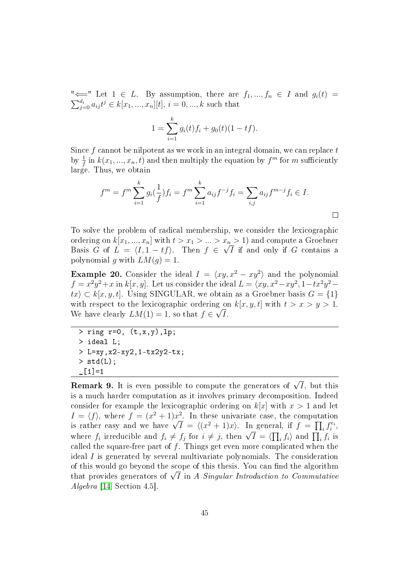" $\Longleftarrow$ " Let  $1 \in L$ . By assumption, there are  $f_1, ..., f_n \in I$  and  $g_i(t) = \sum_{j=0}^{d_i} a_{ij} t^j \in k[x_1, ..., x_n][t], i = 0, ..., k$  such that

$$
1 = \sum_{i=1}^{k} g_i(t) f_i + g_0(t) (1 - tf).
$$

Since  $f$  cannot be nilpotent as we work in an integral domain, we can replace  $t$ by  $\frac{1}{f}$  in  $k(x_1,...,x_n,t)$  and then multiply the equation by  $f^m$  for  $m$  sufficiently large. Thus, we obtain

$$
f^{m} = f^{m} \sum_{i=1}^{k} g_{i}(\frac{1}{f}) f_{i} = f^{m} \sum_{i=1}^{k} a_{ij} f^{-j} f_{i} = \sum_{i,j} a_{ij} f^{m-j} f_{i} \in I.
$$

To solve the problem of radical membership, we consider the lexicographic ordering on  $k[x_1, ..., x_n]$  with  $t > x_1 > ... > x_n > 1$ ) and compute a Groebner Basis G of  $L = \langle I, 1 - tf \rangle$ . Then  $f \in \sqrt{I}$  if and only if G contains a polynomial g with  $LM(g) = 1$ .

**Example 20.** Consider the ideal  $I = \langle xy, x^2 - xy^2 \rangle$  and the polynomial  $f = x^2y^2 + x$  in  $k[x, y]$ . Let us consider the ideal  $L = \langle xy, x^2 - xy^2, 1 - tx^2y^2$  $tx \in k[x, y, t]$ . Using SINGULAR, we obtain as a Groebner basis  $G = \{1\}$ with respect to the lexicographic ordering on  $k[x, y, t]$  with  $t > x > y > 1$ . We have clearly  $LM(1) = 1$ , so that  $f \in \sqrt{I}$ .

```
> ring r=0, (t, x, y), lp;
> ideal L;
> L=xy,x2-xy2,1-tx2y2-tx;
> std(L);
\_[1]=1
```
**Remark 9.** It is even possible to compute the generators of  $\sqrt{I}$ , but this is a much harder computation as it involves primary decomposition. Indeed consider for example the lexicographic ordering on  $k[x]$  with  $x > 1$  and let  $I = \langle f \rangle$ , where  $f = (x^2 + 1)x^2$ . In these univariate case, the computation  $I = \langle I \rangle$ , where  $J = (x^2 + 1)x^2$ . In these univariate case, the computation<br>is rather easy and we have  $\sqrt{I} = \langle (x^2 + 1)x \rangle$ . In general, if  $f = \prod_i f_i^{e_i}$ , is rather easy and we have  $\forall I \equiv \langle (x + 1)x \rangle$ . In general, if  $J \equiv \prod_i J_i$ ,<br>where  $f_i$  irreducible and  $f_i \neq f_j$  for  $i \neq j$ , then  $\sqrt{I} = \langle \prod_i f_i \rangle$  and  $\prod_i f_i$  is called the square-free part of  $f$ . Things get even more complicated when the ideal  $I$  is generated by several multivariate polynomials. The consideration of this would go beyond the scope of this thesis. You can find the algorithm or this would go beyond the scope of this thesis. You can find the algorithm<br>that provides generators of  $\sqrt{I}$  in *A Singular Introduction to Commutative* Algebra [\[14,](#page-87-1) Section 4.5].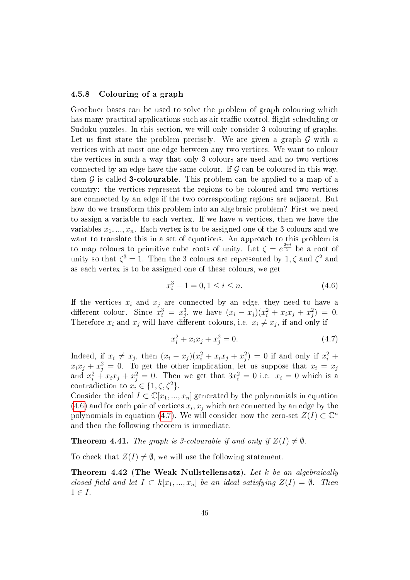### 4.5.8 Colouring of a graph

Groebner bases can be used to solve the problem of graph colouring which has many practical applications such as air traffic control, flight scheduling or Sudoku puzzles. In this section, we will only consider 3-colouring of graphs. Let us first state the problem precisely. We are given a graph  $\mathcal G$  with n vertices with at most one edge between any two vertices. We want to colour the vertices in such a way that only 3 colours are used and no two vertices connected by an edge have the same colour. If  $G$  can be coloured in this way, then  $G$  is called **3-colourable**. This problem can be applied to a map of a country: the vertices represent the regions to be coloured and two vertices are connected by an edge if the two corresponding regions are adjacent. But how do we transform this problem into an algebraic problem? First we need to assign a variable to each vertex. If we have  $n$  vertices, then we have the variables  $x_1, ..., x_n$ . Each vertex is to be assigned one of the 3 colours and we want to translate this in a set of equations. An approach to this problem is to map colours to primitive cube roots of unity. Let  $\zeta = e^{\frac{2\pi i}{3}}$  be a root of unity so that  $\zeta^3 = 1$ . Then the 3 colours are represented by 1,  $\zeta$  and  $\zeta^2$  and as each vertex is to be assigned one of these colours, we get

<span id="page-49-0"></span>
$$
x_i^3 - 1 = 0, 1 \le i \le n. \tag{4.6}
$$

If the vertices  $x_i$  and  $x_j$  are connected by an edge, they need to have a different colour. Since  $x_i^3 = x_j^3$ , we have  $(x_i - x_j)(x_i^2 + x_i x_j + x_j^2) = 0$ . Therefore  $x_i$  and  $x_j$  will have different colours, i.e.  $x_i \neq x_j$ , if and only if

<span id="page-49-1"></span>
$$
x_i^2 + x_i x_j + x_j^2 = 0.
$$
 (4.7)

Indeed, if  $x_i \neq x_j$ , then  $(x_i - x_j)(x_i^2 + x_i x_j + x_j^2) = 0$  if and only if  $x_i^2 + x_j^2$  $x_i x_j + x_j^2 = 0$ . To get the other implication, let us suppose that  $x_i = x_j$ and  $x_i^2 + x_i x_j + x_j^2 = 0$ . Then we get that  $3x_i^2 = 0$  i.e.  $x_i = 0$  which is a contradiction to  $x_i \in \{1, \zeta, \zeta^2\}.$ 

Consider the ideal  $I \subset \mathbb{C}[x_1, ..., x_n]$  generated by the polynomials in equation  $(4.6)$  and for each pair of vertices  $x_i, x_j$  which are connected by an edge by the polynomials in equation [\(4.7\)](#page-49-1). We will consider now the zero-set  $Z(I) \subset \mathbb{C}^n$ and then the following theorem is immediate.

<span id="page-49-3"></span>**Theorem 4.41.** The graph is 3-colourable if and only if  $Z(I) \neq \emptyset$ .

To check that  $Z(I) \neq \emptyset$ , we will use the following statement.

<span id="page-49-2"></span>**Theorem 4.42 (The Weak Nullstellensatz).** Let  $k$  be an algebraically closed field and let  $I \subset k[x_1, ..., x_n]$  be an ideal satisfying  $Z(I) = \emptyset$ . Then  $1 \in I$ .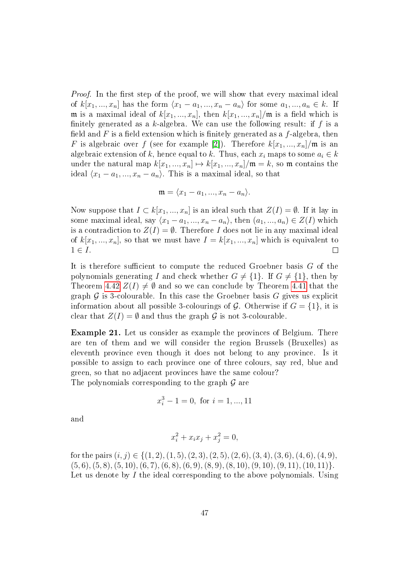*Proof.* In the first step of the proof, we will show that every maximal ideal of  $k[x_1, ..., x_n]$  has the form  $\langle x_1 - a_1, ..., x_n - a_n \rangle$  for some  $a_1, ..., a_n \in k$ . If m is a maximal ideal of  $k[x_1, ..., x_n]$ , then  $k[x_1, ..., x_n]$ /m is a field which is finitely generated as a k-algebra. We can use the following result: if  $f$  is a field and F is a field extension which is finitely generated as a  $f$ -algebra, then F is algebraic over f (see for example [\[2\]](#page-86-0)). Therefore  $k[x_1, ..., x_n]/m$  is an algebraic extension of k, hence equal to k. Thus, each  $x_i$  maps to some  $a_i \in k$ under the natural map  $k[x_1, ..., x_n] \mapsto k[x_1, ..., x_n]/m = k$ , so m contains the ideal  $\langle x_1 - a_1, ..., x_n - a_n \rangle$ . This is a maximal ideal, so that

$$
\mathfrak{m}=\langle x_1-a_1,...,x_n-a_n\rangle.
$$

Now suppose that  $I \subset k[x_1, ..., x_n]$  is an ideal such that  $Z(I) = \emptyset$ . If it lay in some maximal ideal, say  $\langle x_1 - a_1, ..., x_n - a_n \rangle$ , then  $(a_1, ..., a_n) \in Z(I)$  which is a contradiction to  $Z(I) = \emptyset$ . Therefore I does not lie in any maximal ideal of  $k[x_1, ..., x_n]$ , so that we must have  $I = k[x_1, ..., x_n]$  which is equivalent to  $1 \in I$ .  $\Box$ 

It is therefore sufficient to compute the reduced Groebner basis  $G$  of the polynomials generating I and check whether  $G \neq \{1\}$ . If  $G \neq \{1\}$ , then by Theorem [4.42](#page-49-2)  $Z(I) \neq \emptyset$  and so we can conclude by Theorem [4.41](#page-49-3) that the graph  $\mathcal G$  is 3-colourable. In this case the Groebner basis  $G$  gives us explicit information about all possible 3-colourings of  $\mathcal{G}$ . Otherwise if  $G = \{1\}$ , it is clear that  $Z(I) = \emptyset$  and thus the graph  $\mathcal G$  is not 3-colourable.

Example 21. Let us consider as example the provinces of Belgium. There are ten of them and we will consider the region Brussels (Bruxelles) as eleventh province even though it does not belong to any province. Is it possible to assign to each province one of three colours, say red, blue and green, so that no adjacent provinces have the same colour? The polynomials corresponding to the graph  $\mathcal G$  are

$$
x_i^3 - 1 = 0, \text{ for } i = 1, ..., 11
$$

and

$$
x_i^2 + x_i x_j + x_j^2 = 0,
$$

for the pairs  $(i, j) \in \{(1, 2), (1, 5), (2, 3), (2, 5), (2, 6), (3, 4), (3, 6), (4, 6), (4, 9),\}$  $(5, 6), (5, 8), (5, 10), (6, 7), (6, 8), (6, 9), (8, 9), (8, 10), (9, 10), (9, 11), (10, 11)\}.$ Let us denote by I the ideal corresponding to the above polynomials. Using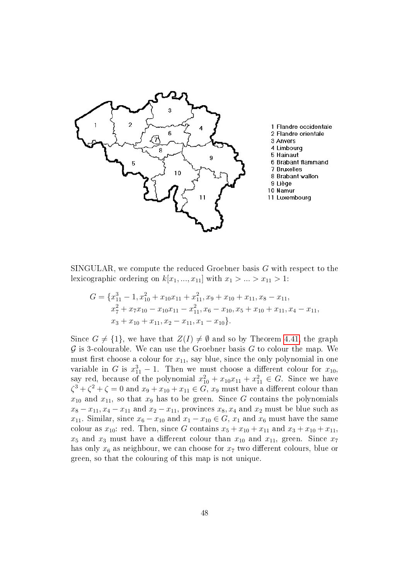

SINGULAR, we compute the reduced Groebner basis  $G$  with respect to the lexicographic ordering on  $k[x_1, ..., x_{11}]$  with  $x_1 > ... > x_{11} > 1$ :

$$
G = \{x_{11}^3 - 1, x_{10}^2 + x_{10}x_{11} + x_{11}^2, x_9 + x_{10} + x_{11}, x_8 - x_{11},
$$
  
\n
$$
x_7^2 + x_7x_{10} - x_{10}x_{11} - x_{11}^2, x_6 - x_{10}, x_5 + x_{10} + x_{11}, x_4 - x_{11},
$$
  
\n
$$
x_3 + x_{10} + x_{11}, x_2 - x_{11}, x_1 - x_{10}\}.
$$

Since  $G \neq \{1\}$ , we have that  $Z(I) \neq \emptyset$  and so by Theorem [4.41,](#page-49-3) the graph  $\mathcal G$  is 3-colourable. We can use the Groebner basis  $G$  to colour the map. We must first choose a colour for  $x_{11}$ , say blue, since the only polynomial in one variable in G is  $x_{11}^3 - 1$ . Then we must choose a different colour for  $x_{10}$ , say red, because of the polynomial  $x_{10}^2 + x_{10}x_{11} + x_{11}^2 \in G$ . Since we have  $\zeta^3 + \zeta^2 + \zeta = 0$  and  $x_9 + x_{10} + x_{11} \in G$ ,  $x_9$  must have a different colour than  $x_{10}$  and  $x_{11}$ , so that  $x_9$  has to be green. Since G contains the polynomials  $x_8 - x_{11}, x_4 - x_{11}$  and  $x_2 - x_{11}$ , provinces  $x_8, x_4$  and  $x_2$  must be blue such as  $x_{11}$ . Similar, since  $x_6 - x_{10}$  and  $x_1 - x_{10} \in G$ ,  $x_1$  and  $x_6$  must have the same colour as  $x_{10}$ : red. Then, since G contains  $x_5 + x_{10} + x_{11}$  and  $x_3 + x_{10} + x_{11}$ ,  $x_5$  and  $x_3$  must have a different colour than  $x_{10}$  and  $x_{11}$ , green. Since  $x_7$ has only  $x_6$  as neighbour, we can choose for  $x_7$  two different colours, blue or green, so that the colouring of this map is not unique.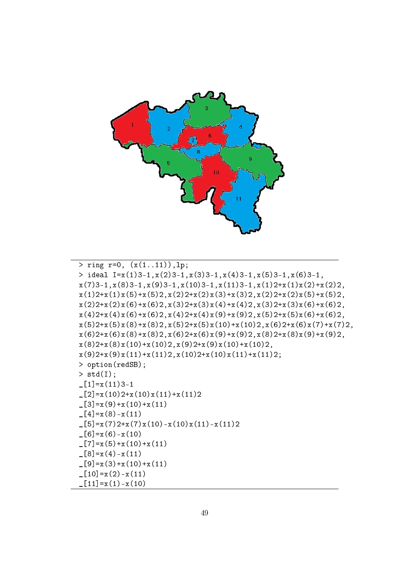

```
> ring r=0, (x(1..11)), lp;> ideal I=x(1)3-1,x(2)3-1,x(3)3-1,x(4)3-1,x(5)3-1,x(6)3-1,
x(7)3-1,x(8)3-1,x(9)3-1,x(10)3-1,x(11)3-1,x(1)2+x(1)x(2)+x(2)2,
x(1)2+x(1)x(5)+x(5)2, x(2)2+x(2)x(3)+x(3)2, x(2)2+x(2)x(5)+x(5)2,x(2)2+x(2)x(6)+x(6)2, x(3)2+x(3)x(4)+x(4)2, x(3)2+x(3)x(6)+x(6)2,x(4)2+x(4)x(6)+x(6)2, x(4)2+x(4)x(9)+x(9)2, x(5)2+x(5)x(6)+x(6)2,x(5)2+x(5)x(8)+x(8)2, x(5)2+x(5)x(10)+x(10)2, x(6)2+x(6)x(7)+x(7)2,x(6)2+x(6)x(8)+x(8)2, x(6)2+x(6)x(9)+x(9)2, x(8)2+x(8)x(9)+x(9)2,x(8)2+x(8)x(10)+x(10)2,x(9)2+x(9)x(10)+x(10)2,x(9)2+x(9)x(11)+x(11)2, x(10)2+x(10)x(11)+x(11)2;> option(redSB);
> std(I);
[1]=x(11)3-1\lfloor 2 \rfloor = x(10)2+x(10)x(11)+x(11)2[3]=x(9)+x(10)+x(11)_{-}[4]=x(8)-x(11)_{2}[5]=x(7)2+x(7)x(10)-x(10)x(11)-x(11)2[6]=x(6)-x(10)-[7]=x(5)+x(10)+x(11)[8]=x(4)-x(11)-[9]=x(3)+x(10)+x(11)[10]=x(2)-x(11)_{-}[11]=x(1)-x(10)
```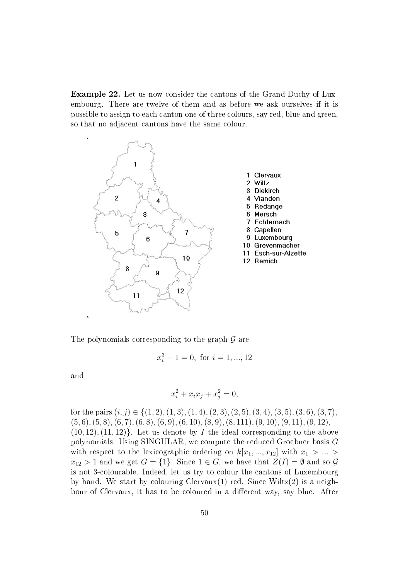Example 22. Let us now consider the cantons of the Grand Duchy of Luxembourg. There are twelve of them and as before we ask ourselves if it is possible to assign to each canton one of three colours, say red, blue and green, so that no adjacent cantons have the same colour.



The polynomials corresponding to the graph  $\mathcal G$  are

$$
x_i^3 - 1 = 0, \text{ for } i = 1, ..., 12
$$

and

$$
x_i^2 + x_i x_j + x_j^2 = 0,
$$

for the pairs  $(i, j) \in \{(1, 2), (1, 3), (1, 4), (2, 3), (2, 5), (3, 4), (3, 5), (3, 6), (3, 7),$  $(5, 6), (5, 8), (6, 7), (6, 8), (6, 9), (6, 10), (8, 9), (8, 111), (9, 10), (9, 11), (9, 12),$  $(10, 12), (11, 12)$ . Let us denote by I the ideal corresponding to the above polynomials. Using SINGULAR, we compute the reduced Groebner basis G with respect to the lexicographic ordering on  $k[x_1, ..., x_{12}]$  with  $x_1 > ... >$  $x_{12} > 1$  and we get  $G = \{1\}$ . Since  $1 \in \overline{G}$ , we have that  $Z(I) = \emptyset$  and so  $\mathcal G$ is not 3-colourable. Indeed, let us try to colour the cantons of Luxembourg by hand. We start by colouring Clervaux $(1)$  red. Since Wiltz $(2)$  is a neighbour of Clervaux, it has to be coloured in a different way, say blue. After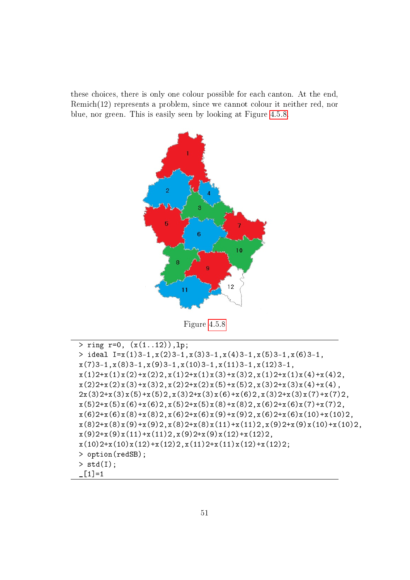<span id="page-54-0"></span>these choices, there is only one colour possible for each canton. At the end, Remich(12) represents a problem, since we cannot colour it neither red, nor blue, nor green. This is easily seen by looking at Figure [4.5.8.](#page-54-0)



Figure [4.5.8](#page-54-0)

```
> ring r=0, (x(1..12)), lp;> ideal I=x(1)3-1,x(2)3-1,x(3)3-1,x(4)3-1,x(5)3-1,x(6)3-1,
x(7)3-1,x(8)3-1,x(9)3-1,x(10)3-1,x(11)3-1,x(12)3-1,
x(1)2+x(1)x(2)+x(2)2, x(1)2+x(1)x(3)+x(3)2, x(1)2+x(1)x(4)+x(4)2,x(2)2+x(2)x(3)+x(3)2,x(2)2+x(2)x(5)+x(5)2,x(3)2+x(3)x(4)+x(4),2x(3)2+x(3)x(5)+x(5)2,x(3)2+x(3)x(6)+x(6)2,x(3)2+x(3)x(7)+x(7)2,x(5)2+x(5)x(6)+x(6)2, x(5)2+x(5)x(8)+x(8)2, x(6)2+x(6)x(7)+x(7)2,x(6)2+x(6)x(8)+x(8)2, x(6)2+x(6)x(9)+x(9)2, x(6)2+x(6)x(10)+x(10)2,x(8)2+x(8)x(9)+x(9)2, x(8)2+x(8)x(11)+x(11)2, x(9)2+x(9)x(10)+x(10)2,x(9)2+x(9)x(11)+x(11)2,x(9)2+x(9)x(12)+x(12)2,x(10)2+x(10)x(12)+x(12)2,x(11)2+x(11)x(12)+x(12)2;> option(redSB);
> std(I);
[L1]=1
```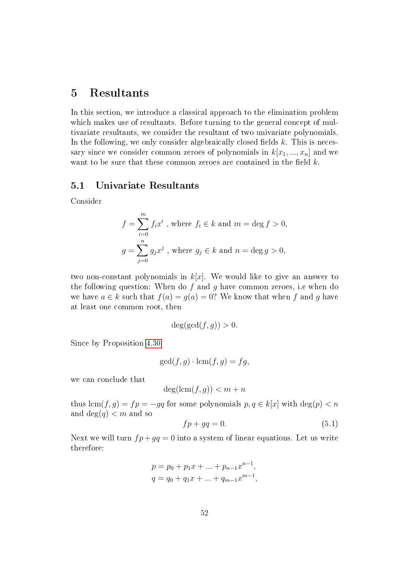# 5 Resultants

In this section, we introduce a classical approach to the elimination problem which makes use of resultants. Before turning to the general concept of multivariate resultants, we consider the resultant of two univariate polynomials. In the following, we only consider algebraically closed fields  $k$ . This is necessary since we consider common zeroes of polynomials in  $k[x_1, ..., x_n]$  and we want to be sure that these common zeroes are contained in the field  $k$ .

### <span id="page-55-1"></span>5.1 Univariate Resultants

Consider

$$
f = \sum_{i=0}^{m} f_i x^i
$$
, where  $f_i \in k$  and  $m = \deg f > 0$ ,  

$$
g = \sum_{j=0}^{n} g_j x^j
$$
, where  $g_j \in k$  and  $n = \deg g > 0$ ,

two non-constant polynomials in  $k[x]$ . We would like to give an answer to the following question: When do  $f$  and  $g$  have common zeroes, i.e when do we have  $a \in k$  such that  $f(a) = g(a) = 0$ ? We know that when f and g have at least one common root, then

$$
\deg(\gcd(f,g)) > 0.
$$

Since by Proposition [4.30](#page-39-2)

$$
\gcd(f,g) \cdot \text{lcm}(f,g) = fg,
$$

we can conclude that

$$
\deg(\operatorname{lcm}(f,g)) < m+n
$$

thus  $lcm(f, g) = fp = -gq$  for some polynomials  $p, q \in k[x]$  with  $deg(p) < n$ and deg $(q)$  < m and so

<span id="page-55-0"></span>
$$
fp + gq = 0.\t\t(5.1)
$$

Next we will turn  $fp+gq=0$  into a system of linear equations. Let us write therefore:

$$
p = p_0 + p_1 x + \dots + p_{n-1} x^{n-1},
$$
  
\n
$$
q = q_0 + q_1 x + \dots + q_{m-1} x^{m-1},
$$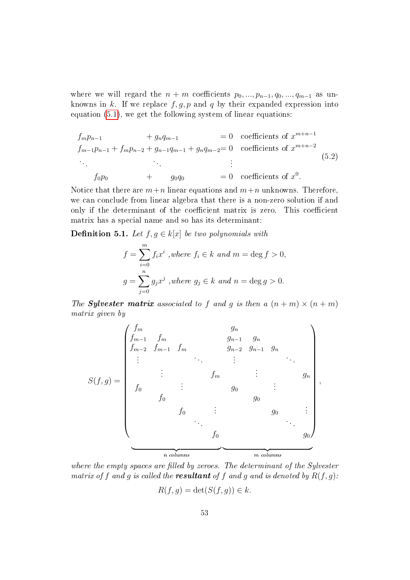where we will regard the  $n + m$  coefficients  $p_0, ..., p_{n-1}, q_0, ..., q_{m-1}$  as unknowns in k. If we replace  $f, g, p$  and q by their expanded expression into equation [\(5.1\)](#page-55-0), we get the following system of linear equations:

<span id="page-56-1"></span>
$$
f_m p_{n-1} + g_n q_{m-1} = 0
$$
 coefficients of  $x^{m+n-1}$   
\n
$$
f_{m-1} p_{n-1} + f_m p_{n-2} + g_{n-1} q_{m-1} + g_n q_{m-2} = 0
$$
 coefficients of  $x^{m+n-2}$   
\n
$$
\vdots
$$
  
\n
$$
f_0 p_0 + g_0 q_0 = 0
$$
 coefficients of  $x^0$ . (5.2)

Notice that there are  $m+n$  linear equations and  $m+n$  unknowns. Therefore, we can conclude from linear algebra that there is a non-zero solution if and only if the determinant of the coefficient matrix is zero. This coefficient matrix has a special name and so has its determinant:

<span id="page-56-0"></span>**Definition 5.1.** Let  $f, g \in k[x]$  be two polynomials with

$$
f = \sum_{i=0}^{m} f_i x^i
$$
, where  $f_i \in k$  and  $m = \deg f > 0$ ,  

$$
g = \sum_{j=0}^{n} g_j x^j
$$
, where  $g_j \in k$  and  $n = \deg g > 0$ .

The **Sylvester matrix** associated to f and g is then a  $(n+m) \times (n+m)$ matrix given by



where the empty spaces are filled by zeroes. The determinant of the Sylvester matrix of f and g is called the **resultant** of f and g and is denoted by  $R(f, g)$ :

$$
R(f,g) = \det(S(f,g)) \in k.
$$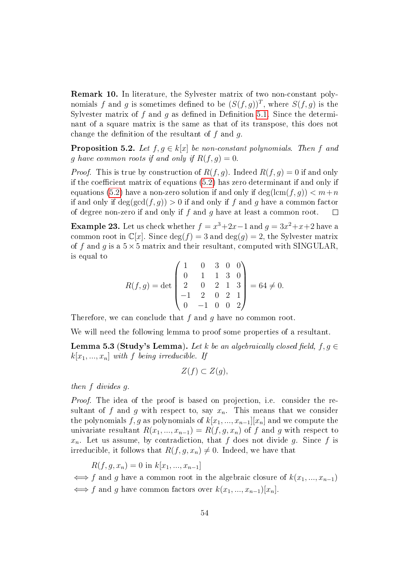Remark 10. In literature, the Sylvester matrix of two non-constant polynomials f and g is sometimes defined to be  $(S(f, g))^T$ , where  $S(f, g)$  is the Sylvester matrix of  $f$  and  $g$  as defined in Definition [5.1.](#page-56-0) Since the determinant of a square matrix is the same as that of its transpose, this does not change the definition of the resultant of  $f$  and  $g$ .

<span id="page-57-0"></span>**Proposition 5.2.** Let  $f, g \in k[x]$  be non-constant polynomials. Then f and g have common roots if and only if  $R(f, g) = 0$ .

*Proof.* This is true by construction of  $R(f, g)$ . Indeed  $R(f, g) = 0$  if and only if the coefficient matrix of equations  $(5.2)$  has zero determinant if and only if equations [\(5.2\)](#page-56-1) have a non-zero solution if and only if  $\deg(\text{lcm}(f, q)) < m+n$ if and only if  $\deg(\gcd(f, q)) > 0$  if and only if f and q have a common factor of degree non-zero if and only if f and q have at least a common root.  $\Box$ 

**Example 23.** Let us check whether  $f = x^3 + 2x - 1$  and  $g = 3x^2 + x + 2$  have a common root in  $\mathbb{C}[x]$ . Since  $\deg(f) = 3$  and  $\deg(g) = 2$ , the Sylvester matrix of f and q is a  $5\times 5$  matrix and their resultant, computed with SINGULAR. is equal to

$$
R(f,g) = \det \begin{pmatrix} 1 & 0 & 3 & 0 & 0 \\ 0 & 1 & 1 & 3 & 0 \\ 2 & 0 & 2 & 1 & 3 \\ -1 & 2 & 0 & 2 & 1 \\ 0 & -1 & 0 & 0 & 2 \end{pmatrix} = 64 \neq 0.
$$

Therefore, we can conclude that  $f$  and  $g$  have no common root.

We will need the following lemma to proof some properties of a resultant.

**Lemma 5.3 (Study's Lemma).** Let k be an algebraically closed field,  $f, g \in$  $k[x_1, ..., x_n]$  with f being irreducible. If

$$
Z(f) \subset Z(g),
$$

then f divides g.

*Proof.* The idea of the proof is based on projection, i.e. consider the resultant of f and q with respect to, say  $x_n$ . This means that we consider the polynomials f, g as polynomials of  $k[x_1, ..., x_{n-1}][x_n]$  and we compute the univariate resultant  $R(x_1, ..., x_{n-1}) = R(f, g, x_n)$  of f and g with respect to  $x_n$ . Let us assume, by contradiction, that f does not divide g. Since f is irreducible, it follows that  $R(f, g, x_n) \neq 0$ . Indeed, we have that

 $R(f, q, x_n) = 0$  in  $k[x_1, ..., x_{n-1}]$ 

 $\iff$  f and g have a common root in the algebraic closure of  $k(x_1, ..., x_{n-1})$  $\iff$  f and g have common factors over  $k(x_1, ..., x_{n-1})[x_n]$ .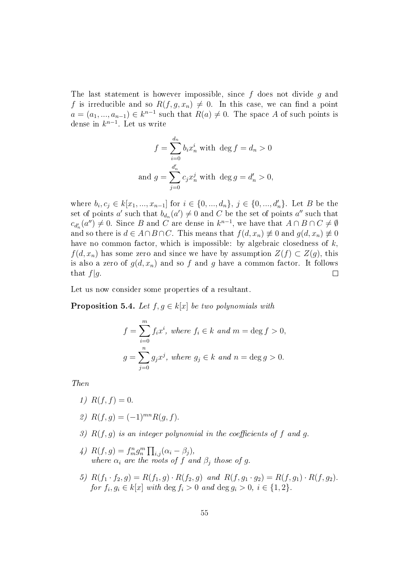The last statement is however impossible, since  $f$  does not divide  $g$  and f is irreducible and so  $R(f, g, x_n) \neq 0$ . In this case, we can find a point  $a = (a_1, ..., a_{n-1}) \in k^{n-1}$  such that  $R(a) \neq 0$ . The space A of such points is dense in  $k^{n-1}$ . Let us write

$$
f = \sum_{i=0}^{d_n} b_i x_n^i
$$
 with  $\deg f = d_n > 0$   
and 
$$
g = \sum_{j=0}^{d'_n} c_j x_n^j
$$
 with 
$$
\deg g = d'_n > 0,
$$

where  $b_i, c_j \in k[x_1, ..., x_{n-1}]$  for  $i \in \{0, ..., d_n\}, j \in \{0, ..., d'_n\}$ . Let B be the set of points  $a'$  such that  $b_{d_n}(a') \neq 0$  and  $C$  be the set of points  $a''$  such that  $c_{d'_{n}}(a'') \neq 0$ . Since B and C are dense in  $k^{n-1}$ , we have that  $A \cap B \cap C \neq \emptyset$ and so there is  $d \in A \cap B \cap C$ . This means that  $f(d, x_n) \neq 0$  and  $g(d, x_n) \neq 0$ have no common factor, which is impossible: by algebraic closedness of  $k$ ,  $f(d, x_n)$  has some zero and since we have by assumption  $Z(f) \subset Z(q)$ , this is also a zero of  $g(d, x_n)$  and so f and g have a common factor. It follows that  $f|q$ .  $\Box$ 

Let us now consider some properties of a resultant.

<span id="page-58-0"></span>**Proposition 5.4.** Let  $f, g \in k[x]$  be two polynomials with

$$
f = \sum_{i=0}^{m} f_i x^i, \text{ where } f_i \in k \text{ and } m = \deg f > 0,
$$
  

$$
g = \sum_{j=0}^{n} g_j x^j, \text{ where } g_j \in k \text{ and } n = \deg g > 0.
$$

Then

- 1)  $R(f, f) = 0$ .
- 2)  $R(f, q) = (-1)^{mn} R(q, f)$ .
- 3)  $R(f, g)$  is an integer polynomial in the coefficients of f and g.
- 4)  $R(f, g) = f_m^n g_n^m \prod_{i,j} (\alpha_i \beta_j),$ where  $\alpha_i$  are the roots of f and  $\beta_j$  those of g.
- 5)  $R(f_1 \cdot f_2, g) = R(f_1, g) \cdot R(f_2, g)$  and  $R(f, g_1 \cdot g_2) = R(f, g_1) \cdot R(f, g_2)$ . for  $f_i, g_i \in k[x]$  with  $\deg f_i > 0$  and  $\deg g_i > 0$ ,  $i \in \{1, 2\}$ .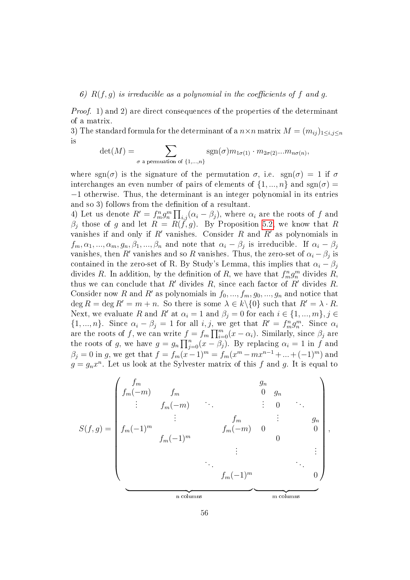### 6)  $R(f, g)$  is irreducible as a polynomial in the coefficients of f and g.

*Proof.* 1) and 2) are direct consequences of the properties of the determinant of a matrix.

3) The standard formula for the determinant of a  $n \times n$  matrix  $M = (m_{ij})_{1 \le i,j \le n}$ is

$$
\det(M) = \sum_{\sigma \text{ a permutation of } \{1,\dots,n\}} \text{sgn}(\sigma) m_{1\sigma(1)} \cdot m_{2\sigma(2)} \dots m_{n\sigma(n)},
$$

where sgn( $\sigma$ ) is the signature of the permutation  $\sigma$ , i.e. sgn( $\sigma$ ) = 1 if  $\sigma$ interchanges an even number of pairs of elements of  $\{1, ..., n\}$  and  $sgn(\sigma)$ −1 otherwise. Thus, the determinant is an integer polynomial in its entries and so 3) follows from the definition of a resultant.

4) Let us denote  $R' = f_m^n g_n^m \prod_{i,j} (\alpha_i - \beta_j)$ , where  $\alpha_i$  are the roots of  $f$  and  $\beta_j$  those of g and let  $R = R(f, g)$ . By Proposition [5.2,](#page-57-0) we know that R vanishes if and only if  $R'$  vanishes. Consider  $R$  and  $R'$  as polynomials in  $f_m, \alpha_1, ..., \alpha_m, g_n, \beta_1, ..., \beta_n$  and note that  $\alpha_i - \beta_j$  is irreducible. If  $\alpha_i - \beta_j$ vanishes, then R' vanishes and so R vanishes. Thus, the zero-set of  $\alpha_i - \beta_j$  is contained in the zero-set of R. By Study's Lemma, this implies that  $\alpha_i - \beta_j$ divides R. In addition, by the definition of R, we have that  $f_m^n g_n^m$  divides R, thus we can conclude that  $R'$  divides  $R$ , since each factor of  $R'$  divides  $R$ . Consider now R and R' as polynomials in  $f_0, ..., f_m, g_0, ..., g_n$  and notice that deg  $R = \text{deg } R' = m + n$ . So there is some  $\lambda \in k \setminus \{0\}$  such that  $R' = \lambda \cdot R$ . Next, we evaluate R and R' at  $\alpha_i = 1$  and  $\beta_j = 0$  for each  $i \in \{1, ..., m\}, j \in$  $\{1, ..., n\}$ . Since  $\alpha_i - \beta_j = 1$  for all  $i, j$ , we get that  $R' = f_m^n g_n^m$ . Since  $\alpha_i$ are the roots of f, we can write  $f = f_m \prod_{i=0}^m (x - \alpha_i)$ . Similarly, since  $\beta_j$  are the roots of g, we have  $g = g_n \prod_{j=0}^n (x - \beta_j)$ . By replacing  $\alpha_i = 1$  in f and  $\beta_j = 0$  in g, we get that  $f = f_m(x-1)^m = f_m(x^m - mx^{n-1} + ... + (-1)^m)$  and  $g = g_n x^n$ . Let us look at the Sylvester matrix of this f and g. It is equal to

$$
S(f,g) = \begin{pmatrix} f_m & g_n & g_n \\ f_m(-m) & f_m & 0 & g_n \\ \vdots & f_m(-m) & \vdots & 0 \\ f_m(-1)^m & & f_m(-m) & 0 & 0 \\ \vdots & & f_m(-1)^m & & 0 \\ \vdots & & & \vdots & \vdots \\ f_m(-1)^m & & & & \vdots \\ \vdots & & & & \vdots \\ f_m(-1)^m & & & & 0 \end{pmatrix},
$$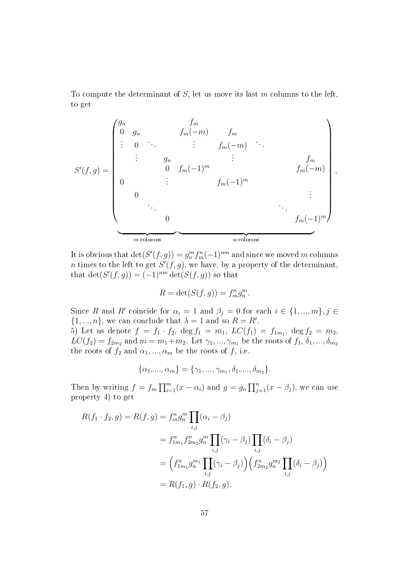To compute the determinant of  $S$ , let us move its last m columns to the left, to get

$$
S'(f,g) = \begin{pmatrix} g_n & f_m \\ 0 & g_n & f_m(-m) & f_m \\ \vdots & 0 & \vdots & f_m(-m) \\ & g_n & \vdots & \vdots & f_m \\ 0 & \vdots & g_n & \vdots \\ 0 & \vdots & \vdots & \vdots \\ 0 & \vdots & \vdots & \vdots \\ 0 & \vdots & \vdots & \vdots \\ 0 & \vdots & \vdots & \vdots \\ 0 & \vdots & \vdots & \vdots \\ 0 & \vdots & \vdots & \vdots \\ 0 & \vdots & \vdots & \vdots \\ 0 & \vdots & \vdots & \vdots \\ 0 & \vdots & \vdots & \vdots \\ 0 & \vdots & \vdots & \vdots \\ 0 & \vdots & \vdots & \vdots \\ 0 & \vdots & \vdots & \vdots \\ 0 & \vdots & \vdots & \vdots \\ 0 & \vdots & \vdots & \vdots \\ 0 & \vdots & \vdots & \vdots \\ 0 & \vdots & \vdots & \vdots \\ 0 & \vdots & \vdots & \vdots \\ 0 & \vdots & \vdots & \vdots \\ 0 & \vdots & \vdots & \vdots \\ 0 & \vdots & \vdots & \vdots \\ 0 & \vdots & \vdots & \vdots \\ 0 & \vdots & \vdots & \vdots \\ 0 & \vdots & \vdots & \vdots \\ 0 & \vdots & \vdots & \vdots \\ 0 & \vdots & \vdots & \vdots \\ 0 & \vdots & \vdots & \vdots \\ 0 & \vdots & \vdots & \vdots \\ 0 & \vdots & \vdots & \vdots \\ 0 & \vdots & \vdots & \vdots \\ 0 & \vdots & \vdots & \vdots \\ 0 & \vdots & \vdots & \vdots \\ 0 & \vdots & \vdots & \vdots \\ 0 & \vdots & \vdots & \vdots \\ 0 & \vdots & \vdots & \vdots \\ 0 & \vdots & \vdots & \vdots \\ 0 & \vdots & \vdots & \vdots \\ 0 & \vdots & \vdots & \vdots \\ 0 & \vdots & \vdots & \vdots \\ 0 & \vdots & \vdots & \vdots \\ 0 & \vdots & \vdots & \vdots \\ 0 & \vdots & \vdots & \vdots \\ 0 & \vdots & \vdots & \vdots \\ 0 & \vdots & \vdots & \vdots \\ 0 & \vdots & \vdots & \vdots \\ 0 & \vdots & \vdots & \vdots \\ 0 & \vd
$$

It is obvious that  $\det(S'(f,g)) = g_n^m f_m^n(-1)^{nm}$  and since we moved m columns *n* times to the left to get  $S'(f, g)$ , we have, by a property of the determinant, that  $\det(S'(f,g)) = (-1)^{nm} \det(S(f,g))$  so that

$$
R = \det(S(f, g)) = f_m^n g_n^m.
$$

Since R and R' coincide for  $\alpha_i = 1$  and  $\beta_j = 0$  for each  $i \in \{1, ..., m\}, j \in$  $\{1, ..., n\}$ , we can conclude that  $\lambda = 1$  and so  $R = R'$ . 5) Let us denote  $f = f_1 \cdot f_2$ ,  $\deg f_1 = m_1$ ,  $LC(f_1) = f_{1m_1}$ ,  $\deg f_2 = m_2$ ,  $LC(f_2) = f_{2m_2}$  and  $m = m_1 + m_2$ . Let  $\gamma_1, ..., \gamma_{m_1}$  be the roots of  $f_1, \delta_1, ..., \delta_{m_2}$ the roots of  $f_2$  and  $\alpha_1, ..., \alpha_m$  be the roots of f, i.e.

$$
\{\alpha_1, ..., \alpha_m\} = \{\gamma_1, ..., \gamma_{m_1}, \delta_1, ..., \delta_{m_2}\}.
$$

Then by writing  $f = f_m \prod_{i=1}^m (x - \alpha_i)$  and  $g = g_n \prod_{j=1}^n (x - \beta_j)$ , we can use property 4) to get

$$
R(f_1 \cdot f_2, g) = R(f, g) = f_m^n g_n^m \prod_{i,j} (\alpha_i - \beta_j)
$$
  
=  $f_{1m_1}^n f_{2m_2}^n g_n^m \prod_{i,j} (\gamma_i - \beta_j) \prod_{i,j} (\delta_i - \beta_j)$   
=  $\left( f_{1m_1}^n g_n^{m_1} \prod_{i,j} (\gamma_i - \beta_j) \right) \left( f_{2m_2}^n g_n^{m_2} \prod_{i,j} (\delta_i - \beta_j) \right)$   
=  $R(f_1, g) \cdot R(f_2, g).$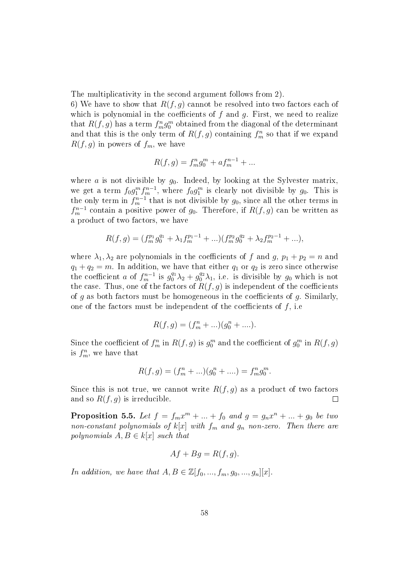The multiplicativity in the second argument follows from 2).

6) We have to show that  $R(f, g)$  cannot be resolved into two factors each of which is polynomial in the coefficients of  $f$  and  $g$ . First, we need to realize that  $R(f,g)$  has a term  $f_m^n g_0^m$  obtained from the diagonal of the determinant and that this is the only term of  $R(f, g)$  containing  $f^n_m$  so that if we expand  $R(f, g)$  in powers of  $f_m$ , we have

$$
R(f,g) = f_m^n g_0^m + a f_m^{n-1} + \dots
$$

where a is not divisible by  $g_0$ . Indeed, by looking at the Sylvester matrix, we get a term  $f_0 g_1^m f_m^{n-1}$ , where  $f_0 g_1^m$  is clearly not divisible by  $g_0$ . This is the only term in  $f_m^{n-1}$  that is not divisible by  $g_0$ , since all the other terms in  $f_m^{n-1}$  contain a positive power of  $g_0$ . Therefore, if  $R(f, g)$  can be written as a product of two factors, we have

$$
R(f,g) = (f_m^{p_1}g_0^{q_1} + \lambda_1 f_m^{p_1-1} + ...) (f_m^{p_2}g_0^{q_2} + \lambda_2 f_m^{p_2-1} + ...),
$$

where  $\lambda_1, \lambda_2$  are polynomials in the coefficients of f and g,  $p_1 + p_2 = n$  and  $q_1 + q_2 = m$ . In addition, we have that either  $q_1$  or  $q_2$  is zero since otherwise the coefficient a of  $f_m^{n-1}$  is  $g_0^{q_1}\lambda_2 + g_0^{q_2}\lambda_1$ , i.e. is divisible by  $g_0$  which is not the case. Thus, one of the factors of  $R(f, g)$  is independent of the coefficients of q as both factors must be homogeneous in the coefficients of q. Similarly, one of the factors must be independent of the coefficients of  $f$ , i.e.

$$
R(f,g) = (f_m^n + ...) (g_0^n + ....).
$$

Since the coefficient of  $f_m^n$  in  $R(f,g)$  is  $g_0^m$  and the coefficient of  $g_0^m$  in  $R(f,g)$ is  $f_m^n$ , we have that

$$
R(f,g) = (f_m^n + ...) (g_0^n + ....) = f_m^n g_0^m.
$$

Since this is not true, we cannot write  $R(f, g)$  as a product of two factors and so  $R(f, g)$  is irreducible. □

<span id="page-61-0"></span>**Proposition 5.5.** Let  $f = f_m x^m + ... + f_0$  and  $g = g_n x^n + ... + g_0$  be two non-constant polynomials of  $k[x]$  with  $f_m$  and  $g_n$  non-zero. Then there are polynomials  $A, B \in k[x]$  such that

$$
Af + Bg = R(f, g).
$$

In addition, we have that  $A, B \in \mathbb{Z}[f_0, ..., f_m, g_0, ..., g_n][x]$ .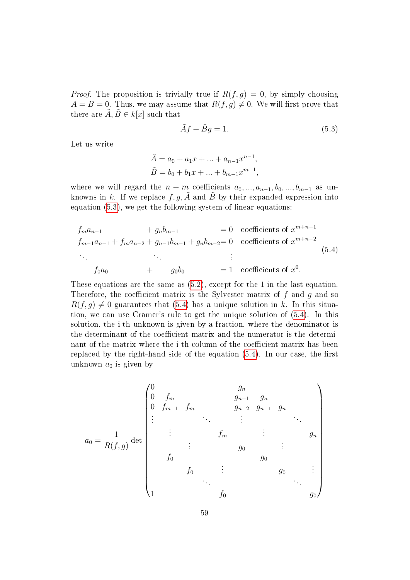*Proof.* The proposition is trivially true if  $R(f, g) = 0$ , by simply choosing  $A = B = 0$ . Thus, we may assume that  $R(f, g) \neq 0$ . We will first prove that there are  $\tilde{A}, \tilde{B} \in k[x]$  such that

<span id="page-62-0"></span>
$$
\tilde{A}f + \tilde{B}g = 1.
$$
\n(5.3)

Let us write

$$
\tilde{A} = a_0 + a_1 x + \dots + a_{n-1} x^{n-1},
$$
  

$$
\tilde{B} = b_0 + b_1 x + \dots + b_{m-1} x^{m-1},
$$

where we will regard the  $n + m$  coefficients  $a_0, ..., a_{n-1}, b_0, ..., b_{m-1}$  as unknowns in k. If we replace  $f, g, A$  and B by their expanded expression into equation [\(5.3\)](#page-62-0), we get the following system of linear equations:

<span id="page-62-1"></span>
$$
f_{m}a_{n-1} + g_{n}b_{m-1} = 0
$$
 coefficients of  $x^{m+n-1}$   
\n
$$
f_{m-1}a_{n-1} + f_{m}a_{n-2} + g_{n-1}b_{m-1} + g_{n}b_{m-2} = 0
$$
 coefficients of  $x^{m+n-2}$   
\n
$$
\vdots
$$
  
\n
$$
f_{0}a_{0} + g_{0}b_{0} = 1
$$
 coefficients of  $x^{0}$ .  
\n(5.4)

These equations are the same as [\(5.2\)](#page-56-1), except for the 1 in the last equation. Therefore, the coefficient matrix is the Sylvester matrix of  $f$  and  $g$  and so  $R(f, g) \neq 0$  guarantees that [\(5.4\)](#page-62-1) has a unique solution in k. In this situation, we can use Cramer's rule to get the unique solution of [\(5.4\)](#page-62-1). In this solution, the i-th unknown is given by a fraction, where the denominator is the determinant of the coefficient matrix and the numerator is the determinant of the matrix where the i-th column of the coefficient matrix has been replaced by the right-hand side of the equation  $(5.4)$ . In our case, the first unknown  $a_0$  is given by

$$
a_0 = \frac{1}{R(f,g)} \det \begin{pmatrix} 0 & g_n & g_{n-1} & g_n \\ 0 & f_m & g_{n-2} & g_{n-1} & g_n \\ \vdots & \vdots & \vdots & \vdots & \vdots \\ 0 & \vdots & \vdots & \vdots & \vdots \\ 0 & \vdots & \vdots & \vdots & \vdots \\ 0 & \vdots & \vdots & \vdots & \vdots \\ 0 & \vdots & \vdots & \vdots & \vdots \\ 0 & \vdots & \vdots & \vdots & \vdots \\ 0 & \vdots & \vdots & \vdots & \vdots \\ 0 & \vdots & \vdots & \vdots & \vdots \\ 0 & \vdots & \vdots & \vdots & \vdots \\ 0 & \vdots & \vdots & \vdots & \vdots \\ 0 & \vdots & \vdots & \vdots & \vdots \\ 0 & \vdots & \vdots & \vdots & \vdots \\ 0 & \vdots & \vdots & \vdots & \vdots \\ 0 & \vdots & \vdots & \vdots & \vdots \\ 0 & \vdots & \vdots & \vdots & \vdots \\ 0 & \vdots & \vdots & \vdots & \vdots \\ 0 & \vdots & \vdots & \vdots & \vdots \\ 0 & \vdots & \vdots & \vdots & \vdots \\ 0 & \vdots & \vdots & \vdots & \vdots \\ 0 & \vdots & \vdots & \vdots \\ 0 & \vdots & \vdots & \vdots \\ 0 & \vdots & \vdots & \vdots \\ 0 & \vdots & \vdots & \vdots \\ 0 & \vdots & \vdots & \vdots \\ 0 & \vdots & \vdots & \vdots \\ 0 & \vdots & \vdots & \vdots \\ 0 & \vdots & \vdots & \vdots \\ 0 & \vdots & \vdots & \vdots \\ 0 & \vdots & \vdots & \vdots \\ 0 & \vdots & \vdots & \vdots \\ 0 & \vdots & \vdots & \vdots \\ 0 & \vdots & \vdots & \vdots \\ 0 & \vdots & \vdots & \vdots \\ 0 & \vdots & \vdots & \vdots \\ 0 & \vdots & \vdots & \vdots \\ 0 & \vdots & \vdots & \vdots \\ 0 & \vdots & \vdots & \vdots \\ 0 & \vdots & \vdots & \vdots \\ 0 & \vdots & \vdots & \vdots \\ 0 & \vdots & \vdots & \vdots \\ 0 & \vdots & \vdots & \vdots \\ 0 & \vdots &
$$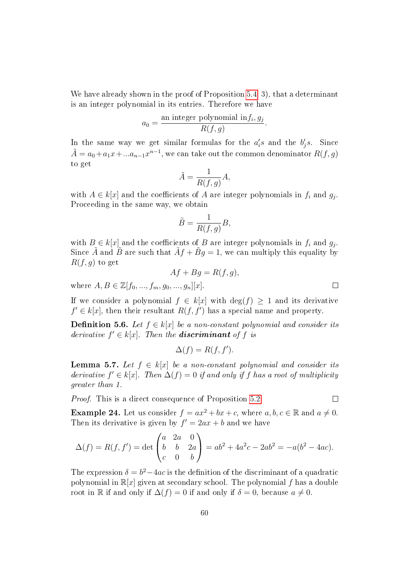We have already shown in the proof of Proposition [5.4,](#page-58-0) 3), that a determinant is an integer polynomial in its entries. Therefore we have

$$
a_0 = \frac{\text{an integer polynomial in } f_i, g_j}{R(f, g)}.
$$

In the same way we get similar formulas for the  $a_i$ 's and the  $b_j$ 's. Since  $\tilde{A}=a_0+a_1x+...a_{n-1}x^{n-1},$  we can take out the common denominator  $R(f,g)$ to get

$$
\tilde{A} = \frac{1}{R(f,g)}A,
$$

with  $A \in k[x]$  and the coefficients of  $A$  are integer polynomials in  $f_i$  and  $g_j$ . Proceeding in the same way, we obtain

$$
\tilde{B}=\frac{1}{R(f,g)}B,
$$

with  $B \in k[x]$  and the coefficients of B are integer polynomials in  $f_i$  and  $g_j$ . Since  $\tilde{A}$  and  $\tilde{B}$  are such that  $\tilde{A}f + \tilde{B}g = 1$ , we can multiply this equality by  $R(f, g)$  to get

$$
Af + Bg = R(f, g),
$$

where  $A, B \in \mathbb{Z}[f_0, ..., f_m, q_0, ..., q_n][x].$ 

If we consider a polynomial  $f \in k[x]$  with  $\deg(f) > 1$  and its derivative  $f' \in k[x]$ , then their resultant  $R(f, f')$  has a special name and property.

**Definition 5.6.** Let  $f \in k[x]$  be a non-constant polynomial and consider its derivative  $f' \in k[x]$ . Then the **discriminant** of f is

$$
\Delta(f) = R(f, f').
$$

**Lemma 5.7.** Let  $f \in k[x]$  be a non-constant polynomial and consider its derivative  $f' \in k[x]$ . Then  $\Delta(f) = 0$  if and only if f has a root of multiplicity greater than 1.

Proof. This is a direct consequence of Proposition [5.2.](#page-57-0)

**Example 24.** Let us consider  $f = ax^2 + bx + c$ , where  $a, b, c \in \mathbb{R}$  and  $a \neq 0$ . Then its derivative is given by  $f' = 2ax + b$  and we have

$$
\Delta(f) = R(f, f') = \det \begin{pmatrix} a & 2a & 0 \\ b & b & 2a \\ c & 0 & b \end{pmatrix} = ab^2 + 4a^2c - 2ab^2 = -a(b^2 - 4ac).
$$

The expression  $\delta = b^2 - 4ac$  is the definition of the discriminant of a quadratic polynomial in  $\mathbb{R}[x]$  given at secondary school. The polynomial f has a double root in R if and only if  $\Delta(f) = 0$  if and only if  $\delta = 0$ , because  $a \neq 0$ .

 $\Box$ 

 $\Box$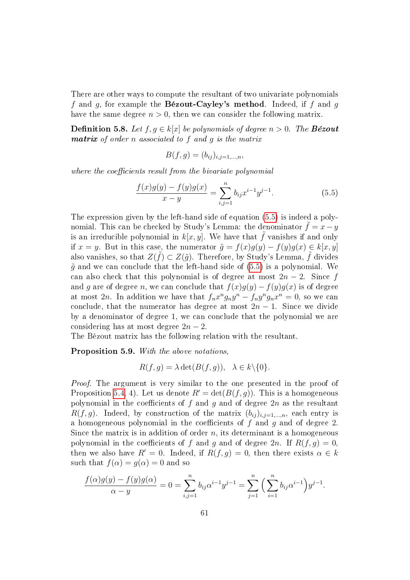There are other ways to compute the resultant of two univariate polynomials f and q, for example the **Bézout-Cayley's method**. Indeed, if f and q have the same degree  $n > 0$ , then we can consider the following matrix.

**Definition 5.8.** Let  $f, g \in k[x]$  be polynomials of degree  $n > 0$ . The **Bézout** matrix of order n associated to f and g is the matrix

$$
B(f,g)=(b_{ij})_{i,j=1,\ldots,n},
$$

where the coefficients result from the bivariate polynomial

<span id="page-64-0"></span>
$$
\frac{f(x)g(y) - f(y)g(x)}{x - y} = \sum_{i,j=1}^{n} b_{ij} x^{i-1} y^{j-1}.
$$
 (5.5)

The expression given by the left-hand side of equation [\(5.5\)](#page-64-0) is indeed a polynomial. This can be checked by Study's Lemma: the denominator  $f = x - y$ is an irreducible polynomial in  $k[x, y]$ . We have that f vanishes if and only if  $x = y$ . But in this case, the numerator  $\tilde{g} = f(x)g(y) - f(y)g(x) \in k[x, y]$ also vanishes, so that  $Z(\tilde{f}) \subset Z(\tilde{g})$ . Therefore, by Study's Lemma,  $\tilde{f}$  divides  $\tilde{g}$  and we can conclude that the left-hand side of [\(5.5\)](#page-64-0) is a polynomial. We can also check that this polynomial is of degree at most  $2n-2$ . Since f and g are of degree n, we can conclude that  $f(x)g(y) - f(y)g(x)$  is of degree at most 2n. In addition we have that  $f_n x^n g_n y^n - f_n y^n g_n x^n = 0$ , so we can conclude, that the numerator has degree at most  $2n - 1$ . Since we divide by a denominator of degree 1, we can conclude that the polynomial we are considering has at most degree  $2n-2$ .

The Bézout matrix has the following relation with the resultant.

<span id="page-64-1"></span>Proposition 5.9. With the above notations.

$$
R(f,g) = \lambda \det(B(f,g)), \quad \lambda \in k \setminus \{0\}.
$$

Proof. The argument is very similar to the one presented in the proof of Proposition [5.4,](#page-58-0) 4). Let us denote  $R' = \det(B(f, g))$ . This is a homogeneous polynomial in the coefficients of f and q and of degree  $2n$  as the resultant  $R(f, g)$ . Indeed, by construction of the matrix  $(b_{ij})_{i,j=1,\dots,n}$ , each entry is a homogeneous polynomial in the coefficients of  $f$  and  $g$  and of degree 2. Since the matrix is in addition of order  $n$ , its determinant is a homogeneous polynomial in the coefficients of f and g and of degree  $2n$ . If  $R(f, g) = 0$ , then we also have  $R' = 0$ . Indeed, if  $R(f, g) = 0$ , then there exists  $\alpha \in k$ such that  $f(\alpha) = g(\alpha) = 0$  and so

$$
\frac{f(\alpha)g(y) - f(y)g(\alpha)}{\alpha - y} = 0 = \sum_{i,j=1}^{n} b_{ij}\alpha^{i-1}y^{j-1} = \sum_{j=1}^{n} \left(\sum_{i=1}^{n} b_{ij}\alpha^{i-1}\right)y^{j-1}.
$$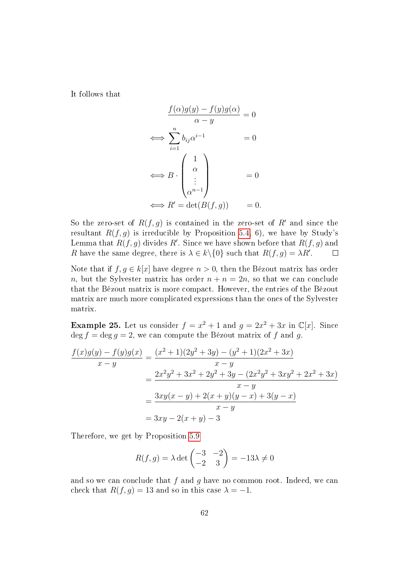It follows that

$$
\frac{f(\alpha)g(y) - f(y)g(\alpha)}{\alpha - y} = 0
$$

$$
\iff \sum_{i=1}^{n} b_{ij}\alpha^{i-1} = 0
$$

$$
\iff B \cdot \begin{pmatrix} 1 \\ \alpha \\ \vdots \\ \alpha^{n-1} \end{pmatrix} = 0
$$

$$
\iff R' = \det(B(f, g)) = 0.
$$

So the zero-set of  $R(f, g)$  is contained in the zero-set of R' and since the resultant  $R(f, g)$  is irreducible by Proposition [5.4,](#page-58-0) 6), we have by Study's Lemma that  $R(f, g)$  divides  $R'$ . Since we have shown before that  $R(f, g)$  and R have the same degree, there is  $\lambda \in k \setminus \{0\}$  such that  $R(f, g) = \lambda R'$ .  $\Box$ 

Note that if  $f, g \in k[x]$  have degree  $n > 0$ , then the Bézout matrix has order n, but the Sylvester matrix has order  $n + n = 2n$ , so that we can conclude that the Bézout matrix is more compact. However, the entries of the Bézout matrix are much more complicated expressions than the ones of the Sylvester matrix.

**Example 25.** Let us consider  $f = x^2 + 1$  and  $g = 2x^2 + 3x$  in  $\mathbb{C}[x]$ . Since  $\deg f = \deg q = 2$ , we can compute the Bézout matrix of f and q.

$$
\frac{f(x)g(y) - f(y)g(x)}{x - y} = \frac{(x^2 + 1)(2y^2 + 3y) - (y^2 + 1)(2x^2 + 3x)}{x - y}
$$

$$
= \frac{2x^2y^2 + 3x^2 + 2y^2 + 3y - (2x^2y^2 + 3xy^2 + 2x^2 + 3x)}{x - y}
$$

$$
= \frac{3xy(x - y) + 2(x + y)(y - x) + 3(y - x)}{x - y}
$$

$$
= 3xy - 2(x + y) - 3
$$

Therefore, we get by Proposition [5.9](#page-64-1)

$$
R(f,g) = \lambda \det \begin{pmatrix} -3 & -2 \\ -2 & 3 \end{pmatrix} = -13\lambda \neq 0
$$

and so we can conclude that f and q have no common root. Indeed, we can check that  $R(f, g) = 13$  and so in this case  $\lambda = -1$ .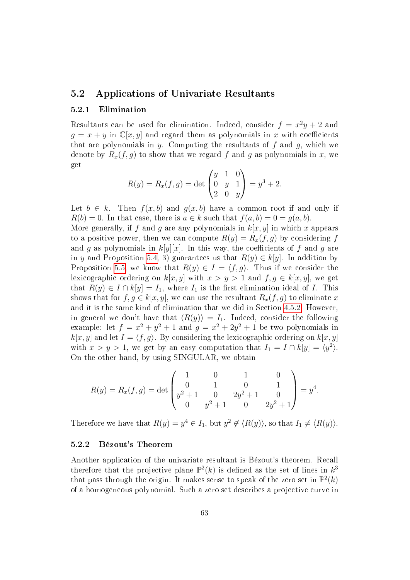### 5.2 Applications of Univariate Resultants

### 5.2.1 Elimination

Resultants can be used for elimination. Indeed, consider  $f = x^2y + 2$  and  $g = x + y$  in  $\mathbb{C}[x, y]$  and regard them as polynomials in x with coefficients that are polynomials in y. Computing the resultants of  $f$  and  $g$ , which we denote by  $R_x(f, g)$  to show that we regard f and g as polynomials in x, we get

$$
R(y) = R_x(f, g) = \det \begin{pmatrix} y & 1 & 0 \\ 0 & y & 1 \\ 2 & 0 & y \end{pmatrix} = y^3 + 2.
$$

Let  $b \in k$ . Then  $f(x, b)$  and  $g(x, b)$  have a common root if and only if  $R(b) = 0$ . In that case, there is  $a \in k$  such that  $f(a, b) = 0 = q(a, b)$ .

More generally, if f and g are any polynomials in  $k[x, y]$  in which x appears to a positive power, then we can compute  $R(y) = R_x(f, g)$  by considering f and g as polynomials in  $k[y][x]$ . In this way, the coefficients of f and g are in y and Proposition [5.4,](#page-58-0) 3) guarantees us that  $R(y) \in k[y]$ . In addition by Proposition [5.5,](#page-61-0) we know that  $R(y) \in I = \langle f, g \rangle$ . Thus if we consider the lexicographic ordering on  $k[x, y]$  with  $x > y > 1$  and  $f, g \in k[x, y]$ , we get that  $R(y) \in I \cap k[y] = I_1$ , where  $I_1$  is the first elimination ideal of I. This shows that for  $f, g \in k[x, y]$ , we can use the resultant  $R_x(f, g)$  to eliminate x and it is the same kind of elimination that we did in Section [4.5.2.](#page-27-0) However, in general we don't have that  $\langle R(y) \rangle = I_1$ . Indeed, consider the following example: let  $f = x^2 + y^2 + 1$  and  $g = x^2 + 2y^2 + 1$  be two polynomials in  $k[x, y]$  and let  $I = \langle f, g \rangle$ . By considering the lexicographic ordering on  $k[x, y]$ with  $x > y > 1$ , we get by an easy computation that  $I_1 = I \cap k[y] = \langle y^2 \rangle$ . On the other hand, by using SINGULAR, we obtain

$$
R(y) = R_x(f, g) = \det \begin{pmatrix} 1 & 0 & 1 & 0 \\ 0 & 1 & 0 & 1 \\ y^2 + 1 & 0 & 2y^2 + 1 & 0 \\ 0 & y^2 + 1 & 0 & 2y^2 + 1 \end{pmatrix} = y^4.
$$

Therefore we have that  $R(y) = y^4 \in I_1$ , but  $y^2 \notin \langle R(y) \rangle$ , so that  $I_1 \neq \langle R(y) \rangle$ .

#### 5.2.2 Bézout's Theorem

Another application of the univariate resultant is Bézout's theorem. Recall therefore that the projective plane  $\mathbb{P}^2(k)$  is defined as the set of lines in  $k^3$ that pass through the origin. It makes sense to speak of the zero set in  $\mathbb{P}^2(k)$ of a homogeneous polynomial. Such a zero set describes a projective curve in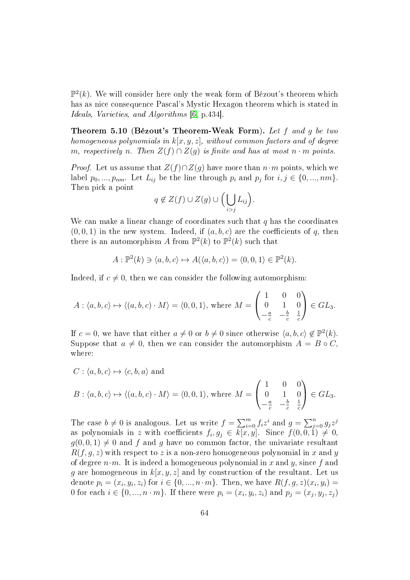$\mathbb{P}^2(k)$ . We will consider here only the weak form of Bézout's theorem which has as nice consequence Pascal's Mystic Hexagon theorem which is stated in Ideals, Varieties, and Algorithms [\[6,](#page-86-1) p.434].

Theorem 5.10 (Bézout's Theorem-Weak Form). Let  $f$  and  $g$  be two homogeneous polynomials in  $k[x, y, z]$ , without common factors and of degree m, respectively n. Then  $Z(f) \cap Z(g)$  is finite and has at most  $n \cdot m$  points.

*Proof.* Let us assume that  $Z(f) \cap Z(q)$  have more than  $n \cdot m$  points, which we label  $p_0, ..., p_{nm}$ . Let  $L_{ij}$  be the line through  $p_i$  and  $p_j$  for  $i, j \in \{0, ..., nm\}$ . Then pick a point

$$
q \notin Z(f) \cup Z(g) \cup \Big(\bigcup_{i>j} L_{ij}\Big).
$$

We can make a linear change of coordinates such that  $q$  has the coordinates  $(0, 0, 1)$  in the new system. Indeed, if  $(a, b, c)$  are the coefficients of q, then there is an automorphism A from  $\mathbb{P}^2(k)$  to  $\mathbb{P}^2(k)$  such that

$$
A: \mathbb{P}^2(k) \ni \langle a, b, c \rangle \mapsto A(\langle a, b, c \rangle) = \langle 0, 0, 1 \rangle \in \mathbb{P}^2(k).
$$

Indeed, if  $c \neq 0$ , then we can consider the following automorphism:

$$
A: \langle a, b, c \rangle \mapsto \langle (a, b, c) \cdot M \rangle = \langle 0, 0, 1 \rangle, \text{ where } M = \begin{pmatrix} 1 & 0 & 0 \\ 0 & 1 & 0 \\ -\frac{a}{c} & -\frac{b}{c} & \frac{1}{c} \end{pmatrix} \in GL_3.
$$

If  $c = 0$ , we have that either  $a \neq 0$  or  $b \neq 0$  since otherwise  $\langle a, b, c \rangle \notin \mathbb{P}^2(k)$ . Suppose that  $a \neq 0$ , then we can consider the automorphism  $A = B \circ C$ . where:

$$
C: \langle a, b, c \rangle \mapsto \langle c, b, a \rangle \text{ and}
$$
  

$$
B: \langle a, b, c \rangle \mapsto \langle (a, b, c) \cdot M \rangle = \langle 0, 0, 1 \rangle, \text{ where } M = \begin{pmatrix} 1 & 0 & 0 \\ 0 & 1 & 0 \\ -\frac{a}{c} & -\frac{b}{c} & \frac{1}{c} \end{pmatrix} \in GL_3.
$$

The case  $b \neq 0$  is analogous. Let us write  $f = \sum_{i=0}^{m} f_i z^i$  and  $g = \sum_{j=0}^{n} g_j z^j$ as polynomials in  $z$  with coefficients  $f_i, g_j \,\in\, k[x,y].$  Since  $f(\hspace{.02cm}0,0,\hspace{.02cm}1) \,\neq\, 0,$  $g(0,0,1) \neq 0$  and f and g have no common factor, the univariate resultant  $R(f, g, z)$  with respect to z is a non-zero homogeneous polynomial in x and y of degree  $n \cdot m$ . It is indeed a homogeneous polynomial in x and y, since f and g are homogeneous in  $k[x, y, z]$  and by construction of the resultant. Let us denote  $p_i = (x_i, y_i, z_i)$  for  $i \in \{0, ..., n \cdot m\}$ . Then, we have  $R(f, g, z)(x_i, y_i) =$ 0 for each  $i \in \{0, ..., n \cdot m\}$ . If there were  $p_i = (x_i, y_i, z_i)$  and  $p_j = (x_j, y_j, z_j)$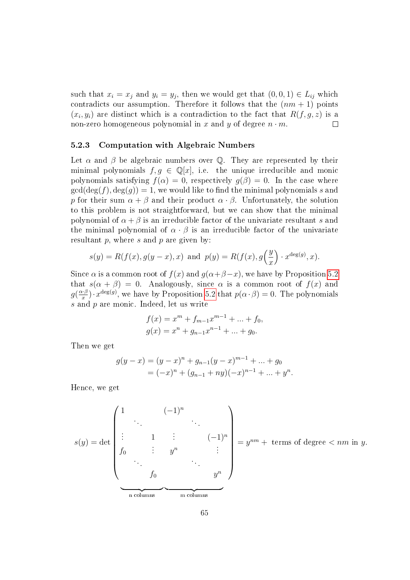such that  $x_i = x_j$  and  $y_i = y_j$ , then we would get that  $(0, 0, 1) \in L_{ij}$  which contradicts our assumption. Therefore it follows that the  $(nm + 1)$  points  $(x_i, y_i)$  are distinct which is a contradiction to the fact that  $R(f, g, z)$  is a non-zero homogeneous polynomial in x and y of degree  $n \cdot m$ .  $\Box$ 

#### 5.2.3 Computation with Algebraic Numbers

Let  $\alpha$  and  $\beta$  be algebraic numbers over Q. They are represented by their minimal polynomials  $f, g \in \mathbb{Q}[x]$ , i.e. the unique irreducible and monic polynomials satisfying  $f(\alpha) = 0$ , respectively  $g(\beta) = 0$ . In the case where  $gcd(\deg(f), \deg(g)) = 1$ , we would like to find the minimal polynomials s and p for their sum  $\alpha + \beta$  and their product  $\alpha \cdot \beta$ . Unfortunately, the solution to this problem is not straightforward, but we can show that the minimal polynomial of  $\alpha + \beta$  is an irreducible factor of the univariate resultant s and the minimal polynomial of  $\alpha \cdot \beta$  is an irreducible factor of the univariate resultant  $p$ , where  $s$  and  $p$  are given by:

$$
s(y) = R(f(x), g(y - x), x)
$$
 and  $p(y) = R(f(x), g(\frac{y}{x}) \cdot x^{\deg(g)}, x)$ .

Since  $\alpha$  is a common root of  $f(x)$  and  $g(\alpha+\beta-x)$ , we have by Proposition [5.2](#page-57-0) that  $s(\alpha + \beta) = 0$ . Analogously, since  $\alpha$  is a common root of  $f(x)$  and  $g\left(\frac{\alpha \cdot \beta}{x}\right)$  $(x^{\beta}_{x}) \cdot x^{\deg(g)}$ , we have by Proposition [5.2](#page-57-0) that  $p(\alpha \cdot \beta) = 0$ . The polynomials  $s$  and  $p$  are monic. Indeed, let us write

$$
f(x) = xm + fm-1xm-1 + ... + f0,
$$
  

$$
g(x) = xn + gn-1xn-1 + ... + g0.
$$

Then we get

$$
g(y-x) = (y-x)^n + g_{n-1}(y-x)^{m-1} + \dots + g_0
$$
  
=  $(-x)^n + (g_{n-1} + ny)(-x)^{n-1} + \dots + y^n$ .

Hence, we get

$$
s(y) = \det \begin{pmatrix} 1 & (-1)^n \\ \vdots & 1 & \vdots \\ f_0 & \vdots & y^n \\ \vdots & \vdots & \vdots \\ f_0 & \vdots & \vdots \\ f_0 & \vdots & \vdots \\ \hline \end{pmatrix} = y^{nm} + \text{ terms of degree } < nm \text{ in } y.
$$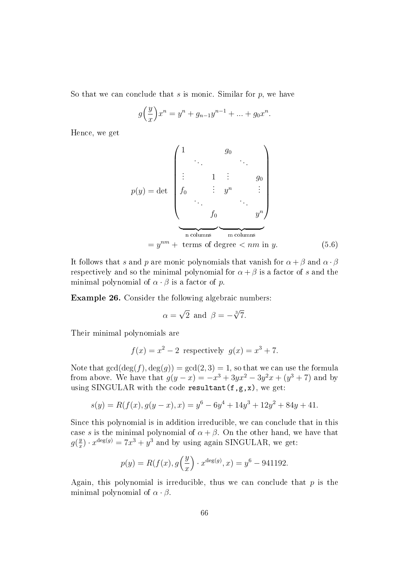So that we can conclude that  $s$  is monic. Similar for  $p$ , we have

$$
g\left(\frac{y}{x}\right)x^n = y^n + g_{n-1}y^{n-1} + \dots + g_0x^n.
$$

Hence, we get

$$
p(y) = \det \begin{pmatrix} 1 & g_0 & & \\ \vdots & 1 & \vdots & g_0 \\ f_0 & \vdots & y^n & \vdots \\ \vdots & \vdots & \vdots & \vdots \\ f_0 & \vdots & \vdots & \vdots \\ f_0 & \vdots & \vdots & \vdots \\ \hline \text{columns} & \text{m columns} & \vdots \\ \hline \text{m columns} & \text{m columns} & \vdots \\ \end{pmatrix}
$$
\n
$$
= y^{nm} + \text{terms of degree} < nm \text{ in } y. \tag{5.6}
$$

It follows that s and p are monic polynomials that vanish for  $\alpha + \beta$  and  $\alpha \cdot \beta$ respectively and so the minimal polynomial for  $\alpha + \beta$  is a factor of s and the minimal polynomial of  $\alpha \cdot \beta$  is a factor of p.

<span id="page-69-0"></span>Example 26. Consider the following algebraic numbers:

<span id="page-69-1"></span>
$$
\alpha = \sqrt{2}
$$
 and  $\beta = -\sqrt[3]{7}$ .

Their minimal polynomials are

$$
f(x) = x^2 - 2
$$
 respectively  $g(x) = x^3 + 7$ .

Note that  $gcd(\deg(f), \deg(g)) = gcd(2, 3) = 1$ , so that we can use the formula from above. We have that  $g(y - x) = -x^3 + 3yx^2 - 3y^2x + (y^3 + 7)$  and by using SINGULAR with the code resultant  $(f,g,x)$ , we get:

$$
s(y) = R(f(x), g(y-x), x) = y^6 - 6y^4 + 14y^3 + 12y^2 + 84y + 41.
$$

Since this polynomial is in addition irreducible, we can conclude that in this case s is the minimal polynomial of  $\alpha + \beta$ . On the other hand, we have that  $g(\frac{y}{x})$  $x^{deg(g)} = 7x^3 + y^3$  and by using again SINGULAR, we get:

$$
p(y) = R(f(x), g\left(\frac{y}{x}\right) \cdot x^{\deg(g)}, x) = y^6 - 941192.
$$

Again, this polynomial is irreducible, thus we can conclude that  $p$  is the minimal polynomial of  $\alpha \cdot \beta$ .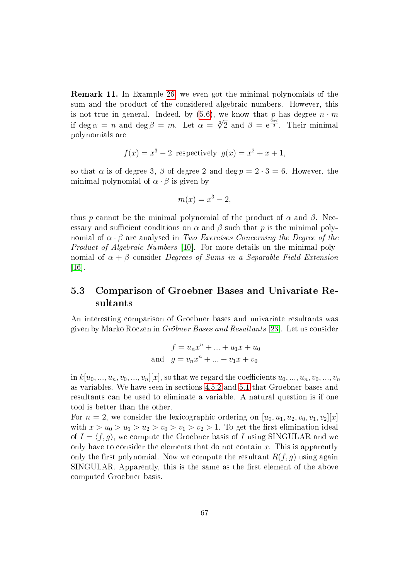Remark 11. In Example [26,](#page-69-0) we even got the minimal polynomials of the sum and the product of the considered algebraic numbers. However, this is not true in general. Indeed, by  $(5.6)$ , we know that p has degree  $n \cdot m$ is not true in general. Indeed, by (5.0), we know that p has degree  $n \cdot m$ <br>if deg  $\alpha = n$  and deg  $\beta = m$ . Let  $\alpha = \sqrt[3]{2}$  and  $\beta = e^{\frac{2\pi i}{3}}$ . Their minimal polynomials are

$$
f(x) = x^3 - 2
$$
 respectively  $g(x) = x^2 + x + 1$ ,

so that  $\alpha$  is of degree 3,  $\beta$  of degree 2 and deg  $p = 2 \cdot 3 = 6$ . However, the minimal polynomial of  $\alpha \cdot \beta$  is given by

$$
m(x) = x^3 - 2,
$$

thus p cannot be the minimal polynomial of the product of  $\alpha$  and  $\beta$ . Necessary and sufficient conditions on  $\alpha$  and  $\beta$  such that p is the minimal polynomial of  $\alpha \cdot \beta$  are analysed in Two Exercises Concerning the Degree of the Product of Algebraic Numbers [\[10\]](#page-86-2). For more details on the minimal polynomial of  $\alpha + \beta$  consider Degrees of Sums in a Separable Field Extension [\[16\]](#page-87-2).

## 5.3 Comparison of Groebner Bases and Univariate Resultants

An interesting comparison of Groebner bases and univariate resultants was given by Marko Roczen in Gröbner Bases and Resultants [\[23\]](#page-87-3). Let us consider

$$
f = u_n x^n + \dots + u_1 x + u_0
$$
  
and 
$$
g = v_n x^n + \dots + v_1 x + v_0
$$

in  $k[u_0, ..., u_n, v_0, ..., v_n][x]$ , so that we regard the coefficients  $u_0, ..., u_n, v_0, ..., v_n$ as variables. We have seen in sections [4.5.2](#page-27-0) and [5.1](#page-55-1) that Groebner bases and resultants can be used to eliminate a variable. A natural question is if one tool is better than the other.

For  $n = 2$ , we consider the lexicographic ordering on  $[u_0, u_1, u_2, v_0, v_1, v_2][x]$ with  $x > u_0 > u_1 > u_2 > v_0 > v_1 > v_2 > 1$ . To get the first elimination ideal of  $I = \langle f, g \rangle$ , we compute the Groebner basis of I using SINGULAR and we only have to consider the elements that do not contain  $x$ . This is apparently only the first polynomial. Now we compute the resultant  $R(f, g)$  using again SINGULAR. Apparently, this is the same as the first element of the above computed Groebner basis.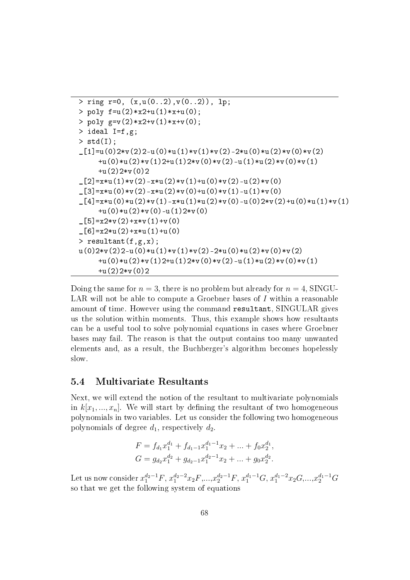```
> ring r=0, (x, u(0..2), v(0..2)), lp;
> poly f=u(2)*x2+u(1)*x+u(0);
> poly g=v(2)*x2+v(1)*x+v(0);> ideal I=f,g;
> std(I);
_{1}[1]=u(0)2*v(2)2-u(0)*u(1)*v(1)*v(2)-2*u(0)*u(2)*v(0)*v(2)
     +u(0)*u(2)*v(1)2+u(1)2*v(0)*v(2)-u(1)*u(2)*v(0)*v(1)
     +u(2)2*v(0)2\lceil 2 \rceil = x * u(1) * v(2) - x * u(2) * v(1) + u(0) * v(2) - u(2) * v(0)_{2}[3]=x*u(0)*v(2)-x*u(2)*v(0)+u(0)*v(1)-u(1)*v(0)_{2}[4]=x*u(0)*u(2)*v(1)-x*u(1)*u(2)*v(0)-u(0)2*v(2)+u(0)*u(1)*v(1)+u(0)*u(2)*v(0)-u(1)2*v(0)-[5]=x2*v(2)+x*v(1)+v(0)[6]=x2*u(2)+x*u(1)+u(0)> resultant(f,g,x);
u(0)2*v(2)2-u(0)*u(1)*v(1)*v(2)-2*u(0)*u(2)*v(0)*v(2)+u(0)*u(2)*v(1)2+u(1)2*v(0)*v(2)-u(1)*u(2)*v(0)*v(1)+u(2)2*v(0)2
```
Doing the same for  $n = 3$ , there is no problem but already for  $n = 4$ , SINGU-LAR will not be able to compute a Groebner bases of  $I$  within a reasonable amount of time. However using the command resultant, SINGULAR gives us the solution within moments. Thus, this example shows how resultants can be a useful tool to solve polynomial equations in cases where Groebner bases may fail. The reason is that the output contains too many unwanted elements and, as a result, the Buchberger's algorithm becomes hopelessly slow.

### 5.4 Multivariate Resultants

Next, we will extend the notion of the resultant to multivariate polynomials in  $k[x_1, ..., x_n]$ . We will start by defining the resultant of two homogeneous polynomials in two variables. Let us consider the following two homogeneous polynomials of degree  $d_1$ , respectively  $d_2$ .

$$
F = f_{d_1}x_1^{d_1} + f_{d_1-1}x_1^{d_1-1}x_2 + \dots + f_0x_2^{d_1},
$$
  
\n
$$
G = g_{d_2}x_1^{d_2} + g_{d_2-1}x_1^{d_2-1}x_2 + \dots + g_0x_2^{d_2}.
$$

Let us now consider  $x_1^{d_2-1}F$ ,  $x_1^{d_2-2}x_2F, ..., x_2^{d_2-1}F$ ,  $x_1^{d_1-1}G$ ,  $x_1^{d_1-2}x_2G, ..., x_2^{d_1-1}G$ so that we get the following system of equations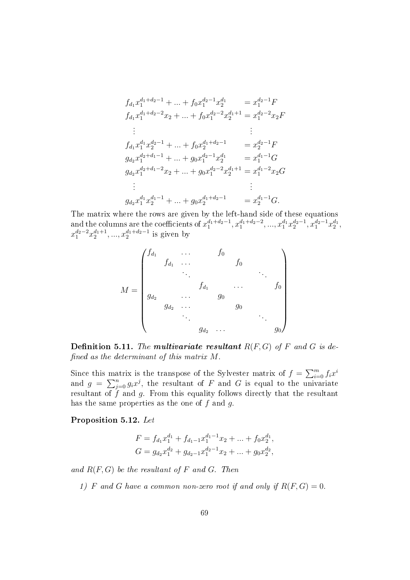$$
f_{d_1}x_1^{d_1+d_2-1} + \dots + f_0x_1^{d_2-1}x_2^{d_1} = x_1^{d_2-1}F
$$
  
\n
$$
f_{d_1}x_1^{d_1+d_2-2}x_2 + \dots + f_0x_1^{d_2-2}x_2^{d_1+1} = x_1^{d_2-2}x_2F
$$
  
\n:  
\n:  
\n
$$
f_{d_1}x_1^{d_1}x_2^{d_2-1} + \dots + f_0x_2^{d_1+d_2-1} = x_2^{d_2-1}F
$$
  
\n
$$
g_{d_2}x_1^{d_2+d_1-1} + \dots + g_0x_1^{d_2-1}x_2^{d_1} = x_1^{d_1-1}G
$$
  
\n
$$
g_{d_2}x_1^{d_2+d_1-2}x_2 + \dots + g_0x_1^{d_2-2}x_2^{d_1+1} = x_1^{d_1-2}x_2G
$$
  
\n:  
\n:  
\n
$$
g_{d_2}x_1^{d_1}x_2^{d_1-1} + \dots + g_0x_2^{d_1+d_2-1} = x_2^{d_1-1}G.
$$

The matrix where the rows are given by the left-hand side of these equations and the columns are the coefficients of  $x_1^{d_1+d_2-1}, x_1^{d_1+d_2-2}, ..., x_1^{d_1}x_2^{d_2-1}, x_1^{d_2-1}x_2^{d_1}$  $x_1^{d_2-2}x_2^{d_1+1},...,x_2^{d_1+d_2-1}$  is given by

$$
M = \begin{pmatrix} f_{d_1} & \cdots & f_0 & & & \\ & f_{d_1} & \cdots & & f_0 & & \\ & & \ddots & & & & \\ & & & f_{d_1} & \cdots & & f_0 \\ & & & & g_0 & & \\ & & & g_{d_2} & \cdots & & g_0 & \\ & & & & g_{d_2} & \cdots & & g_0 \end{pmatrix}
$$

**Definition 5.11.** The multivariate resultant  $R(F, G)$  of F and G is defined as the determinant of this matrix  $M$ .

Since this matrix is the transpose of the Sylvester matrix of  $f = \sum_{i=0}^{m} f_i x^i$ and  $g = \sum_{j=0}^n g_i x^j$ , the resultant of F and G is equal to the univariate resultant of  $f$  and  $g$ . From this equality follows directly that the resultant has the same properties as the one of  $f$  and  $g$ .

Proposition 5.12. Let

$$
F = f_{d_1}x_1^{d_1} + f_{d_1-1}x_1^{d_1-1}x_2 + \dots + f_0x_2^{d_1},
$$
  
\n
$$
G = g_{d_2}x_1^{d_2} + g_{d_2-1}x_1^{d_2-1}x_2 + \dots + g_0x_2^{d_2},
$$

and  $R(F, G)$  be the resultant of F and G. Then

1) F and G have a common non-zero root if and only if  $R(F, G) = 0$ .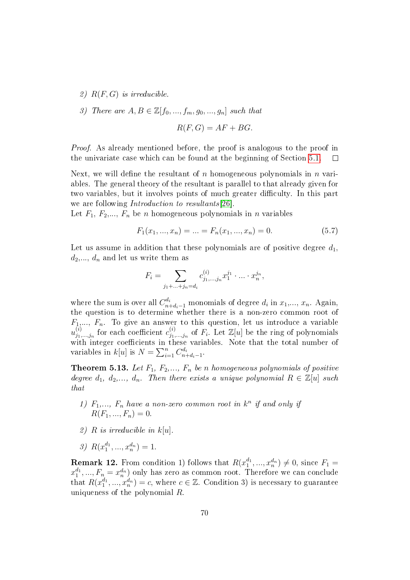- 2)  $R(F, G)$  is irreducible.
- 3) There are  $A, B \in \mathbb{Z}[f_0, ..., f_m, g_0, ..., g_n]$  such that

$$
R(F,G) = AF + BG.
$$

*Proof.* As already mentioned before, the proof is analogous to the proof in the univariate case which can be found at the beginning of Section [5.1.](#page-55-0)  $\Box$ 

Next, we will define the resultant of n homogeneous polynomials in  $n$  variables. The general theory of the resultant is parallel to that already given for two variables, but it involves points of much greater difficulty. In this part we are following *Introduction to resultants*[\[26\]](#page-88-0).

Let  $F_1, F_2, \ldots, F_n$  be *n* homogeneous polynomials in *n* variables

<span id="page-73-0"></span>
$$
F_1(x_1, ..., x_n) = ... = F_n(x_1, ..., x_n) = 0.
$$
\n(5.7)

Let us assume in addition that these polynomials are of positive degree  $d_1$ ,  $d_2,\ldots,d_n$  and let us write them as

$$
F_i = \sum_{j_1 + \ldots + j_n = d_i} c_{j_1, \ldots, j_n}^{(i)} x_1^{j_1} \cdot \ldots \cdot x_n^{j_n},
$$

where the sum is over all  $C_{n+d_i-1}^{d_i}$  monomials of degree  $d_i$  in  $x_1,...,x_n$ . Again, the question is to determine whether there is a non-zero common root of  $F_1,..., F_n$ . To give an answer to this question, let us introduce a variable  $u_{j_1}^{(i)}$  $j_{1,...,j_{n}}^{(i)}$  for each coefficient  $c_{j_{1},j_{2}}^{(i)}$  $j_{j_1,...,j_n}^{(i)}$  of  $F_i$ . Let  $\mathbb{Z}[u]$  be the ring of polynomials with integer coefficients in these variables. Note that the total number of variables in  $k[u]$  is  $N = \sum_{i=1}^{n} C_{n-i}^{d_i}$  $\frac{d_i}{n+d_i-1}$ .

<span id="page-73-1"></span>**Theorem 5.13.** Let  $F_1$ ,  $F_2$ ,...,  $F_n$  be n homogeneous polynomials of positive degree  $d_1, d_2,..., d_n$ . Then there exists a unique polynomial  $R \in \mathbb{Z}[u]$  such that

- 1)  $F_1, \ldots, F_n$  have a non-zero common root in  $k^n$  if and only if  $R(F_1, ..., F_n) = 0.$
- 2) R is irreducible in  $k[u]$ .
- 3)  $R(x_1^{d_1},...,x_n^{d_n})=1.$

**Remark 12.** From condition 1) follows that  $R(x_1^{d_1},...,x_n^{d_n}) \neq 0$ , since  $F_1 =$  $x_1^{d_1},...,F_n=x_n^{d_n})$  only has zero as common root. Therefore we can conclude that  $R(x_1^{d_1},...,x_n^{d_n})=c$ , where  $c \in \mathbb{Z}$ . Condition 3) is necessary to guarantee uniqueness of the polynomial R.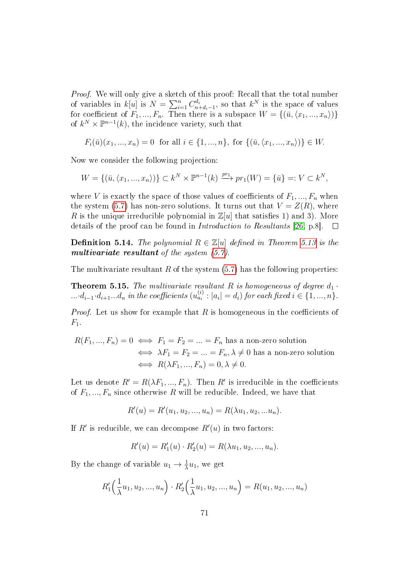Proof. We will only give a sketch of this proof: Recall that the total number of variables in  $k[u]$  is  $N = \sum_{i=1}^{n} C_{n-i}^{di}$  $\frac{d_i}{n+d_i-1}$ , so that  $k^N$  is the space of values for coefficient of  $F_1, ..., F_n$ . Then there is a subspace  $W = \{(\bar{u}, \langle x_1, ..., x_n\rangle)\}$ of  $k^N \times \mathbb{P}^{n-1}(k)$ , the incidence variety, such that

$$
F_i(\bar{u})(x_1, ..., x_n) = 0 \text{ for all } i \in \{1, ..., n\}, \text{ for } \{(\bar{u}, \langle x_1, ..., x_n \rangle)\} \in W.
$$

Now we consider the following projection:

$$
W = \{ (\bar{u}, \langle x_1, ..., x_n \rangle) \} \subset k^N \times \mathbb{P}^{n-1}(k) \xrightarrow{pr_1} pr_1(W) = \{ \bar{u} \} =: V \subset k^N,
$$

where V is exactly the space of those values of coefficients of  $F_1, ..., F_n$  when the system [\(5.7\)](#page-73-0) has non-zero solutions. It turns out that  $V = Z(R)$ , where R is the unique irreducible polynomial in  $\mathbb{Z}[u]$  that satisfies 1) and 3). More details of the proof can be found in Introduction to Resultants [\[26,](#page-88-0) p.8].  $\Box$ 

**Definition 5.14.** The polynomial  $R \in \mathbb{Z}[u]$  defined in Theorem [5.13](#page-73-1) is the multivariate resultant of the system  $(5.7)$ .

The multivariate resultant R of the system  $(5.7)$  has the following properties:

<span id="page-74-0"></span>**Theorem 5.15.** The multivariate resultant R is homogeneous of degree  $d_1$ .  $\dots d_{i-1}\cdot d_{i+1} \dots d_n$  in the coefficients  $(u_{a_i}^{(i)}:|a_i|=d_i)$  for each fixed  $i\in\{1,...,n\}$ .

*Proof.* Let us show for example that  $R$  is homogeneous in the coefficients of  $F_1$ .

$$
R(F_1, ..., F_n) = 0 \iff F_1 = F_2 = ... = F_n \text{ has a non-zero solution}
$$

$$
\iff \lambda F_1 = F_2 = ... = F_n, \lambda \neq 0 \text{ has a non-zero solution}
$$

$$
\iff R(\lambda F_1, ..., F_n) = 0, \lambda \neq 0.
$$

Let us denote  $R' = R(\lambda F_1, ..., F_n)$ . Then  $R'$  is irreducible in the coefficients of  $F_1, ..., F_n$  since otherwise R will be reducible. Indeed, we have that

$$
R'(u) = R'(u_1, u_2, ..., u_n) = R(\lambda u_1, u_2, ... u_n).
$$

If  $R'$  is reducible, we can decompose  $R'(u)$  in two factors:

$$
R'(u) = R'_1(u) \cdot R'_2(u) = R(\lambda u_1, u_2, ..., u_n).
$$

By the change of variable  $u_1 \to \frac{1}{\lambda} u_1$ , we get

$$
R'_1\left(\frac{1}{\lambda}u_1, u_2, ..., u_n\right) \cdot R'_2\left(\frac{1}{\lambda}u_1, u_2, ..., u_n\right) = R(u_1, u_2, ..., u_n)
$$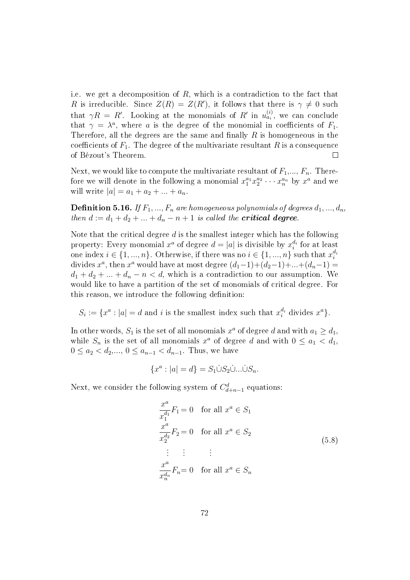i.e. we get a decomposition of  $R$ , which is a contradiction to the fact that R is irreducible. Since  $Z(R) = Z(R')$ , it follows that there is  $\gamma \neq 0$  such that  $\gamma R = R'$ . Looking at the monomials of  $R'$  in  $u_{a_i}^{(i)}$ , we can conclude that  $\gamma = \lambda^a$ , where a is the degree of the monomial in coefficients of  $F_1$ . Therefore, all the degrees are the same and finally  $R$  is homogeneous in the coefficients of  $F_1$ . The degree of the multivariate resultant R is a consequence of Bézout's Theorem.  $\Box$ 

Next, we would like to compute the multivariate resultant of  $F_1, ..., F_n$ . Therefore we will denote in the following a monomial  $x_1^{a_1} x_2^{a_2} \cdots x_n^{a_n}$  by  $x^a$  and we will write  $|a| = a_1 + a_2 + ... + a_n$ .

**Definition 5.16.** If  $F_1, ..., F_n$  are homogeneous polynomials of degrees  $d_1, ..., d_n$ , then  $d := d_1 + d_2 + \ldots + d_n - n + 1$  is called the **critical degree**.

Note that the critical degree  $d$  is the smallest integer which has the following property: Every monomial  $x^a$  of degree  $d=|a|$  is divisible by  $x_i^{d_i}$  for at least one index  $i \in \{1, ..., n\}$ . Otherwise, if there was no  $i \in \{1, ..., n\}$  such that  $x_i^{d_i}$ divides  $x^a$ , then  $x^a$  would have at most degree  $(d_1-1)+(d_2-1)+...+(d_n-1)=$  $d_1 + d_2 + \ldots + d_n - n < d$ , which is a contradiction to our assumption. We would like to have a partition of the set of monomials of critical degree. For this reason, we introduce the following definition:

 $S_i := \{x^a : |a| = d \text{ and } i \text{ is the smallest index such that } x_i^{d_i} \text{ divides } x^a \}.$ 

In other words,  $S_1$  is the set of all monomials  $x^a$  of degree  $d$  and with  $a_1 \geq d_1$ , while  $S_n$  is the set of all monomials  $x^a$  of degree d and with  $0 \le a_1 < d_1$ ,  $0 \le a_2 < d_2, ..., 0 \le a_{n-1} < d_{n-1}$ . Thus, we have

$$
\{x^a : |a| = d\} = S_1 \dot{\cup} S_2 \dot{\cup} \dots \dot{\cup} S_n.
$$

Next, we consider the following system of  $C_{d+n-1}^d$  equations:

<span id="page-75-0"></span>
$$
\frac{x^a}{x_1^{d_1}} F_1 = 0 \quad \text{for all } x^a \in S_1
$$
  

$$
\frac{x^a}{x_2^{d_2}} F_2 = 0 \quad \text{for all } x^a \in S_2
$$
  

$$
\vdots \qquad \vdots
$$
  

$$
\frac{x^a}{x_n^{d_n}} F_n = 0 \quad \text{for all } x^a \in S_n
$$
  

$$
(5.8)
$$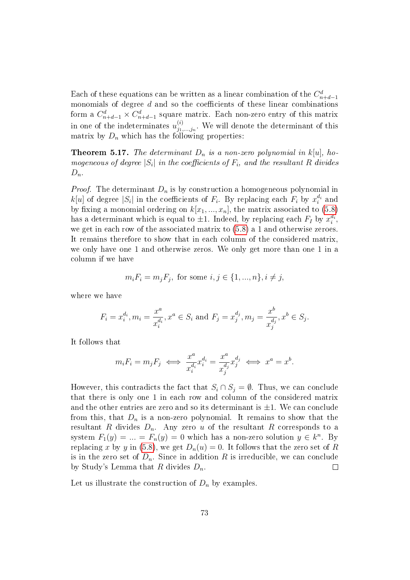Each of these equations can be written as a linear combination of the  $C_{n+d-1}^d$ monomials of degree  $d$  and so the coefficients of these linear combinations form a  $C_{n+d-1}^d \times C_{n+d-1}^d$  square matrix. Each non-zero entry of this matrix in one of the indeterminates  $u_{j_1}^{(i)}$  $j_1^{(i)}$ ,..., $j_n$ . We will denote the determinant of this matrix by  $D_n$  which has the following properties:

<span id="page-76-0"></span>**Theorem 5.17.** The determinant  $D_n$  is a non-zero polynomial in  $k[u]$ , homogeneous of degree  $|S_i|$  in the coefficients of  $F_i$ , and the resultant R divides  $D_n$ .

*Proof.* The determinant  $D_n$  is by construction a homogeneous polynomial in  $k[u]$  of degree  $|S_i|$  in the coefficients of  $F_i$ . By replacing each  $F_i$  by  $x_i^{d_i}$  and by fixing a monomial ordering on  $k[x_1, ..., x_n]$ , the matrix associated to [\(5.8\)](#page-75-0) has a determinant which is equal to  $\pm 1$ . Indeed, by replacing each  $F_I$  by  $x_i^{d_i}$ , we get in each row of the associated matrix to [\(5.8\)](#page-75-0) a 1 and otherwise zeroes. It remains therefore to show that in each column of the considered matrix, we only have one 1 and otherwise zeros. We only get more than one 1 in a column if we have

$$
m_i F_i = m_j F_j
$$
, for some  $i, j \in \{1, ..., n\}, i \neq j$ ,

where we have

$$
F_i = x_i^{d_i}, m_i = \frac{x^a}{x_i^{d_i}}, x^a \in S_i \text{ and } F_j = x_j^{d_j}, m_j = \frac{x^b}{x_j^{d_j}}, x^b \in S_j.
$$

It follows that

$$
m_i F_i = m_j F_j \iff \frac{x^a}{x_i^{d_i}} x_i^{d_i} = \frac{x^a}{x_j^{d_j}} x_j^{d_j} \iff x^a = x^b.
$$

However, this contradicts the fact that  $S_i \cap S_j = \emptyset$ . Thus, we can conclude that there is only one 1 in each row and column of the considered matrix and the other entries are zero and so its determinant is  $\pm 1$ . We can conclude from this, that  $D_n$  is a non-zero polynomial. It remains to show that the resultant R divides  $D_n$ . Any zero u of the resultant R corresponds to a system  $F_1(y) = ... = F_n(y) = 0$  which has a non-zero solution  $y \in k^n$ . By replacing x by y in [\(5.8\)](#page-75-0), we get  $D_n(u) = 0$ . It follows that the zero set of R is in the zero set of  $D_n$ . Since in addition R is irreducible, we can conclude by Study's Lemma that R divides  $D_n$ .  $\Box$ 

Let us illustrate the construction of  $D_n$  by examples.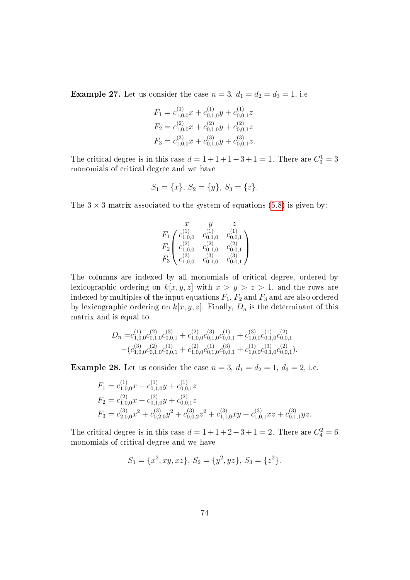**Example 27.** Let us consider the case  $n = 3$ ,  $d_1 = d_2 = d_3 = 1$ , i.e.

$$
F_1 = c_{1,0,0}^{(1)}x + c_{0,1,0}^{(1)}y + c_{0,0,1}^{(1)}z
$$
  
\n
$$
F_2 = c_{1,0,0}^{(2)}x + c_{0,1,0}^{(2)}y + c_{0,0,1}^{(2)}z
$$
  
\n
$$
F_3 = c_{1,0,0}^{(3)}x + c_{0,1,0}^{(3)}y + c_{0,0,1}^{(3)}z.
$$

The critical degree is in this case  $d = 1 + 1 + 1 - 3 + 1 = 1$ . There are  $C_3^1 = 3$ monomials of critical degree and we have

$$
S_1 = \{x\}, S_2 = \{y\}, S_3 = \{z\}.
$$

The  $3 \times 3$  matrix associated to the system of equations [\(5.8\)](#page-75-0) is given by:

$$
\begin{array}{ccccc}\nx & y & z \\
F_1 & c_{1,0,0}^{(1)} & c_{0,1,0}^{(1)} & c_{0,0,1}^{(1)} \\
F_2 & c_{1,0,0}^{(2)} & c_{0,1,0}^{(2)} & c_{0,0,1}^{(2)} \\
F_3 & c_{1,0,0}^{(3)} & c_{0,1,0}^{(3)} & c_{0,0,1}^{(3)}\n\end{array}
$$

The columns are indexed by all monomials of critical degree, ordered by lexicographic ordering on  $k[x, y, z]$  with  $x > y > z > 1$ , and the rows are indexed by multiples of the input equations  $F_1$ ,  $F_2$  and  $F_3$  and are also ordered by lexicographic ordering on  $k[x, y, z]$ . Finally,  $D_n$  is the determinant of this matrix and is equal to

$$
D_n = c_{1,0,0}^{(1)} c_{0,1,0}^{(2)} c_{0,0,1}^{(3)} + c_{1,0,0}^{(2)} c_{0,1,0}^{(3)} c_{0,0,1}^{(1)} + c_{1,0,0}^{(3)} c_{0,1,0}^{(1)} c_{0,0,1}^{(2)} - (c_{1,0,0}^{(3)} c_{0,1,0}^{(2)} c_{0,0,1}^{(1)} + c_{1,0,0}^{(2)} c_{0,1,0}^{(1)} c_{0,0,1}^{(3)} + c_{1,0,0}^{(1)} c_{0,1,0}^{(3)} c_{0,0,1}^{(2)}).
$$

<span id="page-77-0"></span>**Example 28.** Let us consider the case  $n = 3$ ,  $d_1 = d_2 = 1$ ,  $d_3 = 2$ , i.e.

$$
F_1 = c_{1,0,0}^{(1)} x + c_{0,1,0}^{(1)} y + c_{0,0,1}^{(1)} z
$$
  
\n
$$
F_2 = c_{1,0,0}^{(2)} x + c_{0,1,0}^{(2)} y + c_{0,0,1}^{(2)} z
$$
  
\n
$$
F_3 = c_{2,0,0}^{(3)} x^2 + c_{0,2,0}^{(3)} y^2 + c_{0,0,2}^{(3)} z^2 + c_{1,1,0}^{(3)} xy + c_{1,0,1}^{(3)} xz + c_{0,1,1}^{(3)} yz.
$$

The critical degree is in this case  $d = 1 + 1 + 2 - 3 + 1 = 2$ . There are  $C_4^2 = 6$ monomials of critical degree and we have

$$
S_1 = \{x^2, xy, xz\}, S_2 = \{y^2, yz\}, S_3 = \{z^2\}.
$$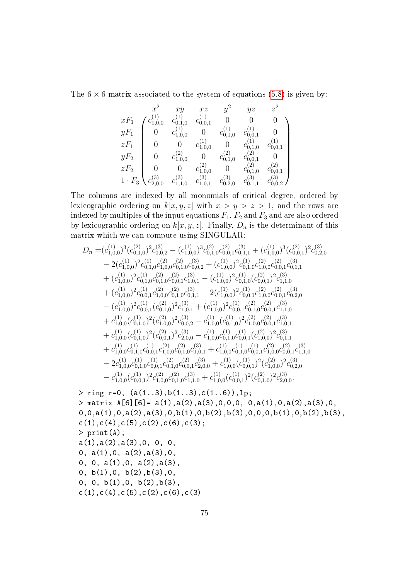The  $6 \times 6$  matrix associated to the system of equations [\(5.8\)](#page-75-0) is given by:

$$
\begin{array}{cccccc} & x^2 & xy & xz & y^2 & yz & z^2 \\ xF_1 & c_{1,0,0}^{(1)} & c_{0,1,0}^{(1)} & c_{0,0,1}^{(1)} & 0 & 0 & 0 \\ yF_1 & 0 & c_{1,0,0}^{(1)} & 0 & c_{0,1,0}^{(1)} & c_{0,0,1}^{(1)} & 0 \\ zF_1 & 0 & 0 & c_{1,0,0}^{(1)} & 0 & c_{0,1,0}^{(1)} & c_{0,0,1}^{(1)} \\ yF_2 & 0 & c_{1,0,0}^{(2)} & 0 & c_{0,1,0}^{(2)} & c_{0,1,0}^{(2)} & 0 \\ zF_2 & 0 & 0 & c_{1,0,0}^{(2)} & 0 & c_{0,1,0}^{(2)} & c_{0,0,1}^{(2)} \\ 1 \cdot F_3 & c_{2,0,0}^{(3)} & c_{1,1,0}^{(3)} & c_{0,2,0}^{(3)} & c_{0,1,1}^{(3)} & c_{0,0,2}^{(3)} \end{array}
$$

The columns are indexed by all monomials of critical degree, ordered by lexicographic ordering on  $k[x, y, z]$  with  $x > y > z > 1$ , and the rows are indexed by multiples of the input equations  $F_1$ ,  $F_2$  and  $F_3$  and are also ordered by lexicographic ordering on  $k[x, y, z]$ . Finally,  $D_n$  is the determinant of this matrix which we can compute using SINGULAR:

$$
D_n = (c_{1,0,0}^{(1)})^3 (c_{0,1,0}^{(2)})^2 c_{0,0,2}^{(3)} - (c_{1,0,0}^{(1)})^3 c_{0,1,0}^{(2)} c_{0,0,1}^{(3)} + (c_{1,0,0}^{(1)})^3 (c_{0,0,1}^{(2)})^2 c_{0,2,0}^{(3)}
$$
  
\n
$$
- 2(c_{1,0,0}^{(1)})^2 c_{0,1,0}^{(1)} c_{0,1,0}^{(2)} c_{0,1,0}^{(3)} c_{0,0,2}^{(3)} + (c_{1,0,0}^{(1)})^2 c_{0,1,0}^{(1)} c_{1,0,0}^{(2)} c_{0,0,1}^{(3)} c_{0,1,1}^{(3)}
$$
  
\n
$$
+ (c_{1,0,0}^{(1)})^2 c_{0,1,0}^{(1)} c_{0,1,0}^{(2)} c_{0,0,1}^{(3)} c_{1,0,1}^{(3)} - (c_{1,0,0}^{(1)})^2 c_{0,1,0}^{(1)} (c_{0,0,1}^{(2)})^2 c_{1,1,0}^{(3)}
$$
  
\n
$$
+ (c_{1,0,0}^{(1)})^2 c_{0,0,1}^{(1)} c_{1,0,0}^{(2)} c_{0,0,1}^{(3)} - 2(c_{1,0,0}^{(1)})^2 c_{0,0,1}^{(1)} c_{1,0,0}^{(2)} c_{0,0,1}^{(3)} c_{0,2,0}^{(3)}
$$
  
\n
$$
- (c_{1,0,0}^{(1)})^2 c_{0,0,1}^{(1)} (c_{0,1,0}^{(2)})^2 c_{1,0,1}^{(3)} + (c_{1,0,0}^{(1)})^2 c_{0,0,1}^{(1)} c_{0,1,0}^{(2)} c_{0,0,1}^{(2)} c_{0,2,0}^{(3)}
$$
  
\n
$$
+ c_{1,0,0}^{(1)} (c_{0,1,0}^{(1)})^2 (c_{1,0,0}^{(2)})^2 c_{0,0,2}^{(3)} - c_{1,0,0}^{(1)} (c_{0,1,0}^{(1)})^2 c_{1,0,0}^{
$$

```
> ring r=0, (a(1..3),b(1..3),c(1..6)),lp;
> matrix A[6][6]= a(1),a(2),a(3),0,0,0, 0,a(1),0,a(2),a(3),0,
0,0,a(1),0,a(2),a(3),0,b(1),0,b(2),b(3),0,0,0,b(1),0,b(2),b(3),c(1),c(4),c(5),c(2),c(6),c(3);> print(A);
a(1),a(2),a(3),0, 0, 0,
0, a(1),0, a(2),a(3),0,
0, 0, a(1),0, a(2),a(3),
0, b(1), 0, b(2), b(3), 0,0, 0, b(1),0, b(2),b(3),
c(1),c(4),c(5),c(2),c(6),c(3)
```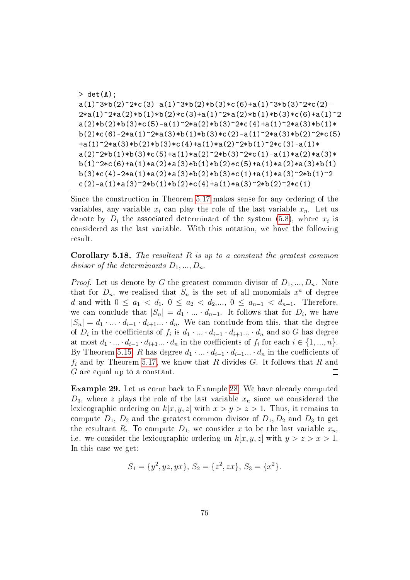```
> det(A);a(1)^3*b(2)^2*c(3)-a(1)^3*b(2)*b(3)*c(6)+a(1)^3*b(3)^2*c(2)-a(1)^2*ab(2)2*a(1)^2*a(2)*b(1)*b(2)*c(3)+a(1)^2*a(2)*b(1)*b(3)*c(6)+a(1)^2a(2)*b(2)*b(3)*c(5)-a(1)^2*a(2)*b(3)^2*c(4)+a(1)^2*a(3)*b(1)*b(2)*c(6)-2*a(1)^2*a(3)*b(1)*b(3)*c(2)-a(1)^2*a(3)*b(2)^2*c(5)+a(1)^2*a(3)*b(2)*b(3)*c(4)+a(1)*a(2)^2*b(1)^2*c(3)-a(1)*
a(2)^2* b(1)*b(3)*c(5)+a(1)*a(2)^2*b(3)^2*c(1)-a(1)*a(2)*a(3)*b(1)^2*(6)+a(1)*a(2)*a(3)*b(1)*b(2)*c(5)+a(1)*a(2)*a(3)*b(1)b(3)*c(4)-2*a(1)*a(2)*a(3)*b(2)*b(3)*c(1)+a(1)*a(3)^2*b(1)^2c(2)-a(1)*a(3)^2*b(1)*b(2)*c(4)+a(1)*a(3)^2*b(2)^2*c(1)
```
Since the construction in Theorem [5.17](#page-76-0) makes sense for any ordering of the variables, any variable  $x_i$  can play the role of the last variable  $x_n$ . Let us denote by  $D_i$  the associated determinant of the system [\(5.8\)](#page-75-0), where  $x_i$  is considered as the last variable. With this notation, we have the following result.

**Corollary 5.18.** The resultant  $R$  is up to a constant the greatest common divisor of the determinants  $D_1, ..., D_n$ .

*Proof.* Let us denote by G the greatest common divisor of  $D_1, ..., D_n$ . Note that for  $D_n$ , we realised that  $S_n$  is the set of all monomials  $x^a$  of degree d and with  $0 \le a_1 < d_1, 0 \le a_2 < d_2, ..., 0 \le a_{n-1} < d_{n-1}$ . Therefore, we can conclude that  $|S_n| = d_1 \cdot ... \cdot d_{n-1}$ . It follows that for  $D_i$ , we have  $|S_n| = d_1 \cdot \ldots \cdot d_{i-1} \cdot d_{i+1} \ldots \cdot d_n$ . We can conclude from this, that the degree of  $D_i$  in the coefficients of  $f_i$  is  $d_1 \cdot ... \cdot d_{i-1} \cdot d_{i+1} ... \cdot d_n$  and so  $G$  has degree at most  $d_1 \cdot ... \cdot d_{i-1} \cdot d_{i+1} ... \cdot d_n$  in the coefficients of  $f_i$  for each  $i \in \{1, ..., n\}$ . By Theorem [5.15,](#page-74-0) R has degree  $d_1 \cdot \ldots \cdot d_{i-1} \cdot d_{i+1} \ldots \cdot d_n$  in the coefficients of  $f_i$  and by Theorem [5.17,](#page-76-0) we know that R divides G. It follows that R and G are equal up to a constant.  $\Box$ 

Example 29. Let us come back to Example [28.](#page-77-0) We have already computed  $D_3$ , where z plays the role of the last variable  $x_n$  since we considered the lexicographic ordering on  $k[x, y, z]$  with  $x > y > z > 1$ . Thus, it remains to compute  $D_1$ ,  $D_2$  and the greatest common divisor of  $D_1, D_2$  and  $D_3$  to get the resultant R. To compute  $D_1$ , we consider x to be the last variable  $x_n$ , i.e. we consider the lexicographic ordering on  $k[x, y, z]$  with  $y > z > x > 1$ . In this case we get:

$$
S_1 = \{y^2, yz, yx\}, S_2 = \{z^2, zx\}, S_3 = \{x^2\}.
$$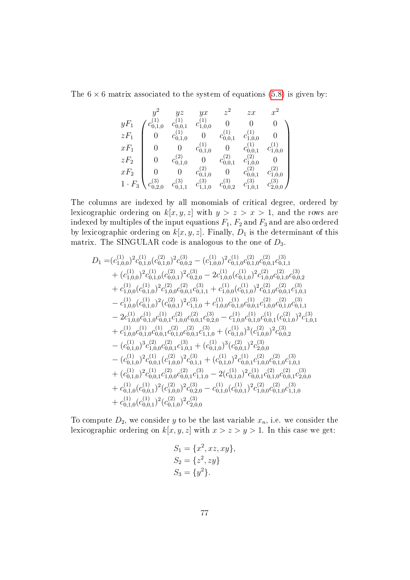The  $6 \times 6$  matrix associated to the system of equations [\(5.8\)](#page-75-0) is given by:

$$
\begin{array}{cccccc} & y^2 & yz & yx & z^2 & zx & x^2 \\ yF_1 & c^{(1)}_{0,1,0} & c^{(1)}_{0,0,1} & c^{(1)}_{1,0,0} & 0 & 0 & 0 \\ zF_1 & 0 & c^{(1)}_{0,1,0} & 0 & c^{(1)}_{0,0,1} & c^{(1)}_{1,0,0} & 0 \\ xF_1 & 0 & 0 & c^{(1)}_{0,1,0} & 0 & c^{(1)}_{0,0,1} & c^{(1)}_{1,0,0} \\ zF_2 & 0 & c^{(2)}_{0,1,0} & 0 & c^{(2)}_{0,0,1} & c^{(2)}_{1,0,0} & 0 \\ xF_2 & 0 & 0 & c^{(2)}_{0,1,0} & 0 & c^{(2)}_{0,0,1} & c^{(2)}_{1,0,0} \\ 1 \cdot F_3 & c^{(3)}_{0,2,0} & c^{(3)}_{0,1,1} & c^{(3)}_{1,1,0} & c^{(3)}_{0,0,2} & c^{(3)}_{1,0,1} & c^{(3)}_{2,0,0} \end{array}
$$

The columns are indexed by all monomials of critical degree, ordered by lexicographic ordering on  $k[x, y, z]$  with  $y > z > x > 1$ , and the rows are indexed by multiples of the input equations  $F_1$ ,  $F_2$  and  $F_3$  and are also ordered by lexicographic ordering on  $k[x, y, z]$ . Finally,  $D_1$  is the determinant of this matrix. The SINGULAR code is analogous to the one of  $D_3$ .

$$
D_1 = (c_{1,0,0}^{(1)})^2 c_{0,1,0}^{(1)} (c_{0,1,0}^{(2)})^2 c_{0,0,2}^{(3)} - (c_{1,0,0}^{(1)})^2 c_{0,1,0}^{(1)} c_{0,1,0}^{(2)} c_{0,0,1}^{(3)} c_{0,1,1}^{(3)} + (c_{1,0,0}^{(1)})^2 c_{0,1,0}^{(1)} (c_{0,0,1}^{(2)})^2 c_{0,2,0}^{(3)} - 2c_{1,0,0}^{(1)} (c_{0,1,0}^{(1)})^2 c_{1,0,0}^{(2)} c_{0,1,0}^{(3)} c_{0,0,2}^{(3)} + c_{1,0,0}^{(1)} (c_{0,1,0}^{(1)})^2 c_{1,0,0}^{(2)} c_{0,0,1}^{(3)} c_{0,1,1}^{(1)} + c_{1,0,0}^{(1)} (c_{0,1,0}^{(1)})^2 c_{0,1,0}^{(2)} c_{0,0,1}^{(3)} c_{0,0,2}^{(3)} - c_{1,0,0}^{(1)} (c_{0,1,0}^{(1)})^2 (c_{0,0,1}^{(2)})^2 c_{1,1,0}^{(3)} + c_{1,0,0}^{(1)} c_{0,1,0}^{(1)} c_{0,0,1}^{(1)} c_{1,0,1}^{(2)} c_{0,1,1}^{(3)} - 2c_{1,0,0}^{(1)} c_{0,1,0}^{(1)} c_{0,0,1}^{(1)} c_{1,0,0}^{(2)} c_{0,1,0}^{(3)} c_{0,0,1}^{(1)} c_{1,0,0}^{(1)} c_{0,0,1}^{(1)} c_{0,0,1}^{(2)} c_{0,1,0}^{(3)} + c_{1,0,0}^{(1)} c_{0,1,0}^{(1)} c_{0,0,1}^{(2)} c_{0,0,1}^{(3)} + (c_{0,1,0}^{(1)})^3 (c_{1,0,0}^{(2)})^2 c_{0,0,2}^{(3)} - (c_{0,1,0}^{(1)})^3 c_{1,0,0}^{(2)} c_{0,0,1}^{(2)} c_{1,1
$$

To compute  $D_2$ , we consider y to be the last variable  $x_n$ , i.e. we consider the lexicographic ordering on  $k[x, y, z]$  with  $x > z > y > 1$ . In this case we get:

$$
S_1 = \{x^2, xz, xy\},
$$
  
\n
$$
S_2 = \{z^2, zy\}
$$
  
\n
$$
S_3 = \{y^2\}.
$$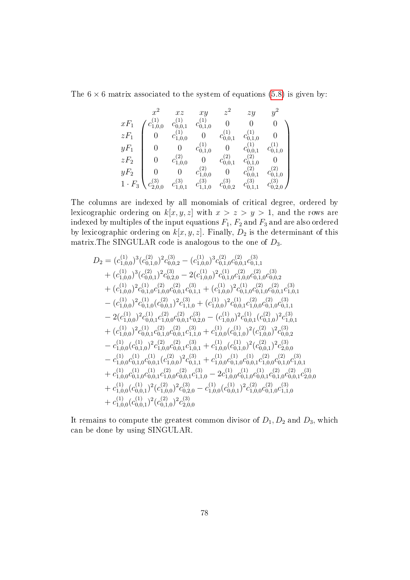The  $6 \times 6$  matrix associated to the system of equations [\(5.8\)](#page-75-0) is given by:

$$
\begin{array}{ccccccccc} & x^2 & xz & xy & z^2 & zy & y^2 \\ xF_1 & c_{1,0,0}^{(1)} & c_{0,0,1}^{(1)} & 0 & 0 & 0 & 0 \\ zF_1 & 0 & c_{1,0,0}^{(1)} & 0 & c_{0,0,1}^{(1)} & c_{0,1,0}^{(1)} & 0 \\ yF_1 & 0 & 0 & c_{0,1,0}^{(1)} & 0 & c_{0,0,1}^{(1)} & c_{0,1,0}^{(1)} \\ zF_2 & 0 & c_{1,0,0}^{(2)} & 0 & c_{0,0,1}^{(2)} & c_{0,1,0}^{(2)} & 0 \\ yF_2 & 0 & 0 & c_{1,0,0}^{(2)} & 0 & c_{0,0,1}^{(2)} & c_{0,1,0}^{(2)} \\ 1 \cdot F_3 & c_{2,0,0}^{(3)} & c_{1,0,1}^{(3)} & c_{0,0,2}^{(3)} & c_{0,1,1}^{(3)} & c_{0,2,0}^{(3)} \end{array}
$$

The columns are indexed by all monomials of critical degree, ordered by lexicographic ordering on  $k[x, y, z]$  with  $x > z > y > 1$ , and the rows are indexed by multiples of the input equations  $F_1$ ,  $F_2$  and  $F_3$  and are also ordered by lexicographic ordering on  $k[x, y, z]$ . Finally,  $D_2$  is the determinant of this matrix. The SINGULAR code is analogous to the one of  $D_3$ .

$$
D_2 = (c_{1,0,0}^{(1)})^3 (c_{0,1,0}^{(2)})^2 c_{0,0,2}^{(3)} - (c_{1,0,0}^{(1)})^3 c_{0,1,0}^{(2)} c_{0,0,1}^{(2)} c_{0,1,1}^{(3)} + (c_{1,0,0}^{(1)})^3 (c_{0,0,1}^{(2)})^2 c_{0,2,0}^{(3)} - 2(c_{1,0,0}^{(1)})^2 c_{0,1,0}^{(1)} c_{0,1,0}^{(2)} c_{0,0,1}^{(3)} c_{0,0,2}^{(3)} + (c_{1,0,0}^{(1)})^2 c_{0,1,0}^{(1)} c_{0,0,0}^{(2)} c_{0,1,1}^{(3)} + (c_{1,0,0}^{(1)})^2 c_{0,1,0}^{(1)} c_{0,0,1}^{(2)} c_{0,0,1}^{(3)} c_{1,0,1}^{(3)} - (c_{1,0,0}^{(1)})^2 c_{0,1,0}^{(1)} (c_{0,0,1}^{(2)})^2 c_{1,1,0}^{(3)} + (c_{1,0,0}^{(1)})^2 c_{0,0,1}^{(1)} c_{1,0,0}^{(2)} c_{0,0,1}^{(3)} c_{0,1,1}^{(3)} - 2(c_{1,0,0}^{(1)})^2 c_{0,0,1}^{(1)} c_{1,0,0}^{(2)} c_{0,0,1}^{(3)} + (c_{1,0,0}^{(1)})^2 c_{0,0,1}^{(1)} c_{1,0,0}^{(2)} c_{0,1,1}^{(3)} c_{1,0,1}^{(3)} + (c_{1,0,0}^{(1)})^2 c_{0,0,1}^{(1)} c_{0,1,0}^{(2)} c_{0,0,1}^{(3)} + c_{1,0,0}^{(1)} (c_{0,1,0}^{(1)})^2 c_{0,0,1}^{(3)} c_{1,0,1}^{(3)} + (c_{1,0,0}^{(1)})^2 c_{0,0,1}^{(1)} c_{0,0,1}^{(2)} c_{0,0,1}^{(3)} + c_{1,0,0}^{(1)} (c_{0,1,0}^{(1)})^2 c_{0,0
$$

It remains to compute the greatest common divisor of  $D_1, D_2$  and  $D_3$ , which can be done by using SINGULAR.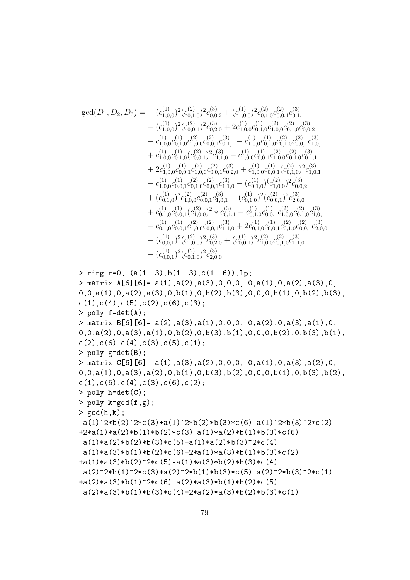$$
gcd(D_1, D_2, D_3) = - (c_{1,0,0}^{(1)})^2 (c_{0,1,0}^{(2)})^2 c_{0,0,2}^{(3)} + (c_{1,0,0}^{(1)})^2 c_{0,1,0}^{(2)} c_{0,1,0}^{(2)} c_{0,1,1}^{(3)} - (c_{1,0,0}^{(1)})^2 (c_{0,0,1}^{(2)})^2 c_{0,2,0}^{(3)} + 2c_{1,0,0}^{(1)} c_{0,1,0}^{(1)} c_{1,0,0}^{(2)} c_{0,1,0}^{(3)} c_{0,0,2}^{(3)} - c_{1,0,0}^{(1)} c_{0,1,0}^{(1)} c_{0,2,0}^{(2)} + 2c_{1,0,0}^{(1)} c_{0,1,0}^{(1)} c_{0,1,0}^{(2)} c_{0,0,1}^{(3)} c_{0,0,1}^{(3)} + c_{1,0,0}^{(1)} c_{0,1,0}^{(2)} c_{0,0,1}^{(3)} c_{0,1,1}^{(3)} - c_{1,0,0}^{(1)} c_{0,0,1}^{(3)} c_{0,1,0}^{(3)} c_{0,1,1}^{(3)} + 2c_{1,0,0}^{(1)} c_{0,0,1}^{(2)} c_{1,1,0}^{(2)} - c_{1,0,0}^{(1)} c_{0,0,1}^{(1)} c_{1,0,0}^{(2)} c_{0,1,0}^{(3)} + 2c_{1,0,0}^{(1)} c_{0,0,1}^{(2)} c_{1,0,0}^{(2)} c_{0,0,1}^{(3)} + c_{1,0,0}^{(1)} c_{0,0,1}^{(1)} c_{0,1,0}^{(2)} c_{1,0,1}^{(3)} - c_{1,0,0}^{(1)} c_{0,0,1}^{(2)} c_{1,0,0}^{(2)} c_{0,0,1}^{(3)} c_{1,0,0}^{(1)} c_{1,0,0}^{(2)} c_{0,0,2}^{(3)} + (c_{0,1,0}^{(1)} c_{1,0,0}^{(2)} c_{0,0,1}^{(3)} c_{1,0,1}^{(3)} - (c_{0,1,0
$$

 $>$  ring r=0, (a(1..3),b(1..3),c(1..6)),lp;

```
> matrix A[6][6]= a(1),a(2),a(3),0,0,0, 0,a(1),0,a(2),a(3),0,
0,0,a(1),0,a(2),a(3),0,b(1),0,b(2),b(3),0,0,0,b(1),0,b(2),b(3),c(1),c(4),c(5),c(2),c(6),c(3);> poly f=det(A);
> matrix B[6][6]= a(2), a(3), a(1), 0, 0, 0, 0, a(2), 0, a(3), a(1), 0,
0,0,a(2),0,a(3),a(1),0,b(2),0,b(3),b(1),0,0,0,b(2),0,b(3),b(1),c(2), c(6), c(4), c(3), c(5), c(1);> poly g=det(B);
> matrix C[6][6]= a(1),a(3),a(2),0,0,0, 0,a(1),0,a(3),a(2),0,
0,0,a(1),0,a(3),a(2),0,b(1),0,b(3),b(2),0,0,0,b(1),0,b(3),b(2),c(1),c(5),c(4),c(3),c(6),c(2);> poly h=det(C);
> poly k=gcd(f,g);
> gcd(h,k);
-a(1)^2*b(2)^2*c(3)+a(1)^2*b(2)*b(3)*c(6)-a(1)^2*b(3)^2*c(2)+2*a(1)*a(2)*b(1)*b(2)*c(3)-a(1)*a(2)*b(1)*b(3)*c(6)-a(1)*a(2)*b(2)*b(3)*c(5)+a(1)*a(2)*b(3)^2>c(4)-a(1)*a(3)*b(1)*b(2)*c(6)+2*a(1)*a(3)*b(1)*b(3)*c(2)+a(1)*a(3)*b(2)^2+c(5)-a(1)*a(3)*b(2)*b(3)*c(4)-a(2)^2*b(1)^2*c(3)+a(2)^2*b(1)*b(3)*c(5)-a(2)^2*b(3)^2*c(1)+a(2)*a(3)*b(1)^2*(6)-a(2)*a(3)*b(1)*b(2)*c(5)-a(2)*a(3)*b(1)*b(3)*c(4)+2*a(2)*a(3)*b(2)*b(3)*c(1)
```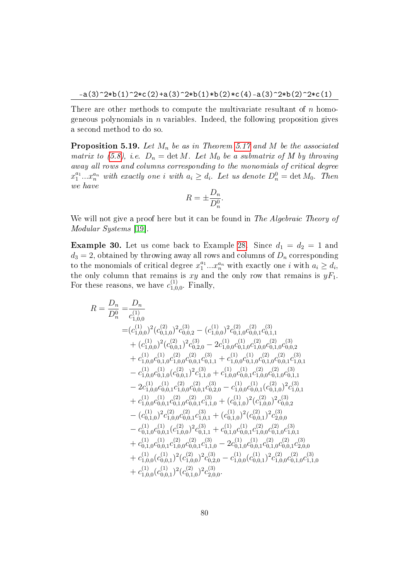There are other methods to compute the multivariate resultant of  $n$  homogeneous polynomials in  $n$  variables. Indeed, the following proposition gives a second method to do so.

**Proposition 5.19.** Let  $M_n$  be as in Theorem [5.17](#page-76-0) and M be the associated matrix to [\(5.8\)](#page-75-0), i.e.  $D_n = \det M$ . Let  $M_0$  be a submatrix of M by throwing away all rows and columns corresponding to the monomials of critical degree  $x_1^{a_1}...x_n^{a_n}$  with exactly one i with  $a_i \geq d_i$ . Let us denote  $D_n^0 = \det M_0$ . Then we have

$$
R = \pm \frac{D_n}{D_n^0}.
$$

We will not give a proof here but it can be found in The Algebraic Theory of Modular Systems [\[19\]](#page-87-0).

**Example 30.** Let us come back to Example [28.](#page-77-0) Since  $d_1 = d_2 = 1$  and  $d_3 = 2$ , obtained by throwing away all rows and columns of  $D_n$  corresponding to the monomials of critical degree  $x_1^{a_1}...x_n^{a_n}$  with exactly one *i* with  $a_i \geq d_i$ , the only column that remains is xy and the only row that remains is  $yF_1$ . For these reasons, we have  $c_{1,0}^{(1)}$  $_{1,0,0}^{(1)}$ . Finally,

$$
R = \frac{D_n}{D_n^0} = \frac{D_n}{c_{1,0,0}^{(1)}} = (c_{1,0,0}^{(1)})^2 (c_{0,1,0}^{(2)})^2 c_{0,0,2}^{(3)} - (c_{1,0,0}^{(1)})^2 c_{0,1,0}^{(2)} c_{0,0,1}^{(3)} c_{0,1,1}^{(3)} + (c_{1,0,0}^{(1)})^2 (c_{0,0,1}^{(2)})^2 c_{0,2,0}^{(3)} - 2c_{1,0,0}^{(1)} c_{0,1,0}^{(1)} c_{1,0,0}^{(2)} c_{0,1,0}^{(3)} c_{0,0,2}^{(3)} + c_{1,0,0}^{(1)} c_{0,1,0}^{(1)} c_{0,2,0}^{(2)} - 2c_{1,0,0}^{(1)} c_{0,1,0}^{(1)} c_{1,0,0}^{(2)} c_{0,1,0}^{(3)} c_{0,0,2}^{(3)} + c_{1,0,0}^{(1)} c_{0,1,0}^{(1)} c_{0,0,1}^{(2)} c_{1,1,1}^{(3)} + c_{1,0,0}^{(1)} c_{0,1,0}^{(1)} c_{0,0,1}^{(2)} c_{1,0,1}^{(3)} - c_{1,0,0}^{(1)} c_{0,1,0}^{(1)} (c_{0,0,1}^{(2)})^2 c_{1,1,0}^{(3)} + c_{1,0,0}^{(1)} c_{0,1,0}^{(1)} c_{0,1,0}^{(2)} c_{0,0,1}^{(3)} - 2c_{1,0,0}^{(1)} c_{0,0,1}^{(1)} c_{1,0,0}^{(2)} c_{0,0,1}^{(3)} c_{1,0,0}^{(1)} c_{0,1,0}^{(2)} c_{0,0,1}^{(3)} + c_{1,0,0}^{(1)} c_{0,0,1}^{(2)} c_{1,0,0}^{(2)} c_{0,0,1}^{(3)} c_{1,0,0}^{(2)} c_{0,0,1}^{(3)} c_{1,0,1}^{(3)} + c_{1,0,0}^{(1)} c_{0,0,1}^{(2)} c_{0,0,
$$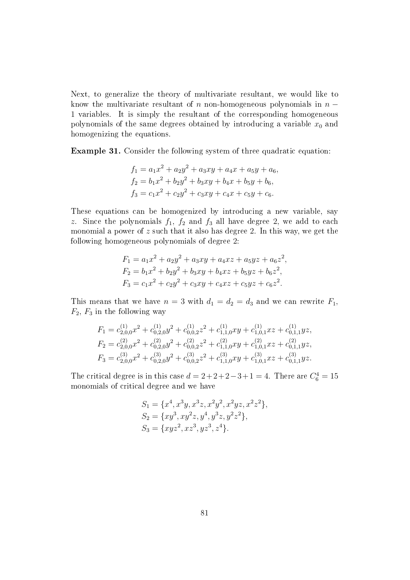Next, to generalize the theory of multivariate resultant, we would like to know the multivariate resultant of n non-homogeneous polynomials in  $n -$ 1 variables. It is simply the resultant of the corresponding homogeneous polynomials of the same degrees obtained by introducing a variable  $x_0$  and homogenizing the equations.

Example 31. Consider the following system of three quadratic equation:

$$
f_1 = a_1x^2 + a_2y^2 + a_3xy + a_4x + a_5y + a_6,
$$
  
\n
$$
f_2 = b_1x^2 + b_2y^2 + b_3xy + b_4x + b_5y + b_6,
$$
  
\n
$$
f_3 = c_1x^2 + c_2y^2 + c_3xy + c_4x + c_5y + c_6.
$$

These equations can be homogenized by introducing a new variable, say z. Since the polynomials  $f_1$ ,  $f_2$  and  $f_3$  all have degree 2, we add to each monomial a power of  $z$  such that it also has degree 2. In this way, we get the following homogeneous polynomials of degree 2:

$$
F_1 = a_1x^2 + a_2y^2 + a_3xy + a_4xz + a_5yz + a_6z^2,
$$
  
\n
$$
F_2 = b_1x^2 + b_2y^2 + b_3xy + b_4xz + b_5yz + b_6z^2,
$$
  
\n
$$
F_3 = c_1x^2 + c_2y^2 + c_3xy + c_4xz + c_5yz + c_6z^2.
$$

This means that we have  $n = 3$  with  $d_1 = d_2 = d_3$  and we can rewrite  $F_1$ ,  $F_2, F_3$  in the following way

$$
F_1 = c_{2,0,0}^{(1)}x^2 + c_{0,2,0}^{(1)}y^2 + c_{0,0,2}^{(1)}z^2 + c_{1,1,0}^{(1)}xy + c_{1,0,1}^{(1)}xz + c_{0,1,1}^{(1)}yz,
$$
  
\n
$$
F_2 = c_{2,0,0}^{(2)}x^2 + c_{0,2,0}^{(2)}y^2 + c_{0,0,2}^{(2)}z^2 + c_{1,1,0}^{(2)}xy + c_{1,0,1}^{(2)}xz + c_{0,1,1}^{(2)}yz,
$$
  
\n
$$
F_3 = c_{2,0,0}^{(3)}x^2 + c_{0,2,0}^{(3)}y^2 + c_{0,0,2}^{(3)}z^2 + c_{1,1,0}^{(3)}xy + c_{1,0,1}^{(3)}xz + c_{0,1,1}^{(3)}yz.
$$

The critical degree is in this case  $d = 2+2+2-3+1 = 4$ . There are  $C_6^4 = 15$ monomials of critical degree and we have

$$
S_1 = \{x^4, x^3y, x^3z, x^2y^2, x^2yz, x^2z^2\},
$$
  
\n
$$
S_2 = \{xy^3, xy^2z, y^4, y^3z, y^2z^2\},
$$
  
\n
$$
S_3 = \{xyz^2, xz^3, yz^3, z^4\}.
$$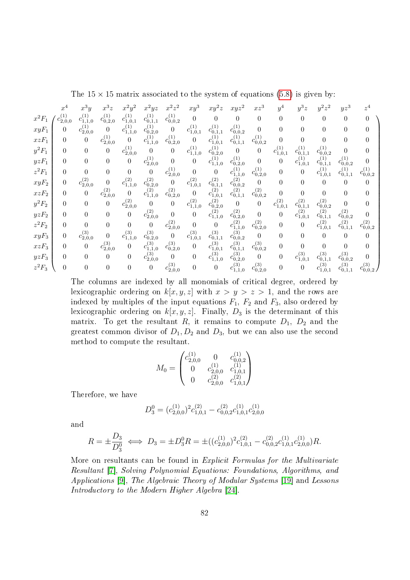The  $15 \times 15$  matrix associated to the system of equations [\(5.8\)](#page-75-0) is given by:

|          | $x^4$                          | $x^3y$            | $x^3z$                         |                                         | $x^2yz$                        | $z^{\cdot}$                    | $xy^3$                         | $xy^2z$                                     | $xyz^2$                        | $xz^3$                         | $y^4$             | $y^3z$            | $y^2z^2$                                    | $yz^3$                       | $z^4$                          |
|----------|--------------------------------|-------------------|--------------------------------|-----------------------------------------|--------------------------------|--------------------------------|--------------------------------|---------------------------------------------|--------------------------------|--------------------------------|-------------------|-------------------|---------------------------------------------|------------------------------|--------------------------------|
| $x^2F_1$ | $c_{2,0,0}^{\left( 1\right) }$ | $c_{1,1,0}^{(1)}$ | $c_{0,2,0}^{(1)}$              | $c_{1,0,1}^{(1)}$                       | $c_{0,1,1}^{(1)}$              | $c_{0,0,2}^{\left( 1\right) }$ | $\boldsymbol{0}$               | 0                                           | 0                              | $\overline{0}$                 | $\overline{0}$    | 0                 | $\theta$                                    | $\theta$                     |                                |
| $xyF_1$  | $\theta$                       | $c_{2,0,0}^{(1)}$ | 0                              | $c_{1,1,0}^{\left( 1\right) ^{\prime}}$ | $c_{0,2,0}^{(1)}$              | $\overline{0}$                 | $c_{1,0,1}^{(1)}$              | $c_{0,1,1}^{(1)}$                           | $c_{0,0,2}^{(1)}$              | $\Omega$                       | $\theta$          | 0                 | $\boldsymbol{0}$                            | 0                            | $\theta$                       |
| $xzF_1$  | $\theta$                       | $\boldsymbol{0}$  | $c_{2,0,0}^{\left( 1\right) }$ | $\theta$                                | $c^{(1)}_{1,1,0}$              | $c_{0,2,0}^{(1)}$              | $\overline{0}$                 | $c_{1,0,1}^{(1)}$                           | $c_{0,1,1}^{\left( 1\right) }$ | $c_{0,0,2}^{\left( 1\right) }$ | $\Omega$          |                   | $\overline{0}$                              | 0                            | $\theta$                       |
| $y^2F_1$ | $\theta$                       | $\overline{0}$    | $\boldsymbol{0}$               | $c_{2,0,0}^{\left( 1\right) }$          | $\theta$                       | 0                              | $c_{1,1,0}^{\left( 1\right) }$ | $c_{0,2,0}^{(1)}$                           | $\overline{0}$                 | $\overline{0}$                 | $c_{1,0,1}^{(1)}$ | $c_{0,1,1}^{(1)}$ | $c_{0,0,2}^{(1)}$                           | 0                            | $\boldsymbol{0}$               |
| $yzF_1$  | $\overline{0}$                 | $\theta$          | 0                              | $\theta$                                | $c_{2,0,0}^{\left( 1\right) }$ | 0                              | $\boldsymbol{0}$               | $c^{(1)}_{1,1,0}$                           | $c_{0,2,0}^{(1)}$              | $\overline{0}$                 | $\overline{0}$    | $c^{(1)}_{1,0,1}$ | $c_{0,1,1}^{\left( 1\right) }$              | $c_{0,0,2}^{(1)}$            | $\theta$                       |
| $z^2F_1$ | $\Omega$                       | $\theta$          | $\overline{0}$                 | $\theta$                                | $\overline{0}$                 | $c_{2,0,0}^{\left( 1\right) }$ | $\overline{0}$                 | $\boldsymbol{0}$                            | $c_{1,1,0}^{(1)}$              | $c_{0,2,0}^{\left( 1\right) }$ | $\theta$          | 0                 | $c_{1,0,1}^{\left( 1\right) }$              | $c_{0,1,1}^{(1)}$            | $c_{0,0,2}^{(1)}$              |
| $xyF_2$  | $\theta$                       | $c_{2,0,0}^{(2)}$ | 0                              | $c_{1,1,0}^{(2)}$                       | $c_{0,2,0}^{(2)}$              | $\overline{0}$                 | $c_{1,0,1}^{(2)}$              | $c_{0,1,1}^{(2)}$                           | $c_{0,0,2}^{(2)}$              | $\overline{0}$                 | $\overline{0}$    | 0                 | $\theta$                                    | 0                            | $\theta$                       |
| $xzF_2$  | $\theta$                       | $\overline{0}$    | $c_{2,0,0}^{\left(2\right)}$   | $\Omega$                                | $c_{1,1,0}^{(2)}$              | $c_{0,2,0}^{(2)}$              | $\theta$                       | $c_{1,0,1}^{(2)}$                           | $c_{0,1,1}^{(2)}$              | $c_{0,0,2}^{\left( 2\right) }$ | $\theta$          |                   | $\overline{0}$                              | $\overline{0}$               | $\Omega$                       |
| $y^2F_2$ | $\Omega$                       | $\theta$          | $\overline{0}$                 | $c_{2,0,0}^{\left( 2\right) }$          | $\theta$                       | 0                              | $c_{1,1,0}^{(2)}$              | $c_{0,2,0}^{(\overline{2})^{'}}$            | $\overline{0}$                 | $\boldsymbol{0}$               | $c_{1,0,1}^{(2)}$ | $c_{0,1,1}^{(2)}$ | $c_{0,0,2}^{(2)}$                           | $\Omega$                     | $\boldsymbol{0}$               |
| $yzF_2$  | $\theta$                       | $\theta$          | $\overline{0}$                 | $\boldsymbol{0}$                        | $c_{2,0,0}^{\left( 2\right) }$ | $\boldsymbol{0}$               | $\boldsymbol{0}$               | $c_{1,1,0}^{\left( 2\right) ^{^{\prime }}}$ | $c_{0,2,0}^{(2)}$              | $\overline{0}$                 | $\overline{0}$    | $c_{1,0,1}^{(2)}$ | $c_{0,1,1}^{\left( 2\right) ^{^{\prime }}}$ | $c_{0,0,2}^{(2)}$            | $\Omega$                       |
| $z^2F_2$ | $\Omega$                       | $\theta$          | $\boldsymbol{0}$               | $\theta$                                | $\boldsymbol{0}$               | $c_{2,0,0}^{\left( 2\right) }$ | $\boldsymbol{0}$               | $\boldsymbol{0}$                            | $c_{1,1,0}^{\left( 2\right) }$ | $c_{0,2,0}^{(2)}$              | $\theta$          | 0                 | $c^{(2)}_{1,0,1}$                           | $c_{0,1,1}^{(\overline{2})}$ | $c_{0,0,2}^{\left( 2\right) }$ |
| $xyF_3$  | $\theta$                       | $c_{2,0,0}^{(3)}$ | $\overline{0}$                 | $c_{1,1,0}^{(3)}$                       | $c_{0,2,0}^{(3)}$              | $\overline{0}$                 | $c_{1,0,1}^{(3)}$              | $c_{0,1,1}^{(3)}$                           | $c_{0,0,2}^{(3)}$              | $\overline{0}$                 | $\overline{0}$    | 0                 | $\theta$                                    | 0                            | $\Omega$                       |
| $xzF_3$  | $\theta$                       | $\theta$          | $c_{2,0,0}^{(3)}$              | $\boldsymbol{0}$                        | $c_{1,1,0}^{(3)}$              | $c_{0,2,0}^{(3)}$              | $\boldsymbol{0}$               | $c^{(3)}_{1,0,1}$                           | $c_{0,1,1}^{(3)}$              | $c_{0,0,2}^{\left( 3\right) }$ | $\theta$          | 0                 | $\boldsymbol{0}$                            | $\overline{0}$               | $\boldsymbol{0}$               |
| $yzF_3$  | $\Omega$                       | $\theta$          | $\overline{0}$                 | $\theta$                                | $c_{2,0,0}^{(\overline{3})}$   | 0                              | $\overline{0}$                 | $c_{1,1,0}^{(3)}$                           | $c_{0,2,0}^{(3)}$              | $\boldsymbol{0}$               | $\theta$          | $c_{1,0,1}^{(3)}$ | $c_{0,1,1}^{(3)}$                           | $c_{0,0,2}^{(3)}$            |                                |
| $z^2F_3$ | $\theta$                       | $\theta$          | 0                              | $\theta$                                | $\boldsymbol{0}$               | $c_{2,0,0}^{(3)}$              | $\boldsymbol{0}$               | 0                                           | $c_{1,1,0}^{(3)}$              | $c_{0,2,0}^{(3)}$              | $\overline{0}$    | 0                 | $c_{1,0,1}^{(3)}$                           | $c_{0,1,1}^{(3)}$            | $c_{0,0}^{(3)}$                |

The columns are indexed by all monomials of critical degree, ordered by lexicographic ordering on  $k[x, y, z]$  with  $x > y > z > 1$ , and the rows are indexed by multiples of the input equations  $F_1$ ,  $F_2$  and  $F_3$ , also ordered by lexicographic ordering on  $k[x, y, z]$ . Finally,  $D_3$  is the determinant of this matrix. To get the resultant  $R$ , it remains to compute  $D_1$ ,  $D_2$  and the greatest common divisor of  $D_1, D_2$  and  $D_3$ , but we can also use the second method to compute the resultant.

$$
M_0 = \begin{pmatrix} c_{2,0,0}^{(1)} & 0 & c_{0,0,2}^{(1)} \\ 0 & c_{2,0,0}^{(1)} & c_{1,0,1}^{(1)} \\ 0 & c_{2,0,0}^{(2)} & c_{1,0,1}^{(2)} \end{pmatrix}
$$

Therefore, we have

$$
D_3^0 = (c_{2,0,0}^{(1)})^2 c_{1,0,1}^{(2)} - c_{0,0,2}^{(2)} c_{1,0,1}^{(1)} c_{2,0,0}^{(1)}
$$

and

$$
R = \pm \frac{D_3}{D_3^0} \iff D_3 = \pm D_3^0 R = \pm ((c_{2,0,0}^{(1)})^2 c_{1,0,1}^{(2)} - c_{0,0,2}^{(2)} c_{1,0,1}^{(1)} c_{2,0,0}^{(1)}) R.
$$

More on resultants can be found in Explicit Formulas for the Multivariate Resultant [\[7\]](#page-86-0), Solving Polynomial Equations: Foundations, Algorithms, and Applications [\[9\]](#page-86-1), The Algebraic Theory of Modular Systems [\[19\]](#page-87-0) and Lessons Introductory to the Modern Higher Algebra [\[24\]](#page-87-1).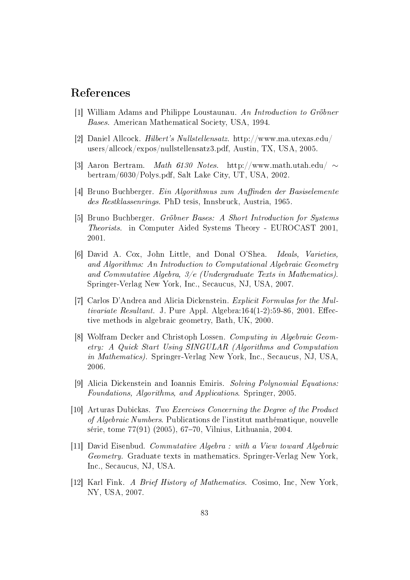## References

- [1] William Adams and Philippe Loustaunau. An Introduction to Gröbner Bases. American Mathematical Society, USA, 1994.
- [2] Daniel Allcock. Hilbert's Nullstellensatz. http://www.ma.utexas.edu/ users/allcock/expos/nullstellensatz3.pdf, Austin, TX, USA, 2005.
- [3] Aaron Bertram. Math 6130 Notes. http://www.math.utah.edu/ ∼ bertram/6030/Polys.pdf, Salt Lake City, UT, USA, 2002.
- [4] Bruno Buchberger. Ein Algorithmus zum Auffinden der Basiselemente des Restklassenrings. PhD tesis, Innsbruck, Austria, 1965.
- [5] Bruno Buchberger. Gröbner Bases: A Short Introduction for Systems Theorists. in Computer Aided Systems Theory - EUROCAST 2001, 2001.
- [6] David A. Cox, John Little, and Donal O'Shea. Ideals, Varieties, and Algorithms: An Introduction to Computational Algebraic Geometry and Commutative Algebra, 3/e (Undergraduate Texts in Mathematics). Springer-Verlag New York, Inc., Secaucus, NJ, USA, 2007.
- <span id="page-86-0"></span>[7] Carlos D'Andrea and Alicia Dickenstein. Explicit Formulas for the Multivariate Resultant. J. Pure Appl. Algebra:164(1-2):59-86, 2001. Effective methods in algebraic geometry, Bath, UK, 2000.
- [8] Wolfram Decker and Christoph Lossen. Computing in Algebraic Geometry: A Quick Start Using SINGULAR (Algorithms and Computation in Mathematics). Springer-Verlag New York, Inc., Secaucus, NJ, USA, 2006.
- <span id="page-86-1"></span>[9] Alicia Dickenstein and Ioannis Emiris. Solving Polynomial Equations: Foundations, Algorithms, and Applications. Springer, 2005.
- [10] Arturas Dubickas. Two Exercises Concerning the Degree of the Product of Algebraic Numbers. Publications de l'institut mathématique, nouvelle série, tome 77(91) (2005), 67–70, Vilnius, Lithuania, 2004.
- [11] David Eisenbud. Commutative Algebra : with a View toward Algebraic Geometry. Graduate texts in mathematics. Springer-Verlag New York, Inc., Secaucus, NJ, USA.
- [12] Karl Fink. A Brief History of Mathematics. Cosimo, Inc, New York, NY, USA, 2007.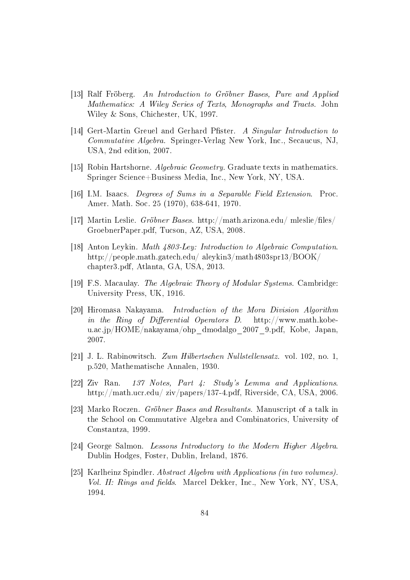- [13] Ralf Fröberg. An Introduction to Gröbner Bases, Pure and Applied Mathematics: A Wiley Series of Texts, Monographs and Tracts. John Wiley & Sons, Chichester, UK, 1997.
- [14] Gert-Martin Greuel and Gerhard Pfister. A Singular Introduction to Commutative Algebra. Springer-Verlag New York, Inc., Secaucus, NJ, USA, 2nd edition, 2007.
- [15] Robin Hartshorne. Algebraic Geometry. Graduate texts in mathematics. Springer Science+Business Media, Inc., New York, NY, USA.
- [16] I.M. Isaacs. Degrees of Sums in a Separable Field Extension. Proc. Amer. Math. Soc. 25 (1970), 638-641, 1970.
- [17] Martin Leslie. Gröbner Bases. http://math.arizona.edu/ mleslie/files/ GroebnerPaper.pdf, Tucson, AZ, USA, 2008.
- [18] Anton Leykin. Math 4803-Ley: Introduction to Algebraic Computation. http://people.math.gatech.edu/ aleykin3/math4803spr13/BOOK/ chapter3.pdf, Atlanta, GA, USA, 2013.
- <span id="page-87-0"></span>[19] F.S. Macaulay. The Algebraic Theory of Modular Systems. Cambridge: University Press, UK, 1916.
- [20] Hiromasa Nakayama. Introduction of the Mora Division Algorithm in the Ring of Differential Operators D.  $http://www.math.kobe$ u.ac.jp/HOME/nakayama/ohp\_dmodalgo\_2007\_9.pdf, Kobe, Japan, 2007.
- [21] J. L. Rabinowitsch. Zum Hilbertschen Nullstellensatz. vol. 102, no. 1, p.520, Mathematische Annalen, 1930.
- [22] Ziv Ran. 137 Notes, Part 4: Study's Lemma and Applications. http://math.ucr.edu/ ziv/papers/137-4.pdf, Riverside, CA, USA, 2006.
- [23] Marko Roczen. Gröbner Bases and Resultants. Manuscript of a talk in the School on Commutative Algebra and Combinatorics, University of Constantza, 1999.
- <span id="page-87-1"></span>[24] George Salmon. Lessons Introductory to the Modern Higher Algebra. Dublin Hodges, Foster, Dublin, Ireland, 1876.
- [25] Karlheinz Spindler. Abstract Algebra with Applications (in two volumes). Vol. II: Rings and fields. Marcel Dekker, Inc., New York, NY, USA. 1994.